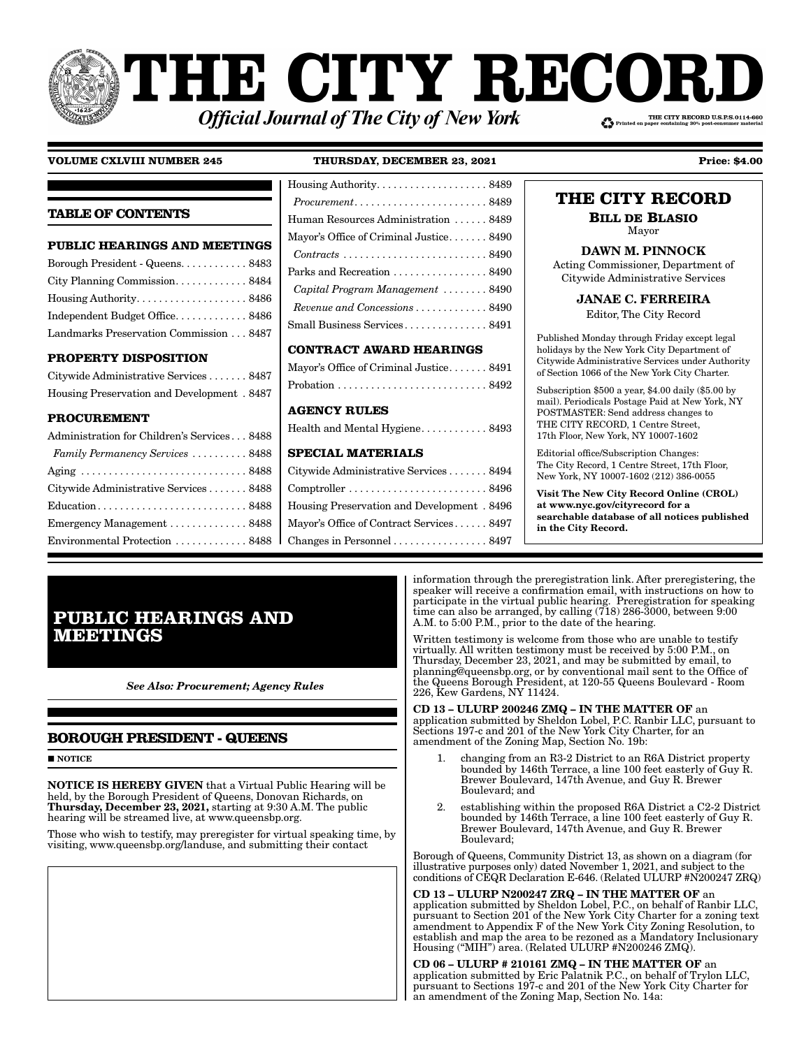# **THE CITY RECORI** THE CITY RECORD U.S.P.S.0114-660 **Official Journal of The City of New York**

# **VOLUME CXLVIII NUMBER 245 THURSDAY, DECEMBER 23, 2021 Price: \$4.00** Housing Authority . . . . . . . . . . . . . . . . . . . . 8489

#### **TABLE OF CONTENTS PUBLIC HEARINGS AND MEETINGS** Borough President - Queens. . . . . . . . . . . . 8483 City Planning Commission . . . . . . . . . . . . . 8484 Housing Authority . . . . . . . . . . . . . . . . . . . . 8486 Independent Budget Office . . . . . . . . . . . . . 8486 Landmarks Preservation Commission . . . 8487 **PROPERTY DISPOSITION** Citywide Administrative Services . . . . . . . 8487 Housing Preservation and Development . 8487 **PROCUREMENT** Administration for Children's Services . . . 8488 *Family Permanency Services* . . . . . . . . . . 8488 Aging . . . . . . . . . . . . . . . . . . . . . . . . . . . . . . 8488 Citywide Administrative Services . . . . . . . 8488 Education . . . . . . . . . . . . . . . . . . . . . . . . . . . 8488 Emergency Management . . . . . . . . . . . . . . 8488 Environmental Protection . . . . . . . . . . . . . 8488 *Procurement* . . . . . . . . . . . . . . . . . . . . . . . . 8489 Human Resources Administration . . . . . . 8489 Mayor's Office of Criminal Justice....... 8490 *Contracts* . . . . . . . . . . . . . . . . . . . . . . . . . . 8490 Parks and Recreation . . . . . . . . . . . . . . . 8490 *Capital Program Management* . . . . . . . . 8490 *Revenue and Concessions* . . . . . . . . . . . . . 8490 Small Business Services . . . . . . . . . . . . . . . 8491 **CONTRACT AWARD HEARINGS** Mayor's Office of Criminal Justice . . . . . . . 8491 Probation . . . . . . . . . . . . . . . . . . . . . . . . . . . 8492 **AGENCY RULES** Health and Mental Hygiene............ 8493 **SPECIAL MATERIALS** Citywide Administrative Services . . . . . . . 8494 Comptroller . . . . . . . . . . . . . . . . . . . . . . . . . 8496 Housing Preservation and Development . 8496 Mayor's Office of Contract Services . . . . . . 8497 Changes in Personnel . . . . . . . . . . . . . . . . . 8497

# **THE CITY RECORD**

**BILL DE BLASIO** Mayor

# DAWN M. PINNOCK

Acting Commissioner, Department of Citywide Administrative Services

JANAE C. FERREIRA

Editor, The City Record

Published Monday through Friday except legal holidays by the New York City Department of Citywide Administrative Services under Authority of Section 1066 of the New York City Charter.

Subscription \$500 a year, \$4.00 daily (\$5.00 by mail). Periodicals Postage Paid at New York, NY POSTMASTER: Send address changes to THE CITY RECORD, 1 Centre Street, 17th Floor, New York, NY 10007-1602

Editorial office/Subscription Changes: The City Record, 1 Centre Street, 17th Floor, New York, NY 10007-1602 (212) 386-0055

Visit The New City Record Online (CROL) at www.nyc.gov/cityrecord for a searchable database of all notices published in the City Record.

# **PUBLIC HEARINGS AND MEETINGS**

*See Also: Procurement; Agency Rules*

# **BOROUGH PRESIDENT - QUEENS**

**NOTICE** 

NOTICE IS HEREBY GIVEN that a Virtual Public Hearing will be held, by the Borough President of Queens, Donovan Richards, on Thursday, December 23, 2021, starting at 9:30 A.M. The public hearing will be streamed live, at www.queensbp.org.

Those who wish to testify, may preregister for virtual speaking time, by visiting, www.queensbp.org/landuse, and submitting their contact

information through the preregistration link. After preregistering, the speaker will receive a confirmation email, with instructions on how to participate in the virtual public hearing. Preregistration for speaking time can also be arranged, by calling (718) 286-3000, between 9:00 A.M. to 5:00 P.M., prior to the date of the hearing.

Written testimony is welcome from those who are unable to testify virtually. All written testimony must be received by 5:00 P.M., on Thursday, December 23, 2021, and may be submitted by email, to planning@queensbp.org, or by conventional mail sent to the Office of the Queens Borough President, at 120-55 Queens Boulevard - Room 226, Kew Gardens, NY 11424.

CD 13 – ULURP 200246 ZMQ – IN THE MATTER OF an application submitted by Sheldon Lobel, P.C. Ranbir LLC, pursuant to Sections 197-c and 201 of the New York City Charter, for an amendment of the Zoning Map, Section No. 19b:

- 1. changing from an R3-2 District to an R6A District property bounded by 146th Terrace, a line 100 feet easterly of Guy R. Brewer Boulevard, 147th Avenue, and Guy R. Brewer Boulevard; and
- 2. establishing within the proposed R6A District a C2-2 District bounded by 146th Terrace, a line 100 feet easterly of Guy R. Brewer Boulevard, 147th Avenue, and Guy R. Brewer Boulevard;

Borough of Queens, Community District 13, as shown on a diagram (for illustrative purposes only) dated November 1, 2021, and subject to the conditions of CEQR Declaration E-646. (Related ULURP #N200247 ZRQ)

CD 13 – ULURP N200247 ZRQ – IN THE MATTER OF an application submitted by Sheldon Lobel, P.C., on behalf of Ranbir LLC, pursuant to Section 201 of the New York City Charter for a zoning text amendment to Appendix F of the New York City Zoning Resolution, to establish and map the area to be rezoned as a Mandatory Inclusionary Housing ("MIH") area. (Related ULURP #N200246 ZMQ).

CD 06 – ULURP # 210161 ZMQ – IN THE MATTER OF an application submitted by Eric Palatnik P.C., on behalf of Trylon LLC, pursuant to Sections 197-c and 201 of the New York City Charter for an amendment of the Zoning Map, Section No. 14a: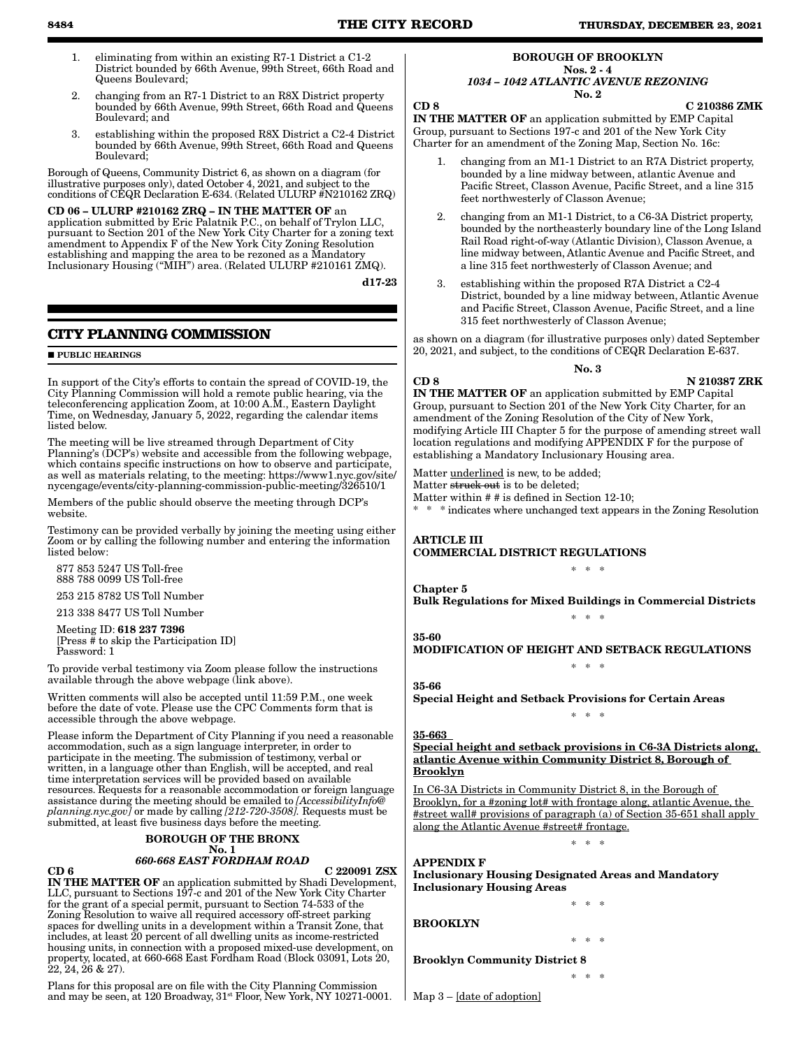- 1. eliminating from within an existing R7-1 District a C1-2 District bounded by 66th Avenue, 99th Street, 66th Road and Queens Boulevard;
- 2. changing from an R7-1 District to an R8X District property bounded by 66th Avenue, 99th Street, 66th Road and Queens Boulevard; and
- 3. establishing within the proposed R8X District a C2-4 District bounded by 66th Avenue, 99th Street, 66th Road and Queens Boulevard;

Borough of Queens, Community District 6, as shown on a diagram (for illustrative purposes only), dated October 4, 2021, and subject to the conditions of CEQR Declaration E-634. (Related ULURP #N210162 ZRQ)

#### CD 06 – ULURP #210162 ZRQ – IN THE MATTER OF an application submitted by Eric Palatnik P.C., on behalf of Trylon LLC, pursuant to Section 201 of the New York City Charter for a zoning text amendment to Appendix F of the New York City Zoning Resolution establishing and mapping the area to be rezoned as a Mandatory Inclusionary Housing ("MIH") area. (Related ULURP #210161 ZMQ).

d17-23

# **CITY PLANNING COMMISSION**

### **PUBLIC HEARINGS**

In support of the City's efforts to contain the spread of COVID-19, the City Planning Commission will hold a remote public hearing, via the teleconferencing application Zoom, at 10:00 A.M., Eastern Daylight Time, on Wednesday, January 5, 2022, regarding the calendar items listed below.

The meeting will be live streamed through Department of City Planning's (DCP's) website and accessible from the following webpage, which contains specific instructions on how to observe and participate, as well as materials relating, to the meeting: https://www1.nyc.gov/site/ nycengage/events/city-planning-commission-public-meeting/326510/1

Members of the public should observe the meeting through DCP's website.

Testimony can be provided verbally by joining the meeting using either Zoom or by calling the following number and entering the information listed below:

 877 853 5247 US Toll-free 888 788 0099 US Toll-free

253 215 8782 US Toll Number

213 338 8477 US Toll Number

 Meeting ID: 618 237 7396 [Press # to skip the Participation ID] Password: 1

To provide verbal testimony via Zoom please follow the instructions available through the above webpage (link above).

Written comments will also be accepted until 11:59 P.M., one week before the date of vote. Please use the CPC Comments form that is accessible through the above webpage.

Please inform the Department of City Planning if you need a reasonable accommodation, such as a sign language interpreter, in order to participate in the meeting. The submission of testimony, verbal or written, in a language other than English, will be accepted, and real time interpretation services will be provided based on available resources. Requests for a reasonable accommodation or foreign language assistance during the meeting should be emailed to *[AccessibilityInfo@ planning.nyc.gov]* or made by calling *[212-720-3508].* Requests must be submitted, at least five business days before the meeting.

#### BOROUGH OF THE BRONX No. 1

# *660-668 EAST FORDHAM ROAD*

 $CD 6$   $C 220091 ZSX$ 

IN THE MATTER OF an application submitted by Shadi Development, LLC, pursuant to Sections 197-c and 201 of the New York City Charter for the grant of a special permit, pursuant to Section 74-533 of the Zoning Resolution to waive all required accessory off-street parking spaces for dwelling units in a development within a Transit Zone, that includes, at least 20 percent of all dwelling units as income-restricted housing units, in connection with a proposed mixed-use development, on property, located, at 660-668 East Fordham Road (Block 03091, Lots 20,  $22, 24, 26 \& 27$ ).

Plans for this proposal are on file with the City Planning Commission and may be seen, at 120 Broadway, 31<sup>st</sup> Floor, New York, NY 10271-0001.

#### BOROUGH OF BROOKLYN Nos. 2 - 4

#### *1034 – 1042 ATLANTIC AVENUE REZONING* No. 2

CD 8 C 210386 ZMK

IN THE MATTER OF an application submitted by EMP Capital Group, pursuant to Sections 197-c and 201 of the New York City Charter for an amendment of the Zoning Map, Section No. 16c:

- 1. changing from an M1-1 District to an R7A District property, bounded by a line midway between, atlantic Avenue and Pacific Street, Classon Avenue, Pacific Street, and a line 315 feet northwesterly of Classon Avenue;
- 2. changing from an M1-1 District, to a C6-3A District property, bounded by the northeasterly boundary line of the Long Island Rail Road right-of-way (Atlantic Division), Classon Avenue, a line midway between, Atlantic Avenue and Pacific Street, and a line 315 feet northwesterly of Classon Avenue; and
- 3. establishing within the proposed R7A District a C2-4 District, bounded by a line midway between, Atlantic Avenue and Pacific Street, Classon Avenue, Pacific Street, and a line 315 feet northwesterly of Classon Avenue;

as shown on a diagram (for illustrative purposes only) dated September 20, 2021, and subject, to the conditions of CEQR Declaration E-637.

No. 3

CD 8 N 210387 ZRK

IN THE MATTER OF an application submitted by EMP Capital Group, pursuant to Section 201 of the New York City Charter, for an amendment of the Zoning Resolution of the City of New York, modifying Article III Chapter 5 for the purpose of amending street wall location regulations and modifying APPENDIX F for the purpose of establishing a Mandatory Inclusionary Housing area.

Matter underlined is new, to be added;

Matter struck out is to be deleted;

Matter within # # is defined in Section 12-10;

\* \* \* indicates where unchanged text appears in the Zoning Resolution

ARTICLE III COMMERCIAL DISTRICT REGULATIONS

Chapter 5 Bulk Regulations for Mixed Buildings in Commercial Districts \* \* \*

\* \* \*

MODIFICATION OF HEIGHT AND SETBACK REGULATIONS \* \* \*

35-66

35-60

Special Height and Setback Provisions for Certain Areas

# 35-663

Special height and setback provisions in C6-3A Districts along, atlantic Avenue within Community District 8, Borough of Brooklyn

\* \* \*

In C6-3A Districts in Community District 8, in the Borough of Brooklyn, for a #zoning lot# with frontage along, atlantic Avenue, the #street wall# provisions of paragraph (a) of Section 35-651 shall apply along the Atlantic Avenue #street# frontage.

\* \* \*

\* \* \*

APPENDIX F

Inclusionary Housing Designated Areas and Mandatory Inclusionary Housing Areas

BROOKLYN

\* \* \* Brooklyn Community District 8

\* \* \*

Map 3 – [date of adoption]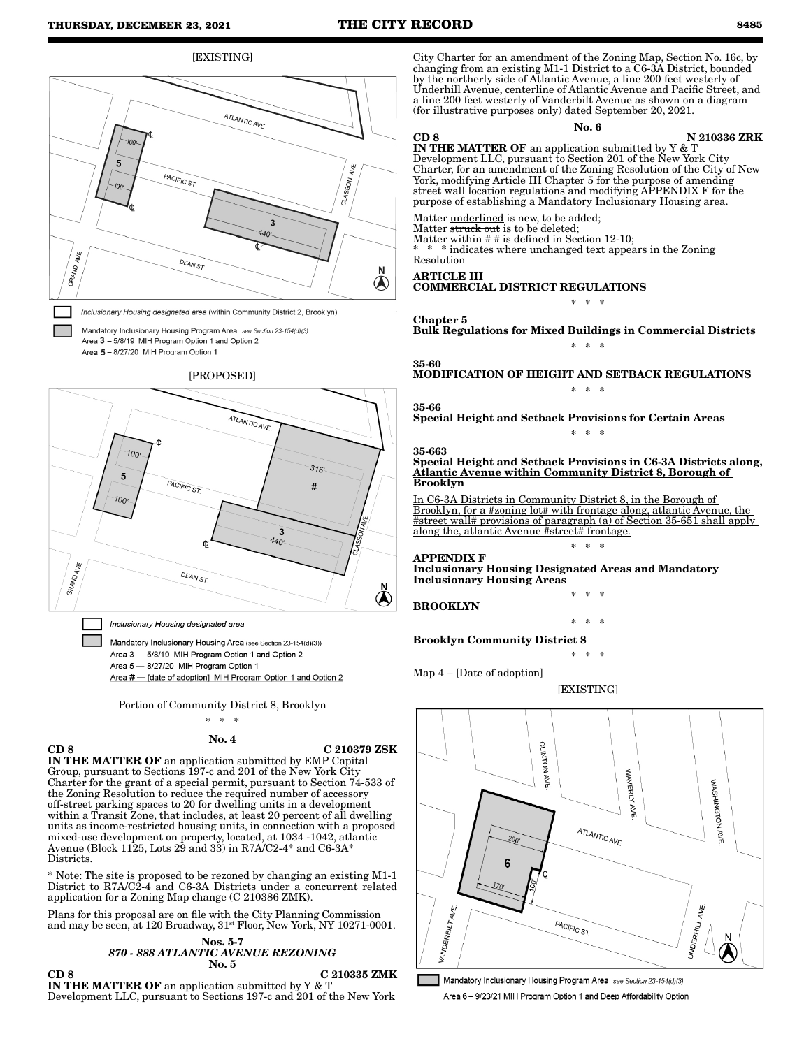

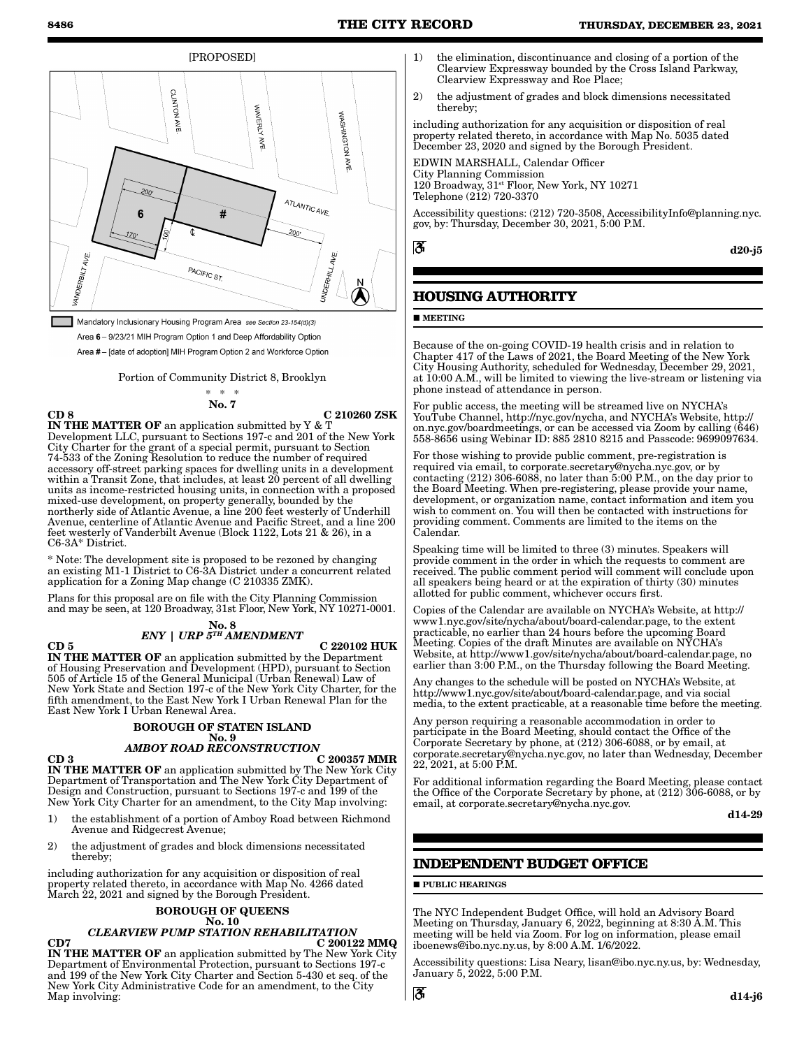[PROPOSED]



Mandatory Inclusionary Housing Program Area see Section 23-154(d)(3) Area 6 - 9/23/21 MIH Program Option 1 and Deep Affordability Option Area #- [date of adoption] MIH Program Option 2 and Workforce Option

Portion of Community District 8, Brooklyn

\* \* \* No. 7

CD 8 C 210260 ZSK IN THE MATTER OF an application submitted by Y & T Development LLC, pursuant to Sections 197-c and 201 of the New York City Charter for the grant of a special permit, pursuant to Section 74-533 of the Zoning Resolution to reduce the number of required accessory off-street parking spaces for dwelling units in a development within a Transit Zone, that includes, at least 20 percent of all dwelling units as income-restricted housing units, in connection with a proposed mixed-use development, on property generally, bounded by the northerly side of Atlantic Avenue, a line 200 feet westerly of Underhill Avenue, centerline of Atlantic Avenue and Pacific Street, and a line 200 feet westerly of Vanderbilt Avenue (Block 1122, Lots 21 & 26), in a C6-3A\* District.

\* Note: The development site is proposed to be rezoned by changing an existing M1-1 District to C6-3A District under a concurrent related application for a Zoning Map change (C 210335 ZMK).

Plans for this proposal are on file with the City Planning Commission and may be seen, at 120 Broadway, 31st Floor, New York, NY 10271-0001.

#### No. 8 *ENY | URP 5TH AMENDMENT*

 $CD 5$  C 220102 HUK

IN THE MATTER OF an application submitted by the Department of Housing Preservation and Development (HPD), pursuant to Section 505 of Article 15 of the General Municipal (Urban Renewal) Law of New York State and Section 197-c of the New York City Charter, for the fifth amendment, to the East New York I Urban Renewal Plan for the East New York I Urban Renewal Area.

# BOROUGH OF STATEN ISLAND

# No. 9 *AMBOY ROAD RECONSTRUCTION*

 $CD 3$   $C 200357$  MMR IN THE MATTER OF an application submitted by The New York City Department of Transportation and The New York City Department of Design and Construction, pursuant to Sections 197-c and 199 of the New York City Charter for an amendment, to the City Map involving:

- 1) the establishment of a portion of Amboy Road between Richmond Avenue and Ridgecrest Avenue;
- 2) the adjustment of grades and block dimensions necessitated thereby;

including authorization for any acquisition or disposition of real property related thereto, in accordance with Map No. 4266 dated March 22, 2021 and signed by the Borough President.

# BOROUGH OF QUEENS

### No. 10 *CLEARVIEW PUMP STATION REHABILITATION*

 $CD7$  C 200122 MMQ IN THE MATTER OF an application submitted by The New York City Department of Environmental Protection, pursuant to Sections 197-c and 199 of the New York City Charter and Section 5-430 et seq. of the New York City Administrative Code for an amendment, to the City Map involving:

- 1) the elimination, discontinuance and closing of a portion of the Clearview Expressway bounded by the Cross Island Parkway, Clearview Expressway and Roe Place;
- 2) the adjustment of grades and block dimensions necessitated thereby;

including authorization for any acquisition or disposition of real property related thereto, in accordance with Map No. 5035 dated December 23, 2020 and signed by the Borough President.

EDWIN MARSHALL, Calendar Officer City Planning Commission 120 Broadway, 31st Floor, New York, NY 10271 Telephone (212) 720-3370

Accessibility questions: (212) 720-3508, AccessibilityInfo@planning.nyc. gov, by: Thursday, December 30, 2021, 5:00 P.M.

ã

d20-j5

# **HOUSING AUTHORITY**

### **MEETING**

Because of the on-going COVID-19 health crisis and in relation to Chapter 417 of the Laws of 2021, the Board Meeting of the New York City Housing Authority, scheduled for Wednesday, December 29, 2021, at 10:00 A.M., will be limited to viewing the live-stream or listening via phone instead of attendance in person.

For public access, the meeting will be streamed live on NYCHA's YouTube Channel, http://nyc.gov/nycha, and NYCHA's Website, http:// on.nyc.gov/boardmeetings, or can be accessed via Zoom by calling (646) 558-8656 using Webinar ID: 885 2810 8215 and Passcode: 9699097634.

For those wishing to provide public comment, pre-registration is required via email, to corporate.secretary@nycha.nyc.gov, or by contacting (212) 306-6088, no later than 5:00 P.M., on the day prior to the Board Meeting. When pre-registering, please provide your name, development, or organization name, contact information and item you wish to comment on. You will then be contacted with instructions for providing comment. Comments are limited to the items on the Calendar.

Speaking time will be limited to three (3) minutes. Speakers will provide comment in the order in which the requests to comment are received. The public comment period will comment will conclude upon all speakers being heard or at the expiration of thirty (30) minutes allotted for public comment, whichever occurs first.

Copies of the Calendar are available on NYCHA's Website, at http:// www1.nyc.gov/site/nycha/about/board-calendar.page, to the extent practicable, no earlier than 24 hours before the upcoming Board Meeting. Copies of the draft Minutes are available on NYCHA's Website, at http://www1.gov/site/nycha/about/board-calendar.page, no earlier than 3:00 P.M., on the Thursday following the Board Meeting.

Any changes to the schedule will be posted on NYCHA's Website, at http://www1.nyc.gov/site/about/board-calendar.page, and via social media, to the extent practicable, at a reasonable time before the meeting.

Any person requiring a reasonable accommodation in order to participate in the Board Meeting, should contact the Office of the Corporate Secretary by phone, at (212) 306-6088, or by email, at corporate.secretary@nycha.nyc.gov, no later than Wednesday, December 22, 2021, at 5:00 P.M.

For additional information regarding the Board Meeting, please contact the Office of the Corporate Secretary by phone, at (212) 306-6088, or by email, at corporate.secretary@nycha.nyc.gov.

d14-29

# **INDEPENDENT BUDGET OFFICE**

#### **PUBLIC HEARINGS**

The NYC Independent Budget Office, will hold an Advisory Board Meeting on Thursday, January 6, 2022, beginning at 8:30 A.M. This meeting will be held via Zoom. For log on information, please email iboenews@ibo.nyc.ny.us, by 8:00 A.M. 1/6/2022.

Accessibility questions: Lisa Neary, lisan@ibo.nyc.ny.us, by: Wednesday, January 5, 2022, 5:00 P.M.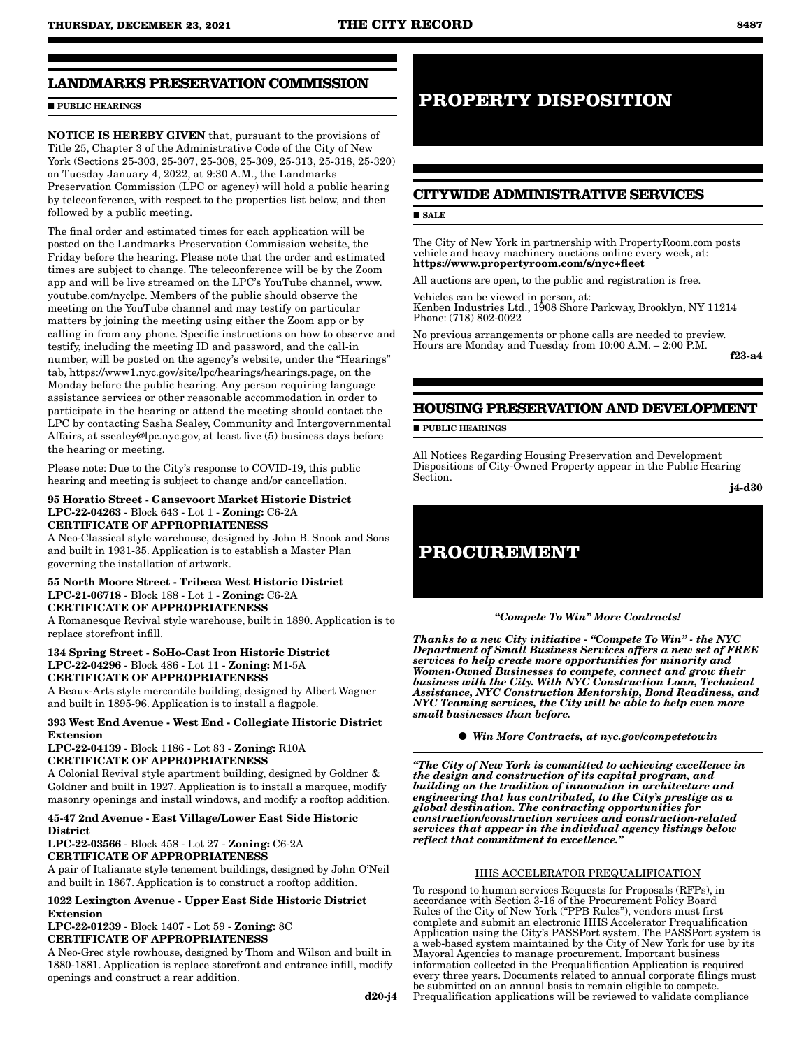# **LANDMARKS PRESERVATION COMMISSION**

### **PUBLIC HEARINGS**

NOTICE IS HEREBY GIVEN that, pursuant to the provisions of Title 25, Chapter 3 of the Administrative Code of the City of New York (Sections 25-303, 25-307, 25-308, 25-309, 25-313, 25-318, 25-320) on Tuesday January 4, 2022, at 9:30 A.M., the Landmarks Preservation Commission (LPC or agency) will hold a public hearing by teleconference, with respect to the properties list below, and then followed by a public meeting.

The final order and estimated times for each application will be posted on the Landmarks Preservation Commission website, the Friday before the hearing. Please note that the order and estimated times are subject to change. The teleconference will be by the Zoom app and will be live streamed on the LPC's YouTube channel, www. youtube.com/nyclpc. Members of the public should observe the meeting on the YouTube channel and may testify on particular matters by joining the meeting using either the Zoom app or by calling in from any phone. Specific instructions on how to observe and testify, including the meeting ID and password, and the call-in number, will be posted on the agency's website, under the "Hearings" tab, https://www1.nyc.gov/site/lpc/hearings/hearings.page, on the Monday before the public hearing. Any person requiring language assistance services or other reasonable accommodation in order to participate in the hearing or attend the meeting should contact the LPC by contacting Sasha Sealey, Community and Intergovernmental Affairs, at ssealey@lpc.nyc.gov, at least five (5) business days before the hearing or meeting.

Please note: Due to the City's response to COVID-19, this public hearing and meeting is subject to change and/or cancellation.

#### 95 Horatio Street - Gansevoort Market Historic District LPC-22-04263 - Block 643 - Lot 1 - Zoning: C6-2A CERTIFICATE OF APPROPRIATENESS

A Neo-Classical style warehouse, designed by John B. Snook and Sons and built in 1931-35. Application is to establish a Master Plan governing the installation of artwork.

#### 55 North Moore Street - Tribeca West Historic District LPC-21-06718 - Block 188 - Lot 1 - Zoning: C6-2A CERTIFICATE OF APPROPRIATENESS

A Romanesque Revival style warehouse, built in 1890. Application is to replace storefront infill.

#### 134 Spring Street - SoHo-Cast Iron Historic District LPC-22-04296 - Block 486 - Lot 11 - Zoning: M1-5A CERTIFICATE OF APPROPRIATENESS

A Beaux-Arts style mercantile building, designed by Albert Wagner and built in 1895-96. Application is to install a flagpole.

# 393 West End Avenue - West End - Collegiate Historic District Extension

LPC-22-04139 - Block 1186 - Lot 83 - Zoning: R10A CERTIFICATE OF APPROPRIATENESS

A Colonial Revival style apartment building, designed by Goldner & Goldner and built in 1927. Application is to install a marquee, modify masonry openings and install windows, and modify a rooftop addition.

# 45-47 2nd Avenue - East Village/Lower East Side Historic District

LPC-22-03566 - Block 458 - Lot 27 - Zoning: C6-2A CERTIFICATE OF APPROPRIATENESS

A pair of Italianate style tenement buildings, designed by John O'Neil and built in 1867. Application is to construct a rooftop addition.

# 1022 Lexington Avenue - Upper East Side Historic District Extension

LPC-22-01239 - Block 1407 - Lot 59 - Zoning: 8C CERTIFICATE OF APPROPRIATENESS

A Neo-Grec style rowhouse, designed by Thom and Wilson and built in 1880-1881. Application is replace storefront and entrance infill, modify openings and construct a rear addition.

# **PROPERTY DISPOSITION**

# **CITYWIDE ADMINISTRATIVE SERVICES**

# **SALE**

The City of New York in partnership with PropertyRoom.com posts vehicle and heavy machinery auctions online every week, at: https://www.propertyroom.com/s/nyc+fleet

All auctions are open, to the public and registration is free.

Vehicles can be viewed in person, at: Kenben Industries Ltd., 1908 Shore Parkway, Brooklyn, NY 11214 Phone: (718) 802-0022

No previous arrangements or phone calls are needed to preview. Hours are Monday and Tuesday from 10:00 A.M. – 2:00 P.M.

f23-a4

# **HOUSING PRESERVATION AND DEVELOPMENT**

**PUBLIC HEARINGS** 

All Notices Regarding Housing Preservation and Development Dispositions of City-Owned Property appear in the Public Hearing Section.

j4-d30

# **PROCUREMENT**

## *"Compete To Win" More Contracts!*

*Thanks to a new City initiative - "Compete To Win" - the NYC Department of Small Business Services offers a new set of FREE services to help create more opportunities for minority and Women-Owned Businesses to compete, connect and grow their business with the City. With NYC Construction Loan, Technical Assistance, NYC Construction Mentorship, Bond Readiness, and NYC Teaming services, the City will be able to help even more small businesses than before.*

*Win More Contracts, at nyc.gov/competetowin*

*"The City of New York is committed to achieving excellence in the design and construction of its capital program, and building on the tradition of innovation in architecture and engineering that has contributed, to the City's prestige as a global destination. The contracting opportunities for construction/construction services and construction-related services that appear in the individual agency listings below reflect that commitment to excellence."*

## HHS ACCELERATOR PREQUALIFICATION

d20-j4 l Prequalification applications will be reviewed to validate compliance To respond to human services Requests for Proposals (RFPs), in accordance with Section 3-16 of the Procurement Policy Board Rules of the City of New York ("PPB Rules"), vendors must first complete and submit an electronic HHS Accelerator Prequalification Application using the City's PASSPort system. The PASSPort system is a web-based system maintained by the City of New York for use by its Mayoral Agencies to manage procurement. Important business information collected in the Prequalification Application is required every three years. Documents related to annual corporate filings must be submitted on an annual basis to remain eligible to compete.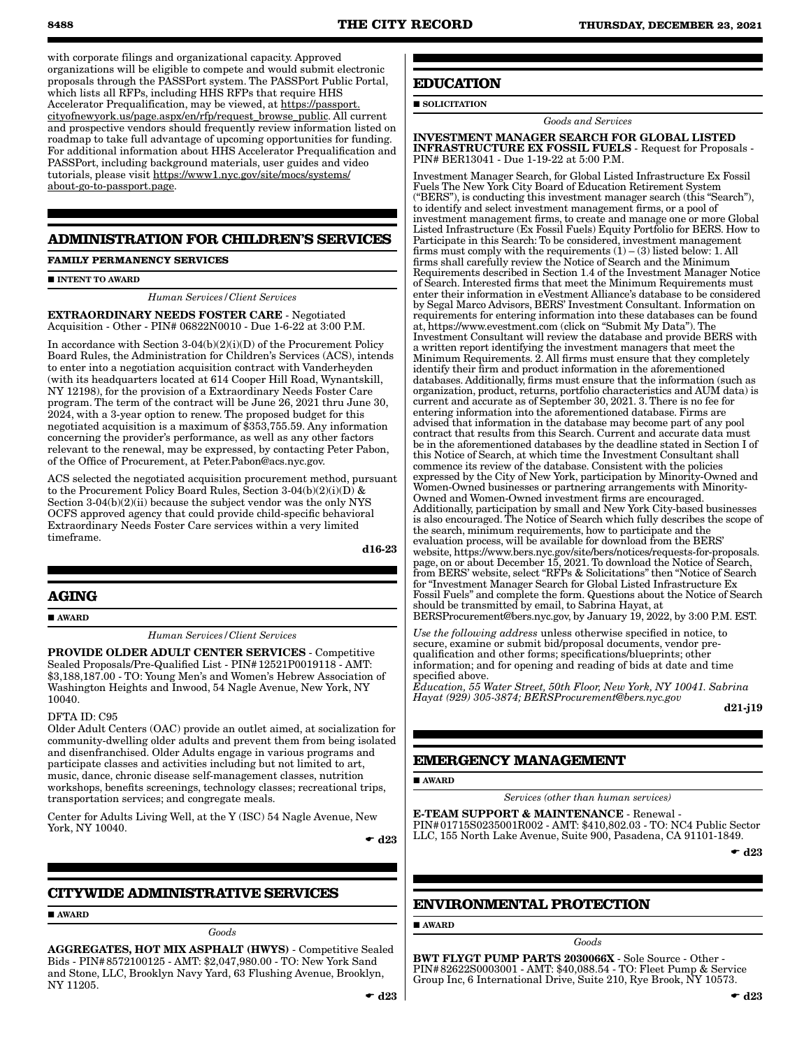with corporate filings and organizational capacity. Approved organizations will be eligible to compete and would submit electronic proposals through the PASSPort system. The PASSPort Public Portal, which lists all RFPs, including HHS RFPs that require HHS Accelerator Prequalification, may be viewed, at https://passport. cityofnewyork.us/page.aspx/en/rfp/request\_browse\_public. All current and prospective vendors should frequently review information listed on roadmap to take full advantage of upcoming opportunities for funding. For additional information about HHS Accelerator Prequalification and PASSPort, including background materials, user guides and video tutorials, please visit https://www1.nyc.gov/site/mocs/systems/ about-go-to-passport.page.

# **ADMINISTRATION FOR CHILDREN'S SERVICES**

### **FAMILY PERMANENCY SERVICES**

#### **INTENT TO AWARD**

*Human Services/Client Services*

EXTRAORDINARY NEEDS FOSTER CARE - Negotiated Acquisition - Other - PIN# 06822N0010 - Due 1-6-22 at 3:00 P.M.

In accordance with Section  $3-04(b)(2)(i)(D)$  of the Procurement Policy Board Rules, the Administration for Children's Services (ACS), intends to enter into a negotiation acquisition contract with Vanderheyden (with its headquarters located at 614 Cooper Hill Road, Wynantskill, NY 12198), for the provision of a Extraordinary Needs Foster Care program. The term of the contract will be June 26, 2021 thru June 30, 2024, with a 3-year option to renew. The proposed budget for this negotiated acquisition is a maximum of \$353,755.59. Any information concerning the provider's performance, as well as any other factors relevant to the renewal, may be expressed, by contacting Peter Pabon, of the Office of Procurement, at Peter.Pabon@acs.nyc.gov.

ACS selected the negotiated acquisition procurement method, pursuant to the Procurement Policy Board Rules, Section 3-04(b)(2)(i)(D) & Section 3-04(b)(2)(ii) because the subject vendor was the only NYS OCFS approved agency that could provide child-specific behavioral Extraordinary Needs Foster Care services within a very limited timeframe.

d16-23

## **AGING**

**AWARD** 

*Human Services/Client Services*

PROVIDE OLDER ADULT CENTER SERVICES - Competitive Sealed Proposals/Pre-Qualified List - PIN#12521P0019118 - AMT: \$3,188,187.00 - TO: Young Men's and Women's Hebrew Association of Washington Heights and Inwood, 54 Nagle Avenue, New York, NY 10040.

#### DFTA ID: C95

Older Adult Centers (OAC) provide an outlet aimed, at socialization for community-dwelling older adults and prevent them from being isolated and disenfranchised. Older Adults engage in various programs and participate classes and activities including but not limited to art, music, dance, chronic disease self-management classes, nutrition workshops, benefits screenings, technology classes; recreational trips, transportation services; and congregate meals.

Center for Adults Living Well, at the Y (ISC) 54 Nagle Avenue, New York, NY 10040.

 $\bullet$  d23

## **CITYWIDE ADMINISTRATIVE SERVICES**

AWARD

*Goods*

AGGREGATES, HOT MIX ASPHALT (HWYS) - Competitive Sealed Bids - PIN#8572100125 - AMT: \$2,047,980.00 - TO: New York Sand and Stone, LLC, Brooklyn Navy Yard, 63 Flushing Avenue, Brooklyn, NY 11205.

**EDUCATION**

# SOLICITATION

*Goods and Services*

INVESTMENT MANAGER SEARCH FOR GLOBAL LISTED INFRASTRUCTURE EX FOSSIL FUELS - Request for Proposals - PIN# BER13041 - Due 1-19-22 at 5:00 P.M.

Investment Manager Search, for Global Listed Infrastructure Ex Fossil Fuels The New York City Board of Education Retirement System ("BERS"), is conducting this investment manager search (this "Search"), to identify and select investment management firms, or a pool of investment management firms, to create and manage one or more Global Listed Infrastructure (Ex Fossil Fuels) Equity Portfolio for BERS. How to Participate in this Search: To be considered, investment management firms must comply with the requirements  $(1) - (3)$  listed below: 1. All firms shall carefully review the Notice of Search and the Minimum Requirements described in Section 1.4 of the Investment Manager Notice of Search. Interested firms that meet the Minimum Requirements must enter their information in eVestment Alliance's database to be considered by Segal Marco Advisors, BERS' Investment Consultant. Information on requirements for entering information into these databases can be found at, https://www.evestment.com (click on "Submit My Data"). The Investment Consultant will review the database and provide BERS with a written report identifying the investment managers that meet the Minimum Requirements. 2. All firms must ensure that they completely identify their firm and product information in the aforementioned databases. Additionally, firms must ensure that the information (such as organization, product, returns, portfolio characteristics and AUM data) is current and accurate as of September 30, 2021. 3. There is no fee for entering information into the aforementioned database. Firms are advised that information in the database may become part of any pool contract that results from this Search. Current and accurate data must be in the aforementioned databases by the deadline stated in Section I of this Notice of Search, at which time the Investment Consultant shall commence its review of the database. Consistent with the policies expressed by the City of New York, participation by Minority-Owned and Women-Owned businesses or partnering arrangements with Minority-Owned and Women-Owned investment firms are encouraged. Additionally, participation by small and New York City-based businesses is also encouraged. The Notice of Search which fully describes the scope of the search, minimum requirements, how to participate and the evaluation process, will be available for download from the BERS' website, https://www.bers.nyc.gov/site/bers/notices/requests-for-proposals. page, on or about December 15, 2021. To download the Notice of Search, from BERS' website, select "RFPs & Solicitations" then "Notice of Search for "Investment Manager Search for Global Listed Infrastructure Ex Fossil Fuels" and complete the form. Questions about the Notice of Search should be transmitted by email, to Sabrina Hayat, at BERSProcurement@bers.nyc.gov, by January 19, 2022, by 3:00 P.M. EST.

*Use the following address* unless otherwise specified in notice, to secure, examine or submit bid/proposal documents, vendor prequalification and other forms; specifications/blueprints; other information; and for opening and reading of bids at date and time specified above.

*Education, 55 Water Street, 50th Floor, New York, NY 10041. Sabrina Hayat (929) 305-3874; BERSProcurement@bers.nyc.gov*

d21-j19

### **EMERGENCY MANAGEMENT**

**AWARD** 

*Services (other than human services)*

E-TEAM SUPPORT & MAINTENANCE - Renewal - PIN#01715S0235001R002 - AMT: \$410,802.03 - TO: NC4 Public Sector LLC, 155 North Lake Avenue, Suite 900, Pasadena, CA 91101-1849.

 $-$  d23

#### **ENVIRONMENTAL PROTECTION**

**AWARD** 

*Goods*

BWT FLYGT PUMP PARTS 2030066X - Sole Source - Other - PIN#82622S0003001 - AMT: \$40,088.54 - TO: Fleet Pump & Service Group Inc, 6 International Drive, Suite 210, Rye Brook, NY 10573.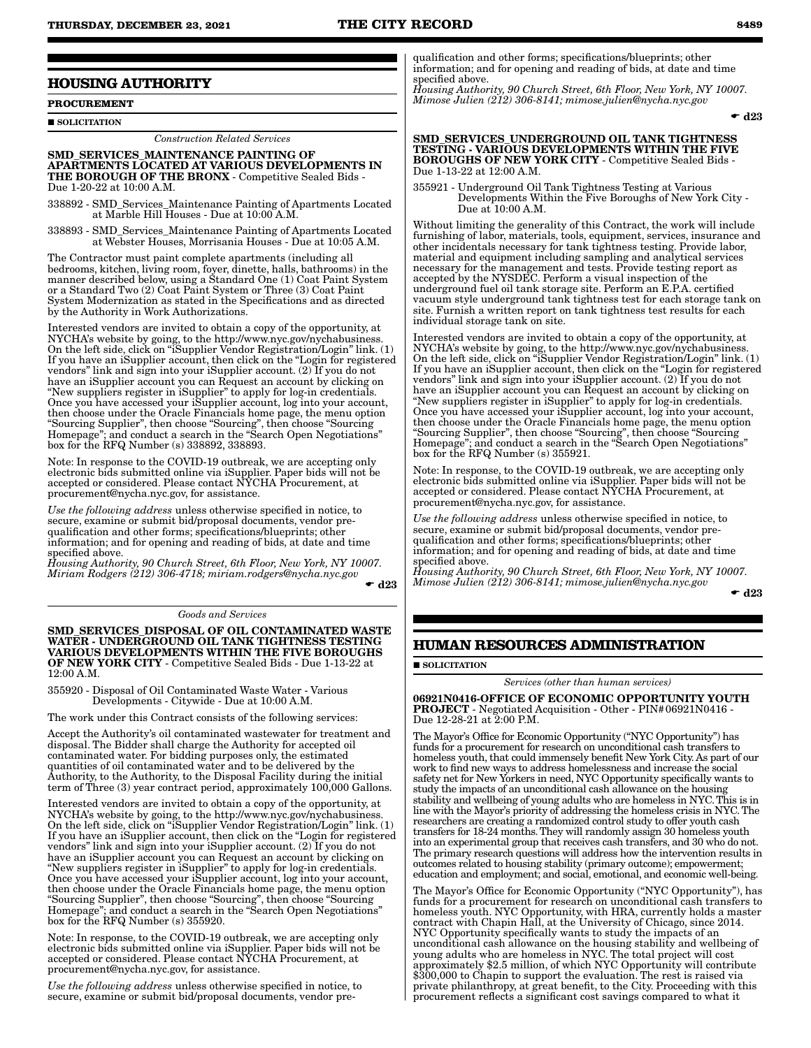## **HOUSING AUTHORITY**

**PROCUREMENT**

SOLICITATION

*Construction Related Services*

SMD\_SERVICES\_MAINTENANCE PAINTING OF APARTMENTS LOCATED AT VARIOUS DEVELOPMENTS IN THE BOROUGH OF THE BRONX - Competitive Sealed Bids - Due 1-20-22 at 10:00 A.M.

338892 - SMD\_Services\_Maintenance Painting of Apartments Located at Marble Hill Houses - Due at 10:00 A.M.

338893 - SMD\_Services\_Maintenance Painting of Apartments Located at Webster Houses, Morrisania Houses - Due at 10:05 A.M.

The Contractor must paint complete apartments (including all bedrooms, kitchen, living room, foyer, dinette, halls, bathrooms) in the manner described below, using a Standard One (1) Coat Paint System or a Standard Two (2) Coat Paint System or Three (3) Coat Paint System Modernization as stated in the Specifications and as directed by the Authority in Work Authorizations.

Interested vendors are invited to obtain a copy of the opportunity, at NYCHA's website by going, to the http://www.nyc.gov/nychabusiness. On the left side, click on "iSupplier Vendor Registration/Login" link. (1) If you have an iSupplier account, then click on the "Login for registered vendors" link and sign into your iSupplier account. (2) If you do not have an iSupplier account you can Request an account by clicking on "New suppliers register in iSupplier" to apply for log-in credentials. Once you have accessed your iSupplier account, log into your account, then choose under the Oracle Financials home page, the menu option "Sourcing Supplier", then choose "Sourcing", then choose "Sourcing Homepage"; and conduct a search in the "Search Open Negotiations" box for the RFQ Number (s) 338892, 338893.

Note: In response to the COVID-19 outbreak, we are accepting only electronic bids submitted online via iSupplier. Paper bids will not be accepted or considered. Please contact NYCHA Procurement, at procurement@nycha.nyc.gov, for assistance.

*Use the following address* unless otherwise specified in notice, to secure, examine or submit bid/proposal documents, vendor prequalification and other forms; specifications/blueprints; other information; and for opening and reading of bids, at date and time specified above.

*Housing Authority, 90 Church Street, 6th Floor, New York, NY 10007. Miriam Rodgers (212) 306-4718; miriam.rodgers@nycha.nyc.gov*  $\bullet$  d23

#### *Goods and Services*

SMD\_SERVICES\_DISPOSAL OF OIL CONTAMINATED WASTE WATER - UNDERGROUND OIL TANK TIGHTNESS TESTING VARIOUS DEVELOPMENTS WITHIN THE FIVE BOROUGHS OF NEW YORK CITY - Competitive Sealed Bids - Due 1-13-22 at 12:00 A.M.

355920 - Disposal of Oil Contaminated Waste Water - Various Developments - Citywide - Due at 10:00 A.M.

The work under this Contract consists of the following services:

Accept the Authority's oil contaminated wastewater for treatment and disposal. The Bidder shall charge the Authority for accepted oil contaminated water. For bidding purposes only, the estimated quantities of oil contaminated water and to be delivered by the Authority, to the Authority, to the Disposal Facility during the initial term of Three (3) year contract period, approximately 100,000 Gallons.

Interested vendors are invited to obtain a copy of the opportunity, at NYCHA's website by going, to the http://www.nyc.gov/nychabusiness. On the left side, click on "iSupplier Vendor Registration/Login" link. (1) If you have an iSupplier account, then click on the "Login for registered vendors" link and sign into your iSupplier account. (2) If you do not have an iSupplier account you can Request an account by clicking on "New suppliers register in iSupplier" to apply for log-in credentials. Once you have accessed your iSupplier account, log into your account, then choose under the Oracle Financials home page, the menu option "Sourcing Supplier", then choose "Sourcing", then choose "Sourcing Homepage"; and conduct a search in the "Search Open Negotiations" box for the RFQ Number (s) 355920.

Note: In response, to the COVID-19 outbreak, we are accepting only electronic bids submitted online via iSupplier. Paper bids will not be accepted or considered. Please contact NYCHA Procurement, at procurement@nycha.nyc.gov, for assistance.

*Use the following address* unless otherwise specified in notice, to secure, examine or submit bid/proposal documents, vendor prequalification and other forms; specifications/blueprints; other information; and for opening and reading of bids, at date and time specified above.

*Housing Authority, 90 Church Street, 6th Floor, New York, NY 10007. Mimose Julien (212) 306-8141; mimose.julien@nycha.nyc.gov*

 $\bullet$  d23

#### SMD\_SERVICES\_UNDERGROUND OIL TANK TIGHTNESS TESTING - VARIOUS DEVELOPMENTS WITHIN THE FIVE BOROUGHS OF NEW YORK CITY - Competitive Sealed Bids - Due 1-13-22 at 12:00 A.M.

355921 - Underground Oil Tank Tightness Testing at Various Developments Within the Five Boroughs of New York City - Due at 10:00 A.M.

Without limiting the generality of this Contract, the work will include furnishing of labor, materials, tools, equipment, services, insurance and other incidentals necessary for tank tightness testing. Provide labor, material and equipment including sampling and analytical services necessary for the management and tests. Provide testing report as accepted by the NYSDEC. Perform a visual inspection of the underground fuel oil tank storage site. Perform an E.P.A. certified vacuum style underground tank tightness test for each storage tank on site. Furnish a written report on tank tightness test results for each individual storage tank on site.

Interested vendors are invited to obtain a copy of the opportunity, at NYCHA's website by going, to the http://www.nyc.gov/nychabusiness. On the left side, click on "iSupplier Vendor Registration/Login" link. (1) If you have an iSupplier account, then click on the "Login for registered vendors" link and sign into your iSupplier account. (2) If you do not have an iSupplier account you can Request an account by clicking on "New suppliers register in iSupplier" to apply for log-in credentials. Once you have accessed your iSupplier account, log into your account, then choose under the Oracle Financials home page, the menu option "Sourcing Supplier", then choose "Sourcing", then choose "Sourcing Homepage"; and conduct a search in the "Search Open Negotiations" box for the RFQ Number (s) 355921.

Note: In response, to the COVID-19 outbreak, we are accepting only electronic bids submitted online via iSupplier. Paper bids will not be accepted or considered. Please contact NYCHA Procurement, at procurement@nycha.nyc.gov, for assistance.

*Use the following address* unless otherwise specified in notice, to secure, examine or submit bid/proposal documents, vendor prequalification and other forms; specifications/blueprints; other information; and for opening and reading of bids, at date and time specified above.

*Housing Authority, 90 Church Street, 6th Floor, New York, NY 10007. Mimose Julien (212) 306-8141; mimose.julien@nycha.nyc.gov*

 $\bullet$  d23

# **HUMAN RESOURCES ADMINISTRATION**

**SOLICITATION** 

#### *Services (other than human services)*

06921N0416-OFFICE OF ECONOMIC OPPORTUNITY YOUTH PROJECT - Negotiated Acquisition - Other - PIN#06921N0416 - Due 12-28-21 at 2:00 P.M.

The Mayor's Office for Economic Opportunity ("NYC Opportunity") has funds for a procurement for research on unconditional cash transfers to homeless youth, that could immensely benefit New York City. As part of our work to find new ways to address homelessness and increase the social safety net for New Yorkers in need, NYC Opportunity specifically wants to study the impacts of an unconditional cash allowance on the housing stability and wellbeing of young adults who are homeless in NYC. This is in line with the Mayor's priority of addressing the homeless crisis in NYC. The researchers are creating a randomized control study to offer youth cash transfers for 18-24 months. They will randomly assign 30 homeless youth into an experimental group that receives cash transfers, and 30 who do not. The primary research questions will address how the intervention results in outcomes related to housing stability (primary outcome); empowerment; education and employment; and social, emotional, and economic well-being.

The Mayor's Office for Economic Opportunity ("NYC Opportunity"), has funds for a procurement for research on unconditional cash transfers to homeless youth. NYC Opportunity, with HRA, currently holds a master contract with Chapin Hall, at the University of Chicago, since 2014. NYC Opportunity specifically wants to study the impacts of an unconditional cash allowance on the housing stability and wellbeing of young adults who are homeless in NYC. The total project will cost approximately \$2.5 million, of which NYC Opportunity will contribute \$300,000 to Chapin to support the evaluation. The rest is raised via private philanthropy, at great benefit, to the City. Proceeding with this procurement reflects a significant cost savings compared to what it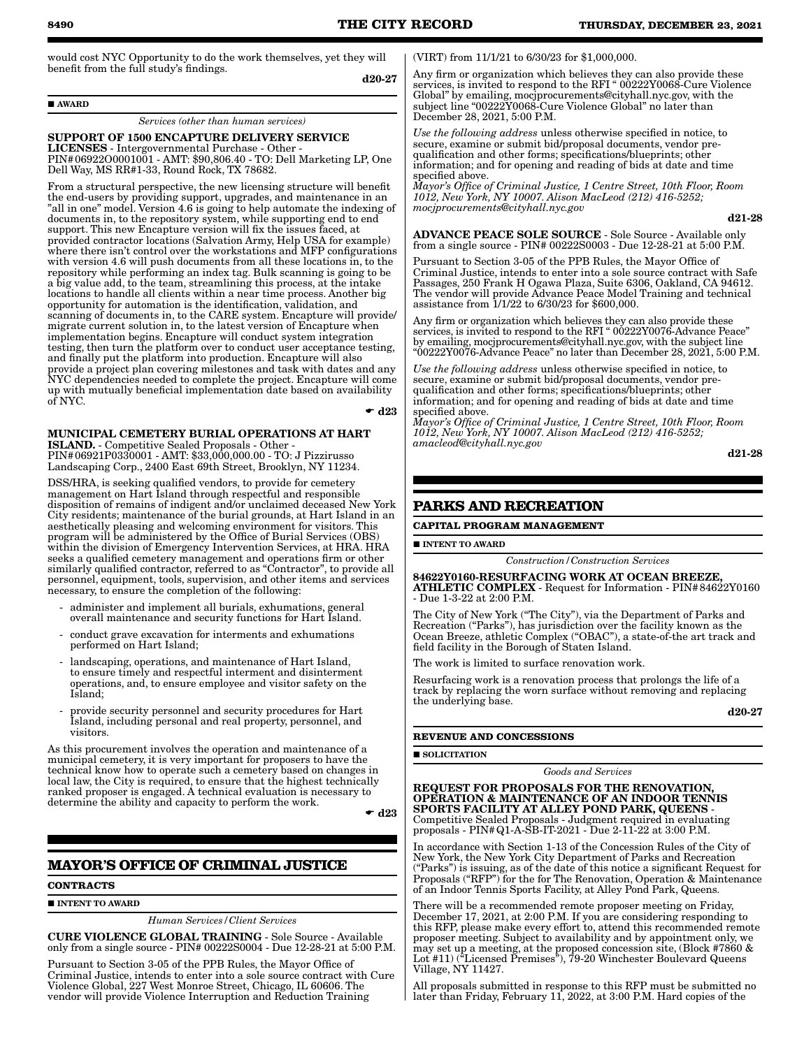would cost NYC Opportunity to do the work themselves, yet they will benefit from the full study's findings. d20-27

AWARD

#### *Services (other than human services)*

SUPPORT OF 1500 ENCAPTURE DELIVERY SERVICE LICENSES - Intergovernmental Purchase - Other - PIN#06922O0001001 - AMT: \$90,806.40 - TO: Dell Marketing LP, One Dell Way, MS RR#1-33, Round Rock, TX 78682.

From a structural perspective, the new licensing structure will benefit the end-users by providing support, upgrades, and maintenance in an "all in one" model. Version 4.6 is going to help automate the indexing of documents in, to the repository system, while supporting end to end support. This new Encapture version will fix the issues faced, at provided contractor locations (Salvation Army, Help USA for example) where there isn't control over the workstations and MFP configurations with version 4.6 will push documents from all these locations in, to the repository while performing an index tag. Bulk scanning is going to be a big value add, to the team, streamlining this process, at the intake locations to handle all clients within a near time process. Another big opportunity for automation is the identification, validation, and scanning of documents in, to the CARE system. Encapture will provide/ migrate current solution in, to the latest version of Encapture when implementation begins. Encapture will conduct system integration testing, then turn the platform over to conduct user acceptance testing, and finally put the platform into production. Encapture will also provide a project plan covering milestones and task with dates and any NYC dependencies needed to complete the project. Encapture will come up with mutually beneficial implementation date based on availability of NYC.

 $\bullet$  d23

MUNICIPAL CEMETERY BURIAL OPERATIONS AT HART ISLAND. - Competitive Sealed Proposals - Other - PIN#06921P0330001 - AMT: \$33,000,000.00 - TO: J Pizzirusso

Landscaping Corp., 2400 East 69th Street, Brooklyn, NY 11234.

DSS/HRA, is seeking qualified vendors, to provide for cemetery management on Hart Island through respectful and responsible disposition of remains of indigent and/or unclaimed deceased New York City residents; maintenance of the burial grounds, at Hart Island in an aesthetically pleasing and welcoming environment for visitors. This program will be administered by the Office of Burial Services (OBS) within the division of Emergency Intervention Services, at HRA. HRA seeks a qualified cemetery management and operations firm or other similarly qualified contractor, referred to as "Contractor", to provide all personnel, equipment, tools, supervision, and other items and services necessary, to ensure the completion of the following:

- administer and implement all burials, exhumations, general overall maintenance and security functions for Hart Island.
- conduct grave excavation for interments and exhumations performed on Hart Island;
- landscaping, operations, and maintenance of Hart Island, to ensure timely and respectful interment and disinterment operations, and, to ensure employee and visitor safety on the Island;
- provide security personnel and security procedures for Hart Island, including personal and real property, personnel, and visitors.

As this procurement involves the operation and maintenance of a municipal cemetery, it is very important for proposers to have the technical know how to operate such a cemetery based on changes in local law, the City is required, to ensure that the highest technically ranked proposer is engaged. A technical evaluation is necessary to determine the ability and capacity to perform the work.

 $\bullet$  d23

# **MAYOR'S OFFICE OF CRIMINAL JUSTICE**

#### **CONTRACTS**

## $\blacksquare$ INTENT TO AWARD

*Human Services/Client Services*

CURE VIOLENCE GLOBAL TRAINING - Sole Source - Available only from a single source - PIN# 00222S0004 - Due 12-28-21 at 5:00 P.M.

Pursuant to Section 3-05 of the PPB Rules, the Mayor Office of Criminal Justice, intends to enter into a sole source contract with Cure Violence Global, 227 West Monroe Street, Chicago, IL 60606. The vendor will provide Violence Interruption and Reduction Training

(VIRT) from 11/1/21 to 6/30/23 for \$1,000,000.

Any firm or organization which believes they can also provide these services, is invited to respond to the RFI " 00222Y0068-Cure Violence Global" by emailing, mocjprocurements@cityhall.nyc.gov, with the subject line "00222Y0068-Cure Violence Global" no later than December 28, 2021, 5:00 P.M.

*Use the following address* unless otherwise specified in notice, to secure, examine or submit bid/proposal documents, vendor prequalification and other forms; specifications/blueprints; other information; and for opening and reading of bids at date and time specified above.

*Mayor's Office of Criminal Justice, 1 Centre Street, 10th Floor, Room 1012, New York, NY 10007. Alison MacLeod (212) 416-5252; mocjprocurements@cityhall.nyc.gov*

d21-28

ADVANCE PEACE SOLE SOURCE - Sole Source - Available only from a single source - PIN# 00222S0003 - Due 12-28-21 at 5:00 P.M.

Pursuant to Section 3-05 of the PPB Rules, the Mayor Office of Criminal Justice, intends to enter into a sole source contract with Safe Passages, 250 Frank H Ogawa Plaza, Suite 6306, Oakland, CA 94612. The vendor will provide Advance Peace Model Training and technical assistance from 1/1/22 to 6/30/23 for \$600,000.

Any firm or organization which believes they can also provide these services, is invited to respond to the RFI " 00222Y0076-Advance Peace" by emailing, mocjprocurements@cityhall.nyc.gov, with the subject line "00222Y0076-Advance Peace" no later than December 28, 2021, 5:00 P.M.

*Use the following address* unless otherwise specified in notice, to secure, examine or submit bid/proposal documents, vendor prequalification and other forms; specifications/blueprints; other information; and for opening and reading of bids at date and time specified above.

*Mayor's Office of Criminal Justice, 1 Centre Street, 10th Floor, Room 1012, New York, NY 10007. Alison MacLeod (212) 416-5252; amacleod@cityhall.nyc.gov*

d21-28

# **PARKS AND RECREATION**

**CAPITAL PROGRAM MANAGEMENT**

**INTENT TO AWARD** 

*Construction/Construction Services*

84622Y0160-RESURFACING WORK AT OCEAN BREEZE, ATHLETIC COMPLEX - Request for Information - PIN#84622Y0160 - Due 1-3-22 at 2:00 P.M.

The City of New York ("The City"), via the Department of Parks and Recreation ("Parks"), has jurisdiction over the facility known as the Ocean Breeze, athletic Complex ("OBAC"), a state-of-the art track and field facility in the Borough of Staten Island.

he work is limited to surface renovation work.

Resurfacing work is a renovation process that prolongs the life of a track by replacing the worn surface without removing and replacing the underlying base.

d20-27

#### **REVENUE AND CONCESSIONS**

 $\blacksquare$  SOLICITATION

*Goods and Services*

REQUEST FOR PROPOSALS FOR THE RENOVATION, OPERATION & MAINTENANCE OF AN INDOOR TENNIS SPORTS FACILITY AT ALLEY POND PARK, QUEENS - Competitive Sealed Proposals - Judgment required in evaluating proposals - PIN#Q1-A-SB-IT-2021 - Due 2-11-22 at 3:00 P.M.

In accordance with Section 1-13 of the Concession Rules of the City of New York, the New York City Department of Parks and Recreation ("Parks") is issuing, as of the date of this notice a significant Request for Proposals ("RFP") for the for The Renovation, Operation & Maintenance of an Indoor Tennis Sports Facility, at Alley Pond Park, Queens.

There will be a recommended remote proposer meeting on Friday, December 17, 2021, at 2:00 P.M. If you are considering responding to this RFP, please make every effort to, attend this recommended remote proposer meeting. Subject to availability and by appointment only, we may set up a meeting, at the proposed concession site, (Block #7860 & Lot #11) ("Licensed Premises"), 79-20 Winchester Boulevard Queens Village, NY 11427.

All proposals submitted in response to this RFP must be submitted no later than Friday, February 11, 2022, at 3:00 P.M. Hard copies of the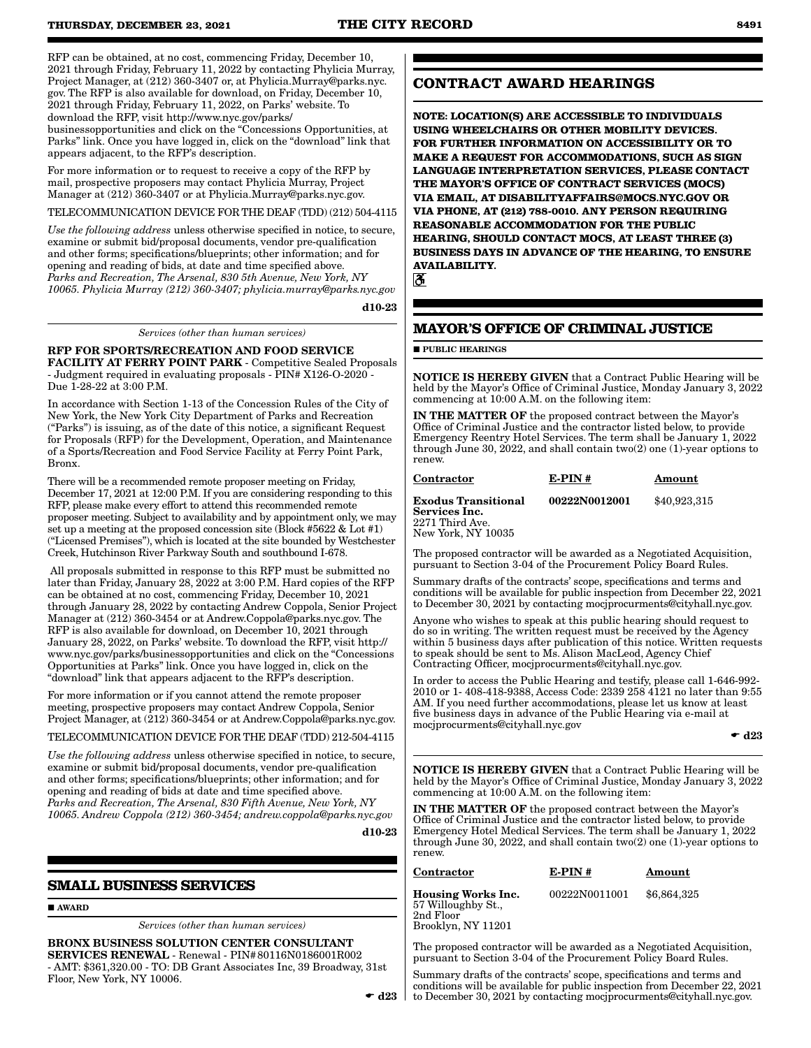RFP can be obtained, at no cost, commencing Friday, December 10, 2021 through Friday, February 11, 2022 by contacting Phylicia Murray, Project Manager, at (212) 360-3407 or, at Phylicia.Murray@parks.nyc. gov. The RFP is also available for download, on Friday, December 10, 2021 through Friday, February 11, 2022, on Parks' website. To download the RFP, visit http://www.nyc.gov/parks/ businessopportunities and click on the "Concessions Opportunities, at Parks" link. Once you have logged in, click on the "download" link that appears adjacent, to the RFP's description.

For more information or to request to receive a copy of the RFP by mail, prospective proposers may contact Phylicia Murray, Project Manager at (212) 360-3407 or at Phylicia.Murray@parks.nyc.gov.

TELECOMMUNICATION DEVICE FOR THE DEAF (TDD) (212) 504-4115

*Use the following address* unless otherwise specified in notice, to secure, examine or submit bid/proposal documents, vendor pre-qualification and other forms; specifications/blueprints; other information; and for opening and reading of bids, at date and time specified above. *Parks and Recreation, The Arsenal, 830 5th Avenue, New York, NY 10065. Phylicia Murray (212) 360-3407; phylicia.murray@parks.nyc.gov*

d10-23

*Services (other than human services)*

RFP FOR SPORTS/RECREATION AND FOOD SERVICE FACILITY AT FERRY POINT PARK - Competitive Sealed Proposals - Judgment required in evaluating proposals - PIN# X126-O-2020 - Due 1-28-22 at 3:00 P.M.

In accordance with Section 1-13 of the Concession Rules of the City of New York, the New York City Department of Parks and Recreation ("Parks") is issuing, as of the date of this notice, a significant Request for Proposals (RFP) for the Development, Operation, and Maintenance of a Sports/Recreation and Food Service Facility at Ferry Point Park, Bronx.

There will be a recommended remote proposer meeting on Friday, December 17, 2021 at 12:00 P.M. If you are considering responding to this RFP, please make every effort to attend this recommended remote proposer meeting. Subject to availability and by appointment only, we may set up a meeting at the proposed concession site (Block #5622 & Lot #1) ("Licensed Premises"), which is located at the site bounded by Westchester Creek, Hutchinson River Parkway South and southbound I-678.

 All proposals submitted in response to this RFP must be submitted no later than Friday, January 28, 2022 at 3:00 P.M. Hard copies of the RFP can be obtained at no cost, commencing Friday, December 10, 2021 through January 28, 2022 by contacting Andrew Coppola, Senior Project Manager at (212) 360-3454 or at Andrew.Coppola@parks.nyc.gov. The RFP is also available for download, on December 10, 2021 through January 28, 2022, on Parks' website. To download the RFP, visit http:// www.nyc.gov/parks/businessopportunities and click on the "Concessions Opportunities at Parks" link. Once you have logged in, click on the "download" link that appears adjacent to the RFP's description.

For more information or if you cannot attend the remote proposer meeting, prospective proposers may contact Andrew Coppola, Senior Project Manager, at (212) 360-3454 or at Andrew.Coppola@parks.nyc.gov.

TELECOMMUNICATION DEVICE FOR THE DEAF (TDD) 212-504-4115

*Use the following address* unless otherwise specified in notice, to secure, examine or submit bid/proposal documents, vendor pre-qualification and other forms; specifications/blueprints; other information; and for opening and reading of bids at date and time specified above. *Parks and Recreation, The Arsenal, 830 Fifth Avenue, New York, NY 10065. Andrew Coppola (212) 360-3454; andrew.coppola@parks.nyc.gov*

d10-23

# **SMALL BUSINESS SERVICES**

**AWARD** 

*Services (other than human services)*

BRONX BUSINESS SOLUTION CENTER CONSULTANT SERVICES RENEWAL - Renewal - PIN#80116N0186001R002 - AMT: \$361,320.00 - TO: DB Grant Associates Inc, 39 Broadway, 31st Floor, New York, NY 10006.

# **CONTRACT AWARD HEARINGS**

**NOTE: LOCATION(S) ARE ACCESSIBLE TO INDIVIDUALS USING WHEELCHAIRS OR OTHER MOBILITY DEVICES. FOR FURTHER INFORMATION ON ACCESSIBILITY OR TO MAKE A REQUEST FOR ACCOMMODATIONS, SUCH AS SIGN LANGUAGE INTERPRETATION SERVICES, PLEASE CONTACT THE MAYOR'S OFFICE OF CONTRACT SERVICES (MOCS) VIA EMAIL, AT DISABILITYAFFAIRS@MOCS.NYC.GOV OR VIA PHONE, AT (212) 788-0010. ANY PERSON REQUIRING REASONABLE ACCOMMODATION FOR THE PUBLIC HEARING, SHOULD CONTACT MOCS, AT LEAST THREE (3) BUSINESS DAYS IN ADVANCE OF THE HEARING, TO ENSURE AVAILABILITY.**

ð.

# **MAYOR'S OFFICE OF CRIMINAL JUSTICE**

**PUBLIC HEARINGS** 

NOTICE IS HEREBY GIVEN that a Contract Public Hearing will be held by the Mayor's Office of Criminal Justice, Monday January 3, 2022 commencing at 10:00 A.M. on the following item:

IN THE MATTER OF the proposed contract between the Mayor's Office of Criminal Justice and the contractor listed below, to provide Emergency Reentry Hotel Services. The term shall be January 1, 2022 through June 30, 2022, and shall contain two(2) one (1)-year options to renew.

#### Contractor E-PIN # Amount

| Exodus Transitional              | 00222N0012001 | \$40,923,315 |
|----------------------------------|---------------|--------------|
| Services Inc.<br>2271 Third Ave. |               |              |
| New York. NY 10035               |               |              |

The proposed contractor will be awarded as a Negotiated Acquisition, pursuant to Section 3-04 of the Procurement Policy Board Rules.

Summary drafts of the contracts' scope, specifications and terms and conditions will be available for public inspection from December 22, 2021 to December 30, 2021 by contacting mocjprocurments@cityhall.nyc.gov.

Anyone who wishes to speak at this public hearing should request to do so in writing. The written request must be received by the Agency within 5 business days after publication of this notice. Written requests to speak should be sent to Ms. Alison MacLeod, Agency Chief Contracting Officer, mocjprocurments@cityhall.nyc.gov.

In order to access the Public Hearing and testify, please call 1-646-992- 2010 or 1- 408-418-9388, Access Code: 2339 258 4121 no later than 9:55 AM. If you need further accommodations, please let us know at least five business days in advance of the Public Hearing via e-mail at mocjprocurments@cityhall.nyc.gov

 $\bullet$  d23

NOTICE IS HEREBY GIVEN that a Contract Public Hearing will be held by the Mayor's Office of Criminal Justice, Monday January 3, 2022 commencing at 10:00 A.M. on the following item:

IN THE MATTER OF the proposed contract between the Mayor's Office of Criminal Justice and the contractor listed below, to provide Emergency Hotel Medical Services. The term shall be January 1, 2022 through June 30, 2022, and shall contain  $two(2)$  one  $(1)$ -year options to renew.

Contractor E-PIN # Amount

Housing Works Inc. 57 Willoughby St., 2nd Floor Brooklyn, NY 11201

00222N0011001 \$6,864,325

The proposed contractor will be awarded as a Negotiated Acquisition, pursuant to Section 3-04 of the Procurement Policy Board Rules.

Summary drafts of the contracts' scope, specifications and terms and conditions will be available for public inspection from December 22, 2021 to December 30, 2021 by contacting mocjprocurments@cityhall.nyc.gov.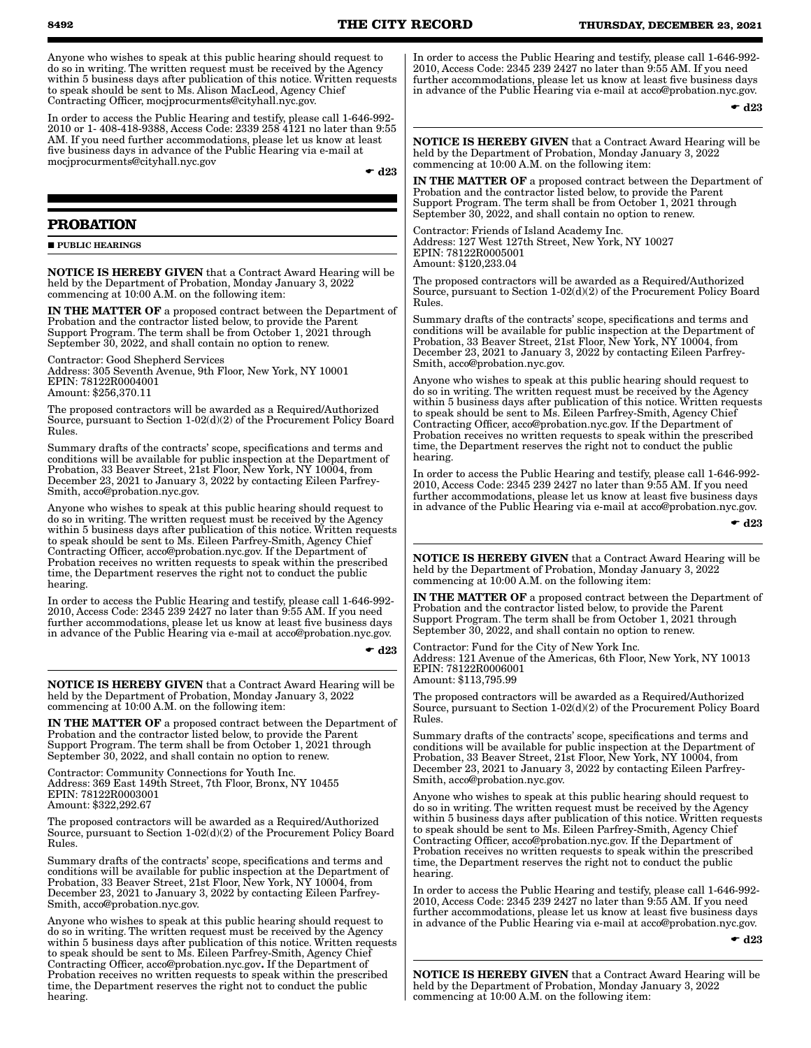Anyone who wishes to speak at this public hearing should request to do so in writing. The written request must be received by the Agency within 5 business days after publication of this notice. Written requests to speak should be sent to Ms. Alison MacLeod, Agency Chief Contracting Officer, mocjprocurments@cityhall.nyc.gov.

In order to access the Public Hearing and testify, please call 1-646-992- 2010 or 1- 408-418-9388, Access Code: 2339 258 4121 no later than 9:55 AM. If you need further accommodations, please let us know at least five business days in advance of the Public Hearing via e-mail at mocjprocurments@cityhall.nyc.gov

 $\bullet$  d23

# **PROBATION**

**PUBLIC HEARINGS** 

NOTICE IS HEREBY GIVEN that a Contract Award Hearing will be held by the Department of Probation, Monday January 3, 2022 commencing at 10:00 A.M. on the following item:

IN THE MATTER OF a proposed contract between the Department of Probation and the contractor listed below, to provide the Parent Support Program. The term shall be from October 1, 2021 through September 30, 2022, and shall contain no option to renew.

Contractor: Good Shepherd Services Address: 305 Seventh Avenue, 9th Floor, New York, NY 10001 EPIN: 78122R0004001 Amount: \$256,370.11

The proposed contractors will be awarded as a Required/Authorized Source, pursuant to Section 1-02(d)(2) of the Procurement Policy Board Rules.

Summary drafts of the contracts' scope, specifications and terms and conditions will be available for public inspection at the Department of Probation, 33 Beaver Street, 21st Floor, New York, NY 10004, from December 23, 2021 to January 3, 2022 by contacting Eileen Parfrey-Smith, acco@probation.nyc.gov.

Anyone who wishes to speak at this public hearing should request to do so in writing. The written request must be received by the Agency within 5 business days after publication of this notice. Written requests to speak should be sent to Ms. Eileen Parfrey-Smith, Agency Chief Contracting Officer, acco@probation.nyc.gov. If the Department of Probation receives no written requests to speak within the prescribed time, the Department reserves the right not to conduct the public hearing.

In order to access the Public Hearing and testify, please call 1-646-992- 2010, Access Code: 2345 239 2427 no later than 9:55 AM. If you need further accommodations, please let us know at least five business days in advance of the Public Hearing via e-mail at acco@probation.nyc.gov.

 $\bullet$  d23

NOTICE IS HEREBY GIVEN that a Contract Award Hearing will be held by the Department of Probation, Monday January 3, 2022 commencing at 10:00 A.M. on the following item:

IN THE MATTER OF a proposed contract between the Department of Probation and the contractor listed below, to provide the Parent Support Program. The term shall be from October 1, 2021 through September 30, 2022, and shall contain no option to renew.

Contractor: Community Connections for Youth Inc. Address: 369 East 149th Street, 7th Floor, Bronx, NY 10455 EPIN: 78122R0003001 Amount: \$322,292.67

The proposed contractors will be awarded as a Required/Authorized Source, pursuant to Section 1-02(d)(2) of the Procurement Policy Board Rules.

Summary drafts of the contracts' scope, specifications and terms and conditions will be available for public inspection at the Department of Probation, 33 Beaver Street, 21st Floor, New York, NY 10004, from December 23, 2021 to January 3, 2022 by contacting Eileen Parfrey-Smith, acco@probation.nyc.gov.

Anyone who wishes to speak at this public hearing should request to do so in writing. The written request must be received by the Agency within 5 business days after publication of this notice. Written requests to speak should be sent to Ms. Eileen Parfrey-Smith, Agency Chief Contracting Officer, acco@probation.nyc.gov. If the Department of Probation receives no written requests to speak within the prescribed time, the Department reserves the right not to conduct the public hearing.

In order to access the Public Hearing and testify, please call 1-646-992- 2010, Access Code: 2345 239 2427 no later than 9:55 AM. If you need further accommodations, please let us know at least five business days in advance of the Public Hearing via e-mail at acco@probation.nyc.gov.

 $\bullet$  d23

NOTICE IS HEREBY GIVEN that a Contract Award Hearing will be held by the Department of Probation, Monday January 3, 2022 commencing at 10:00 A.M. on the following item:

IN THE MATTER OF a proposed contract between the Department of Probation and the contractor listed below, to provide the Parent Support Program. The term shall be from October 1, 2021 through September 30, 2022, and shall contain no option to renew.

Contractor: Friends of Island Academy Inc. Address: 127 West 127th Street, New York, NY 10027 EPIN: 78122R0005001 Amount: \$120,233.04

The proposed contractors will be awarded as a Required/Authorized Source, pursuant to Section 1-02(d)(2) of the Procurement Policy Board Rules.

Summary drafts of the contracts' scope, specifications and terms and conditions will be available for public inspection at the Department of Probation, 33 Beaver Street, 21st Floor, New York, NY 10004, from December 23, 2021 to January 3, 2022 by contacting Eileen Parfrey-Smith, acco@probation.nyc.gov.

Anyone who wishes to speak at this public hearing should request to do so in writing. The written request must be received by the Agency within 5 business days after publication of this notice. Written requests to speak should be sent to Ms. Eileen Parfrey-Smith, Agency Chief Contracting Officer, acco@probation.nyc.gov. If the Department of Probation receives no written requests to speak within the prescribed time, the Department reserves the right not to conduct the public hearing.

In order to access the Public Hearing and testify, please call 1-646-992- 2010, Access Code: 2345 239 2427 no later than 9:55 AM. If you need further accommodations, please let us know at least five business days in advance of the Public Hearing via e-mail at acco@probation.nyc.gov.

 $\bullet$  d23

NOTICE IS HEREBY GIVEN that a Contract Award Hearing will be held by the Department of Probation, Monday January 3, 2022 commencing at 10:00 A.M. on the following item:

IN THE MATTER OF a proposed contract between the Department of Probation and the contractor listed below, to provide the Parent Support Program. The term shall be from October 1, 2021 through September 30, 2022, and shall contain no option to renew.

Contractor: Fund for the City of New York Inc. Address: 121 Avenue of the Americas, 6th Floor, New York, NY 10013 EPIN: 78122R0006001 Amount: \$113,795.99

The proposed contractors will be awarded as a Required/Authorized Source, pursuant to Section 1-02(d)(2) of the Procurement Policy Board Rules.

Summary drafts of the contracts' scope, specifications and terms and conditions will be available for public inspection at the Department of Probation, 33 Beaver Street, 21st Floor, New York, NY 10004, from December 23, 2021 to January 3, 2022 by contacting Eileen Parfrey-Smith, acco@probation.nyc.gov.

Anyone who wishes to speak at this public hearing should request to do so in writing. The written request must be received by the Agency within 5 business days after publication of this notice. Written requests to speak should be sent to Ms. Eileen Parfrey-Smith, Agency Chief Contracting Officer, acco@probation.nyc.gov. If the Department of Probation receives no written requests to speak within the prescribed time, the Department reserves the right not to conduct the public hearing.

In order to access the Public Hearing and testify, please call 1-646-992- 2010, Access Code: 2345 239 2427 no later than 9:55 AM. If you need further accommodations, please let us know at least five business days in advance of the Public Hearing via e-mail at acco@probation.nyc.gov.

 $\bullet$  d23

NOTICE IS HEREBY GIVEN that a Contract Award Hearing will be held by the Department of Probation, Monday January 3, 2022 commencing at 10:00 A.M. on the following item: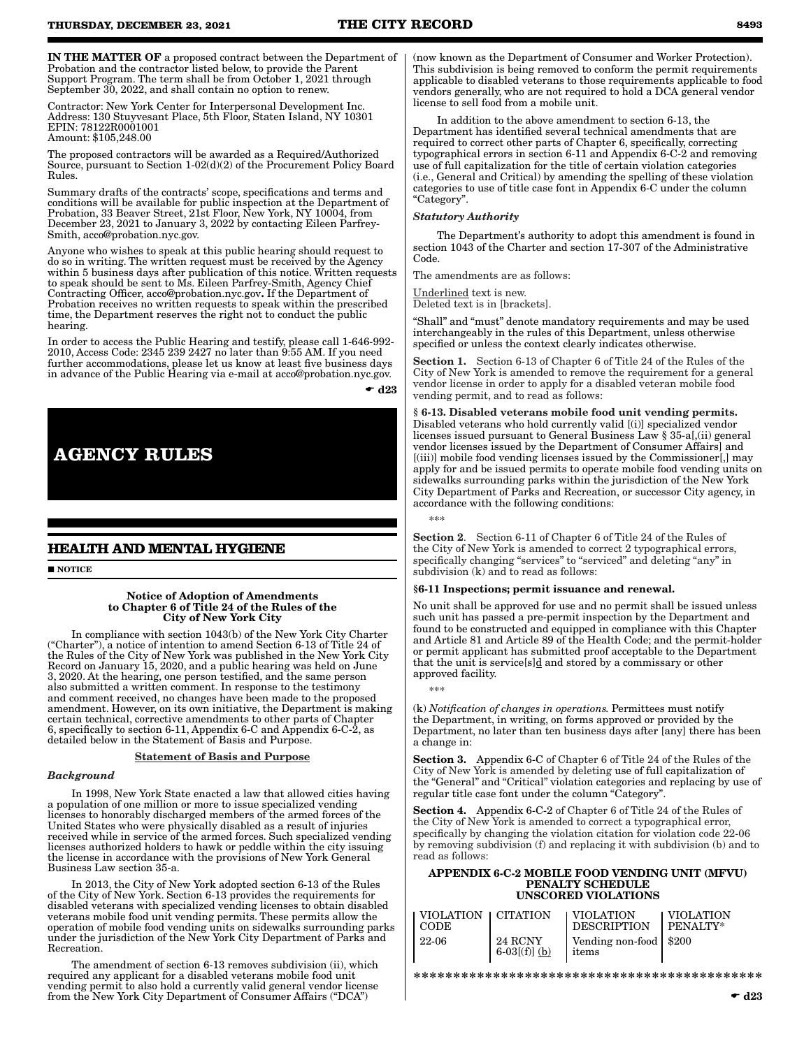IN THE MATTER OF a proposed contract between the Department of Probation and the contractor listed below, to provide the Parent Support Program. The term shall be from October 1, 2021 through September 30, 2022, and shall contain no option to renew.

Contractor: New York Center for Interpersonal Development Inc. Address: 130 Stuyvesant Place, 5th Floor, Staten Island, NY 10301 EPIN: 78122R0001001 Amount: \$105,248.00

The proposed contractors will be awarded as a Required/Authorized Source, pursuant to Section 1-02(d)(2) of the Procurement Policy Board Rules.

Summary drafts of the contracts' scope, specifications and terms and conditions will be available for public inspection at the Department of Probation, 33 Beaver Street, 21st Floor, New York, NY 10004, from December 23, 2021 to January 3, 2022 by contacting Eileen Parfrey-Smith, acco@probation.nyc.gov.

Anyone who wishes to speak at this public hearing should request to do so in writing. The written request must be received by the Agency within 5 business days after publication of this notice. Written requests to speak should be sent to Ms. Eileen Parfrey-Smith, Agency Chief Contracting Officer, acco@probation.nyc.gov. If the Department of Probation receives no written requests to speak within the prescribed time, the Department reserves the right not to conduct the public hearing.

In order to access the Public Hearing and testify, please call 1-646-992- 2010, Access Code: 2345 239 2427 no later than 9:55 AM. If you need further accommodations, please let us know at least five business days in advance of the Public Hearing via e-mail at acco@probation.nyc.gov.

 $\bullet$  d23



# **HEALTH AND MENTAL HYGIENE**

**NOTICE** 

#### Notice of Adoption of Amendments to Chapter 6 of Title 24 of the Rules of the City of New York City

In compliance with section 1043(b) of the New York City Charter ("Charter"), a notice of intention to amend Section 6-13 of Title 24 of the Rules of the City of New York was published in the New York City Record on January 15, 2020, and a public hearing was held on June 3, 2020. At the hearing, one person testified, and the same person also submitted a written comment. In response to the testimony and comment received, no changes have been made to the proposed amendment. However, on its own initiative, the Department is making certain technical, corrective amendments to other parts of Chapter 6, specifically to section 6-11, Appendix 6-C and Appendix 6-C-2, as detailed below in the Statement of Basis and Purpose.

#### Statement of Basis and Purpose

#### *Background*

In 1998, New York State enacted a law that allowed cities having a population of one million or more to issue specialized vending licenses to honorably discharged members of the armed forces of the United States who were physically disabled as a result of injuries received while in service of the armed forces. Such specialized vending licenses authorized holders to hawk or peddle within the city issuing the license in accordance with the provisions of New York General Business Law section 35-a.

In 2013, the City of New York adopted section 6-13 of the Rules of the City of New York. Section 6-13 provides the requirements for disabled veterans with specialized vending licenses to obtain disabled veterans mobile food unit vending permits. These permits allow the operation of mobile food vending units on sidewalks surrounding parks under the jurisdiction of the New York City Department of Parks and Recreation.

The amendment of section 6-13 removes subdivision (ii), which required any applicant for a disabled veterans mobile food unit vending permit to also hold a currently valid general vendor license from the New York City Department of Consumer Affairs ("DCA")

(now known as the Department of Consumer and Worker Protection). This subdivision is being removed to conform the permit requirements applicable to disabled veterans to those requirements applicable to food vendors generally, who are not required to hold a DCA general vendor license to sell food from a mobile unit.

In addition to the above amendment to section 6-13, the Department has identified several technical amendments that are required to correct other parts of Chapter 6, specifically, correcting typographical errors in section 6-11 and Appendix 6-C-2 and removing use of full capitalization for the title of certain violation categories (i.e., General and Critical) by amending the spelling of these violation categories to use of title case font in Appendix 6-C under the column "Category".

#### *Statutory Authority*

The Department's authority to adopt this amendment is found in section 1043 of the Charter and section 17-307 of the Administrative Code.

The amendments are as follows:

Underlined text is new. Deleted text is in [brackets].

"Shall" and "must" denote mandatory requirements and may be used interchangeably in the rules of this Department, unless otherwise specified or unless the context clearly indicates otherwise.

Section 1. Section 6-13 of Chapter 6 of Title 24 of the Rules of the City of New York is amended to remove the requirement for a general vendor license in order to apply for a disabled veteran mobile food vending permit, and to read as follows:

§ 6-13. Disabled veterans mobile food unit vending permits. Disabled veterans who hold currently valid [(i)] specialized vendor licenses issued pursuant to General Business Law § 35-a[,(ii) general vendor licenses issued by the Department of Consumer Affairs] and [(iii)] mobile food vending licenses issued by the Commissioner[,] may apply for and be issued permits to operate mobile food vending units on sidewalks surrounding parks within the jurisdiction of the New York City Department of Parks and Recreation, or successor City agency, in accordance with the following conditions:

\*\*\*

\*\*\*

Section 2. Section 6-11 of Chapter 6 of Title 24 of the Rules of the City of New York is amended to correct 2 typographical errors, specifically changing "services" to "serviced" and deleting "any" in subdivision (k) and to read as follows:

#### §6-11 Inspections; permit issuance and renewal.

No unit shall be approved for use and no permit shall be issued unless such unit has passed a pre-permit inspection by the Department and found to be constructed and equipped in compliance with this Chapter and Article 81 and Article 89 of the Health Code; and the permit-holder or permit applicant has submitted proof acceptable to the Department that the unit is service[s]d and stored by a commissary or other approved facility.

(k) *Notification of changes in operations.* Permittees must notify the Department, in writing, on forms approved or provided by the Department, no later than ten business days after [any] there has been a change in:

Section 3. Appendix 6-C of Chapter 6 of Title 24 of the Rules of the City of New York is amended by deleting use of full capitalization of the "General" and "Critical" violation categories and replacing by use of regular title case font under the column "Category".

Section 4. Appendix 6-C-2 of Chapter 6 of Title 24 of the Rules of the City of New York is amended to correct a typographical error, specifically by changing the violation citation for violation code 22-06 by removing subdivision (f) and replacing it with subdivision (b) and to read as follows:

#### APPENDIX 6-C-2 MOBILE FOOD VENDING UNIT (MFVU) PENALTY SCHEDULE UNSCORED VIOLATIONS

| VIOLATION   CITATION   VIOLATION<br>I CODE |                               | DESCRIPTION                       | I VIOLATION<br>$I$ PENALTY* |
|--------------------------------------------|-------------------------------|-----------------------------------|-----------------------------|
| 1 22-06                                    | 24 RCNY<br>6-03 $[(f)]$ $(b)$ | Vending non-food   \$200<br>items |                             |

\*\*\*\*\*\*\*\*\*\*\*\*\*\*\*\*\*\*\*\*\*\*\*\*\*\*\*\*\*\*\*\*\*\*\*\*\*\*\*\*\*\*\*\*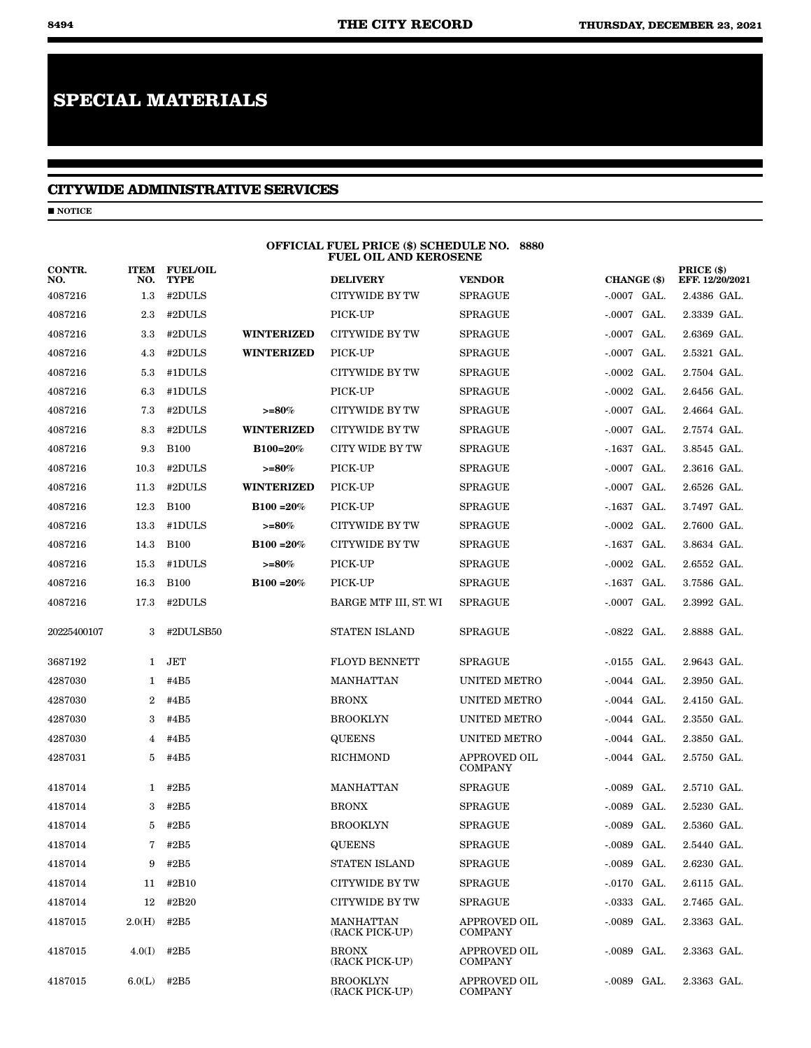# **SPECIAL MATERIALS**

# **CITYWIDE ADMINISTRATIVE SERVICES**

 $\blacksquare$  NOTICE

|               |                    |                                |                    | OFFICIAL FUEL PRICE (\$) SCHEDULE NO. 8880<br><b>FUEL OIL AND KEROSENE</b> |                                       |                  |                               |
|---------------|--------------------|--------------------------------|--------------------|----------------------------------------------------------------------------|---------------------------------------|------------------|-------------------------------|
| CONTR.<br>NO. | <b>ITEM</b><br>NO. | <b>FUEL/OIL</b><br><b>TYPE</b> |                    | <b>DELIVERY</b>                                                            | <b>VENDOR</b>                         | CHANGE (\$)      | PRICE (\$)<br>EFF. 12/20/2021 |
| 4087216       | $1.3\,$            | #2DULS                         |                    | CITYWIDE BY TW                                                             | <b>SPRAGUE</b>                        | $-.0007$ GAL.    | 2.4386 GAL.                   |
| 4087216       | 2.3                | #2DULS                         |                    | PICK-UP                                                                    | SPRAGUE                               | -.0007 GAL.      | 2.3339 GAL.                   |
| 4087216       | 3.3                | #2DULS                         | <b>WINTERIZED</b>  | <b>CITYWIDE BY TW</b>                                                      | SPRAGUE                               | $-.0007$ GAL.    | 2.6369 GAL.                   |
| 4087216       | 4.3                | #2DULS                         | <b>WINTERIZED</b>  | PICK-UP                                                                    | SPRAGUE                               | $-.0007$ GAL.    | 2.5321 GAL.                   |
| 4087216       | 5.3                | #1DULS                         |                    | <b>CITYWIDE BY TW</b>                                                      | <b>SPRAGUE</b>                        | $-.0002$ GAL.    | 2.7504 GAL.                   |
| 4087216       | 6.3                | #1DULS                         |                    | PICK-UP                                                                    | <b>SPRAGUE</b>                        | $-.0002$ GAL.    | 2.6456 GAL.                   |
| 4087216       | 7.3                | #2DULS                         | $>= 80%$           | <b>CITYWIDE BY TW</b>                                                      | <b>SPRAGUE</b>                        | -.0007 GAL.      | 2.4664 GAL.                   |
| 4087216       | 8.3                | #2DULS                         | <b>WINTERIZED</b>  | <b>CITYWIDE BY TW</b>                                                      | <b>SPRAGUE</b>                        | $-.0007$ GAL.    | 2.7574 GAL.                   |
| 4087216       | 9.3                | <b>B100</b>                    | B100=20%           | <b>CITY WIDE BY TW</b>                                                     | <b>SPRAGUE</b>                        | $-1637$<br>GAL.  | 3.8545 GAL.                   |
| 4087216       | 10.3               | #2DULS                         | $>=80%$            | PICK-UP                                                                    | <b>SPRAGUE</b>                        | GAL.<br>-.0007   | 2.3616 GAL.                   |
| 4087216       | 11.3               | #2DULS                         | <b>WINTERIZED</b>  | PICK-UP                                                                    | SPRAGUE                               | $-.0007$ GAL.    | 2.6526 GAL.                   |
| 4087216       | 12.3               | <b>B100</b>                    | $B100 = 20%$       | PICK-UP                                                                    | <b>SPRAGUE</b>                        | $-1637$<br>GAL.  | 3.7497 GAL.                   |
| 4087216       | 13.3               | #1DULS                         | $>= 80%$           | <b>CITYWIDE BY TW</b>                                                      | <b>SPRAGUE</b>                        | $-.0002$ GAL.    | 2.7600 GAL.                   |
| 4087216       | 14.3               | <b>B100</b>                    | $B100 = 20%$       | <b>CITYWIDE BY TW</b>                                                      | <b>SPRAGUE</b>                        | -.1637<br>GAL.   | 3.8634 GAL.                   |
| 4087216       | 15.3               | #1DULS                         | $>\!\! =\!\! 80\%$ | PICK-UP                                                                    | <b>SPRAGUE</b>                        | $-.0002$ GAL.    | 2.6552 GAL.                   |
| 4087216       | 16.3               | <b>B100</b>                    | $B100 = 20%$       | PICK-UP                                                                    | SPRAGUE                               | $-1637$<br>GAL.  | 3.7586 GAL.                   |
| 4087216       | 17.3               | #2DULS                         |                    | BARGE MTF III, ST. WI                                                      | SPRAGUE                               | $-.0007$<br>GAL. | 2.3992 GAL.                   |
| 20225400107   | 3                  | #2DULSB50                      |                    | <b>STATEN ISLAND</b>                                                       | <b>SPRAGUE</b>                        | $-.0822$ GAL.    | 2.8888 GAL.                   |
| 3687192       | 1                  | JET                            |                    | <b>FLOYD BENNETT</b>                                                       | <b>SPRAGUE</b>                        | $-0.0155$ GAL.   | 2.9643 GAL.                   |
| 4287030       | 1                  | #4B5                           |                    | <b>MANHATTAN</b>                                                           | UNITED METRO                          | -.0044 GAL.      | 2.3950 GAL.                   |
| 4287030       | 2                  | #4B5                           |                    | <b>BRONX</b>                                                               | UNITED METRO                          | -.0044 GAL.      | 2.4150 GAL.                   |
| 4287030       | 3                  | #4B5                           |                    | <b>BROOKLYN</b>                                                            | UNITED METRO                          | -.0044 GAL.      | 2.3550 GAL.                   |
| 4287030       | 4                  | #4B5                           |                    | <b>QUEENS</b>                                                              | UNITED METRO                          | $-.0044$ GAL.    | 2.3850 GAL.                   |
| 4287031       | 5                  | #4B5                           |                    | <b>RICHMOND</b>                                                            | <b>APPROVED OIL</b><br><b>COMPANY</b> | -.0044 GAL.      | 2.5750 GAL.                   |
| 4187014       | 1                  | #2B5                           |                    | MANHATTAN                                                                  | <b>SPRAGUE</b>                        | -.0089 GAL.      | 2.5710 GAL.                   |
| 4187014       | 3                  | #2B5                           |                    | <b>BRONX</b>                                                               | SPRAGUE                               | $-.0089$<br>GAL. | 2.5230 GAL.                   |
| 4187014       | 5                  | #2B5                           |                    | <b>BROOKLYN</b>                                                            | <b>SPRAGUE</b>                        | $-.0089$ GAL.    | 2.5360 GAL.                   |
| 4187014       | 7                  | #2B5                           |                    | <b>QUEENS</b>                                                              | <b>SPRAGUE</b>                        | $-.0089$ GAL.    | 2.5440 GAL.                   |
| 4187014       | 9                  | #2B5                           |                    | STATEN ISLAND                                                              | <b>SPRAGUE</b>                        | $-.0089$ GAL.    | 2.6230 GAL.                   |
| 4187014       | 11                 | #2B10                          |                    | <b>CITYWIDE BY TW</b>                                                      | <b>SPRAGUE</b>                        | $-0170$ GAL.     | 2.6115 GAL.                   |
| 4187014       | 12                 | #2B20                          |                    | CITYWIDE BY TW                                                             | <b>SPRAGUE</b>                        | $-.0333$ GAL.    | 2.7465 GAL.                   |
| 4187015       | 2.0(H)             | #2B5                           |                    | MANHATTAN<br>(RACK PICK-UP)                                                | APPROVED OIL<br>COMPANY               | $-.0089$ GAL.    | 2.3363 GAL.                   |
| 4187015       | 4.0(I)             | #2B5                           |                    | <b>BRONX</b><br>(RACK PICK-UP)                                             | APPROVED OIL<br>COMPANY               | -.0089 GAL.      | 2.3363 GAL.                   |
| 4187015       | 6.0(L)             | #2B5                           |                    | <b>BROOKLYN</b><br>(RACK PICK-UP)                                          | APPROVED OIL<br><b>COMPANY</b>        | $-0089$ GAL.     | 2.3363 GAL.                   |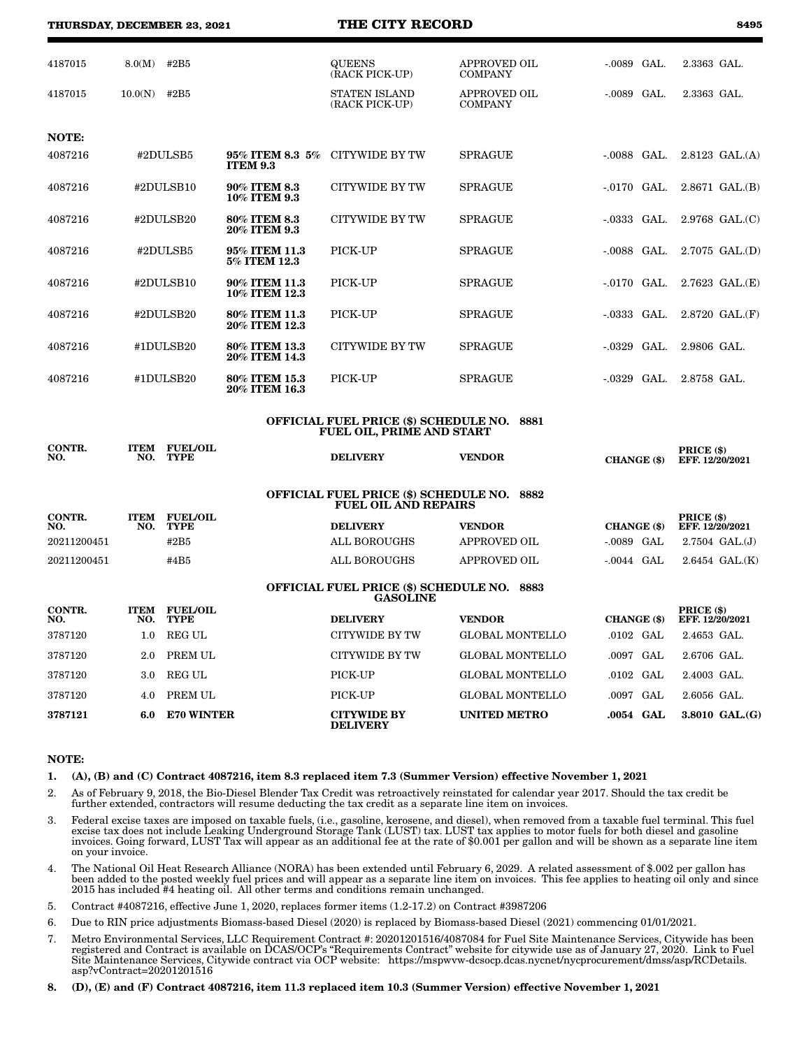**THURSDAY, DECEMBER 23, 2021 THE CITY RECORD 8495**

| ۰,<br>$\sim$<br>×<br>۰. |
|-------------------------|
|-------------------------|

| 4187015       | 8.0(M)             | #2B5                                |                                    | <b>QUEENS</b><br>(RACK PICK-UP)                                                  | <b>APPROVED OIL</b><br><b>COMPANY</b> | $-.0089$ GAL. | 2.3363 GAL.                   |
|---------------|--------------------|-------------------------------------|------------------------------------|----------------------------------------------------------------------------------|---------------------------------------|---------------|-------------------------------|
| 4187015       | 10.0(N)            | #2B5                                |                                    | <b>STATEN ISLAND</b><br>(RACK PICK-UP)                                           | <b>APPROVED OIL</b><br><b>COMPANY</b> | $-0089$ GAL.  | 2.3363 GAL.                   |
|               |                    |                                     |                                    |                                                                                  |                                       |               |                               |
| NOTE:         |                    |                                     |                                    |                                                                                  |                                       |               |                               |
| 4087216       |                    | #2DULSB5                            | 95% ITEM 8.3 5%<br><b>ITEM 9.3</b> | CITYWIDE BY TW                                                                   | <b>SPRAGUE</b>                        | $-.0088$ GAL. | $2.8123$ GAL. $(A)$           |
| 4087216       |                    | #2DULSB10                           | 90% ITEM 8.3<br>10% ITEM 9.3       | CITYWIDE BY TW                                                                   | <b>SPRAGUE</b>                        | $-0170$ GAL.  | $2.8671$ GAL. $(B)$           |
| 4087216       |                    | #2DULSB20                           | 80% ITEM 8.3<br>20% ITEM 9.3       | <b>CITYWIDE BY TW</b>                                                            | <b>SPRAGUE</b>                        | $-0333$ GAL.  | $2.9768$ GAL. $(C)$           |
| 4087216       |                    | #2DULSB5                            | 95% ITEM 11.3<br>5% ITEM 12.3      | PICK-UP                                                                          | <b>SPRAGUE</b>                        | $-0088$ GAL.  | $2.7075$ GAL. $(D)$           |
| 4087216       |                    | #2DULSB10                           | 90% ITEM 11.3<br>10% ITEM 12.3     | PICK-UP                                                                          | <b>SPRAGUE</b>                        | $-0170$ GAL.  | $2.7623$ GAL. $(E)$           |
| 4087216       |                    | #2DULSB20                           | 80% ITEM 11.3<br>20% ITEM 12.3     | PICK-UP                                                                          | <b>SPRAGUE</b>                        | $-0333$ GAL.  | $2.8720$ GAL. $(F)$           |
| 4087216       |                    | #1DULSB20                           | 80% ITEM 13.3<br>20% ITEM 14.3     | CITYWIDE BY TW                                                                   | <b>SPRAGUE</b>                        | $-0329$ GAL.  | 2.9806 GAL.                   |
| 4087216       |                    | #1DULSB20                           | 80% ITEM 15.3<br>20% ITEM 16.3     | PICK-UP                                                                          | <b>SPRAGUE</b>                        | $-0329$ GAL.  | 2.8758 GAL.                   |
|               |                    |                                     |                                    | <b>OFFICIAL FUEL PRICE (\$) SCHEDULE NO. 8881</b>                                |                                       |               |                               |
|               |                    |                                     |                                    | <b>FUEL OIL, PRIME AND START</b>                                                 |                                       |               |                               |
| CONTR.<br>NO. | NO.                | <b>ITEM FUEL/OIL</b><br><b>TYPE</b> |                                    | <b>DELIVERY</b>                                                                  | <b>VENDOR</b>                         | CHANGE (\$)   | PRICE (\$)<br>EFF. 12/20/2021 |
|               |                    |                                     |                                    | <b>OFFICIAL FUEL PRICE (\$) SCHEDULE NO. 8882</b><br><b>FUEL OIL AND REPAIRS</b> |                                       |               |                               |
| CONTR.<br>NO. | <b>ITEM</b><br>NO. | <b>FUEL/OIL</b><br><b>TYPE</b>      |                                    | <b>DELIVERY</b>                                                                  | <b>VENDOR</b>                         | CHANGE (\$)   | PRICE (\$)<br>EFF. 12/20/2021 |
| 20211200451   |                    | #2B5                                |                                    | <b>ALL BOROUGHS</b>                                                              | <b>APPROVED OIL</b>                   | -.0089 GAL    | $2.7504$ GAL. $(J)$           |
| 20211200451   |                    | #4B5                                |                                    | <b>ALL BOROUGHS</b>                                                              | <b>APPROVED OIL</b>                   | $-0.0044$ GAL | $2.6454$ GAL. $(K)$           |
|               |                    |                                     |                                    | OFFICIAL FUEL PRICE (\$) SCHEDULE NO. 8883<br><b>GASOLINE</b>                    |                                       |               |                               |
| CONTR.<br>NO. | <b>ITEM</b><br>NO. | <b>FUEL/OIL</b><br><b>TYPE</b>      |                                    | <b>DELIVERY</b>                                                                  | <b>VENDOR</b>                         | CHANGE (\$)   | PRICE (\$)<br>EFF. 12/20/2021 |
| 3787120       | 1.0                | <b>REG UL</b>                       |                                    | <b>CITYWIDE BY TW</b>                                                            | <b>GLOBAL MONTELLO</b>                | .0102 GAL     | 2.4653 GAL.                   |
| 3787120       | 2.0                | PREM UL                             |                                    | <b>CITYWIDE BY TW</b>                                                            | <b>GLOBAL MONTELLO</b>                | .0097 GAL     | 2.6706 GAL.                   |
| 3787120       | 3.0                | <b>REG UL</b>                       |                                    | PICK-UP                                                                          | <b>GLOBAL MONTELLO</b>                | $.0102$ GAL   | 2.4003 GAL.                   |
| 3787120       | 4.0                | PREM UL                             |                                    | PICK-UP                                                                          | GLOBAL MONTELLO                       | $0097$ GAL    | $2.6056$ GAL                  |

#### NOTE:

1. (A), (B) and (C) Contract 4087216, item 8.3 replaced item 7.3 (Summer Version) effective November 1, 2021

DELIVERY

- 2. As of February 9, 2018, the Bio-Diesel Blender Tax Credit was retroactively reinstated for calendar year 2017. Should the tax credit be further extended, contractors will resume deducting the tax credit as a separate line item on invoices.
- 3. Federal excise taxes are imposed on taxable fuels, (i.e., gasoline, kerosene, and diesel), when removed from a taxable fuel terminal. This fuel excise tax does not include Leaking Underground Storage Tank (LUST) tax. LUST tax applies to motor fuels for both diesel and gasoline invoices. Going forward, LUST Tax will appear as an additional fee at the rate of \$0.001 per gallon and will be shown as a separate line item on your invoice.

UNITED METRO .0054 GAL 3.8010 GAL.(G)

- 4. The National Oil Heat Research Alliance (NORA) has been extended until February 6, 2029. A related assessment of \$.002 per gallon has been added to the posted weekly fuel prices and will appear as a separate line item on invoices. This fee applies to heating oil only and since 2015 has included #4 heating oil. All other terms and conditions remain unchanged.
- 5. Contract #4087216, effective June 1, 2020, replaces former items (1.2-17.2) on Contract #3987206

3787121 6.0 E70 WINTER CITYWIDE BY

- 6. Due to RIN price adjustments Biomass-based Diesel (2020) is replaced by Biomass-based Diesel (2021) commencing 01/01/2021.
- 7. Metro Environmental Services, LLC Requirement Contract #: 20201201516/4087084 for Fuel Site Maintenance Services, Citywide has been registered and Contract is available on DCAS/OCP's "Requirements Contract" website for citywide use as of January 27, 2020. Link to Fuel Site Maintenance Services, Citywide contract via OCP website: https://mspwvw-dcsocp.dcas.nycnet/nycprocurement/dmss/asp/RCDetails. asp?vContract=20201201516
- 8. (D), (E) and (F) Contract 4087216, item 11.3 replaced item 10.3 (Summer Version) effective November 1, 2021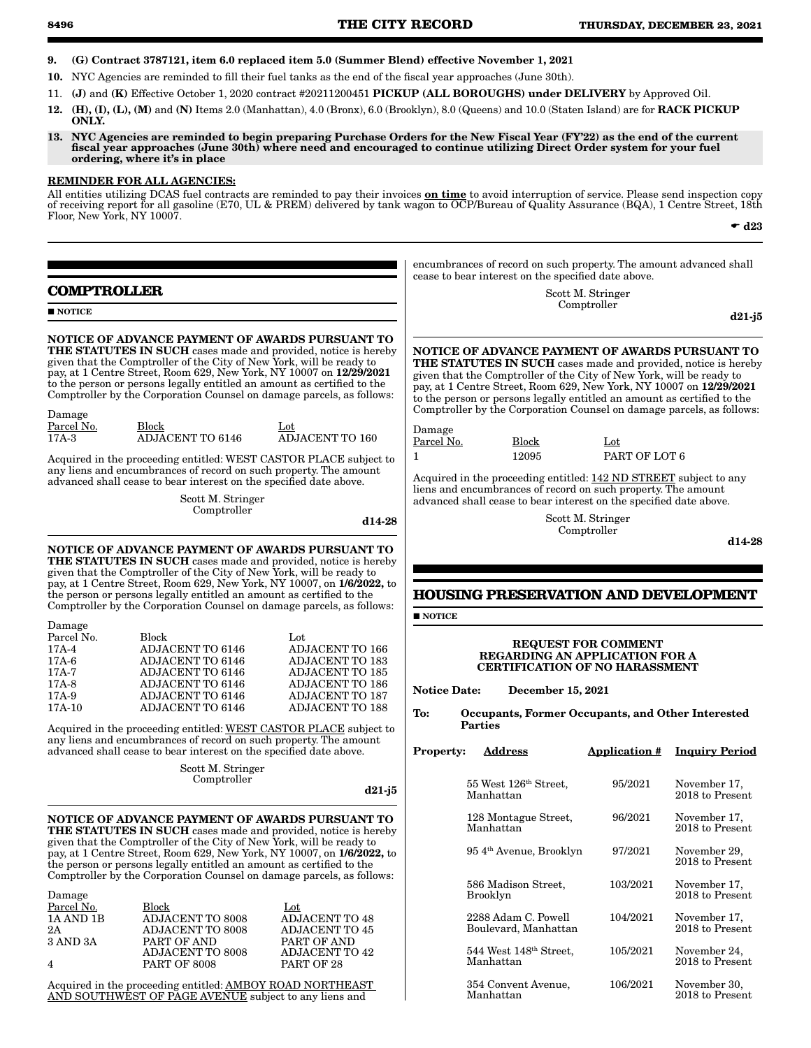- 9. (G) Contract 3787121, item 6.0 replaced item 5.0 (Summer Blend) effective November 1, 2021
- 10. NYC Agencies are reminded to fill their fuel tanks as the end of the fiscal year approaches (June 30th).
- 11. (J) and (K) Effective October 1, 2020 contract #20211200451 PICKUP (ALL BOROUGHS) under DELIVERY by Approved Oil.
- 12. (H), (I), (L), (M) and (N) Items 2.0 (Manhattan), 4.0 (Bronx), 6.0 (Brooklyn), 8.0 (Queens) and 10.0 (Staten Island) are for RACK PICKUP ONLY.
- 13. NYC Agencies are reminded to begin preparing Purchase Orders for the New Fiscal Year (FY'22) as the end of the current fiscal year approaches (June 30th) where need and encouraged to continue utilizing Direct Order system for your fuel ordering, where it's in place

# REMINDER FOR ALL AGENCIES:

All entities utilizing DCAS fuel contracts are reminded to pay their invoices **on time** to avoid interruption of service. Please send inspection copy of receiving report for all gasoline (E70, UL & PREM) delivered by tank wagon to OCP/Bureau of Quality Assurance (BQA), 1 Centre Street, 18th Floor, New York, NY 10007.

 $\bullet$  d23

**COMPTROLLER NOTICE** NOTICE OF ADVANCE PAYMENT OF AWARDS PURSUANT TO THE STATUTES IN SUCH cases made and provided, notice is hereby given that the Comptroller of the City of New York, will be ready to pay, at 1 Centre Street, Room 629, New York, NY 10007 on 12/29/2021 to the person or persons legally entitled an amount as certified to the Comptroller by the Corporation Counsel on damage parcels, as follows: Damage Parcel No. Block Lot<br>17A-3 ADJACENT TO 6146 AD 17A-3 ADJACENT TO 6146 ADJACENT TO 160 Acquired in the proceeding entitled: WEST CASTOR PLACE subject to any liens and encumbrances of record on such property. The amount advanced shall cease to bear interest on the specified date above. Scott M. Stringer Comptroller d14-28 NOTICE OF ADVANCE PAYMENT OF AWARDS PURSUANT TO THE STATUTES IN SUCH cases made and provided, notice is hereby given that the Comptroller of the City of New York, will be ready to pay, at 1 Centre Street, Room 629, New York, NY 10007, on 1/6/2022, to the person or persons legally entitled an amount as certified to the Comptroller by the Corporation Counsel on damage parcels, as follows: Damage Parcel No. Block Lot Lot Lot Lot 17A-4 ADJACENT TO 6146 ADJACENT TO 166 17A-4 ADJACENT TO 6146 ADJACENT TO 166 17A-6 ADJACENT TO 6146 ADJACENT TO 183<br>17A-7 ADJACENT TO 6146 ADJACENT TO 185 17A-7 ADJACENT TO 6146 ADJACENT TO 185<br>17A-8 ADJACENT TO 6146 ADJACENT TO 186 17A-8 ADJACENT TO 6146 ADJACENT TO 186<br>17A-9 ADJACENT TO 6146 ADJACENT TO 187 11 ADJACENT TO 6146 ADJACENT TO 187<br>17 ADJACENT TO 6146 ADJACENT TO 188 17A-10 ADJACENT TO 6146 Acquired in the proceeding entitled: WEST CASTOR PLACE subject to any liens and encumbrances of record on such property. The amount advanced shall cease to bear interest on the specified date above. Scott M. Stringer Comptroller d21-j5 NOTICE OF ADVANCE PAYMENT OF AWARDS PURSUANT TO THE STATUTES IN SUCH cases made and provided, notice is hereby given that the Comptroller of the City of New York, will be ready to pay, at 1 Centre Street, Room 629, New York, NY 10007, on 1/6/2022, to the person or persons legally entitled an amount as certified to the Comptroller by the Corporation Counsel on damage parcels, as follows: Damage Parcel No. Block Lot Lot Lot ADJACENT TO 8008 ADJACENT TO 48 1A AND 1B ADJACENT TO 8008 ADJACENT TO 48<br>2A ADJACENT TO 8008 ADJACENT TO 45 2A ADJACENT TO 8008<br>3 AND 3A PART OF AND PART OF AND ADJACENT TO 8008 PART OF AND ADJACENT TO 42 4 PART OF 8008 PART OF 28 encumbrances of record on such property. The amount advanced shall cease to bear interest on the specified date above. Scott M. Stringer Comptroller d21-j5 NOTICE OF ADVANCE PAYMENT OF AWARDS PURSUANT TO given that the Comptroller of the City of New York, will be ready to pay, at 1 Centre Street, Room 629, New York, NY 10007 on 12/29/2021 to the person or persons legally entitled an amount as certified to the Comptroller by the Corporation Counsel on damage parcels, as follows: Damage Parcel No. Block Lot 1 12095 PART OF LOT 6 Acquired in the proceeding entitled: 142 ND STREET subject to any liens and encumbrances of record on such property. The amount advanced shall cease to bear interest on the specified date above. Scott M. Stringer Comptroller d14-28 **HOUSING PRESERVATION AND DEVELOPMENT NOTICE** REQUEST FOR COMMENT REGARDING AN APPLICATION FOR A CERTIFICATION OF NO HARASSMENT Notice Date: December 15, 2021 To: Occupants, Former Occupants, and Other Interested Parties Property: Address **Application # Inquiry Period** 55 West 126th Street, Manhattan 95/2021 November 17, 2018 to Present 128 Montague Street, Manhattan 96/2021 November 17, 2018 to Present 95 4th Avenue, Brooklyn 97/2021 November 29, 2018 to Present 586 Madison Street, Brooklyn 103/2021 November 17, 2018 to Present 2288 Adam C. Powell Boulevard, Manhattan 104/2021 November 17, 2018 to Present 544 West 148th Street, Manhattan 105/2021 November 24, 2018 to Present

Acquired in the proceeding entitled: AMBOY ROAD NORTHEAST AND SOUTHWEST OF PAGE AVENUE subject to any liens and

THE STATUTES IN SUCH cases made and provided, notice is hereby

| operty: | Address                                        | <b>Application #</b> | <b>Inquiry Period</b>             |
|---------|------------------------------------------------|----------------------|-----------------------------------|
|         | 55 West 126 <sup>th</sup> Street,<br>Manhattan | 95/2021              | November 17,<br>2018 to Present   |
|         | 128 Montague Street,<br>Manhattan              | 96/2021              | November 17,<br>2018 to Present   |
|         | 954 <sup>th</sup> Avenue, Brooklyn             | 97/2021              | November 29,<br>2018 to Present   |
|         | 586 Madison Street,<br>Brooklyn                | 103/2021             | November 17,<br>2018 to Present   |
|         | 2288 Adam C. Powell<br>Boulevard, Manhattan    | 104/2021             | November 17,<br>2018 to Present   |
|         | $544$ West $148th$ Street,<br>Manhattan        | 105/2021             | November 24,<br>2018 to Present   |
|         | 354 Convent Avenue,<br>Manhattan               | 106/2021             | November 30,<br>$2018$ to Present |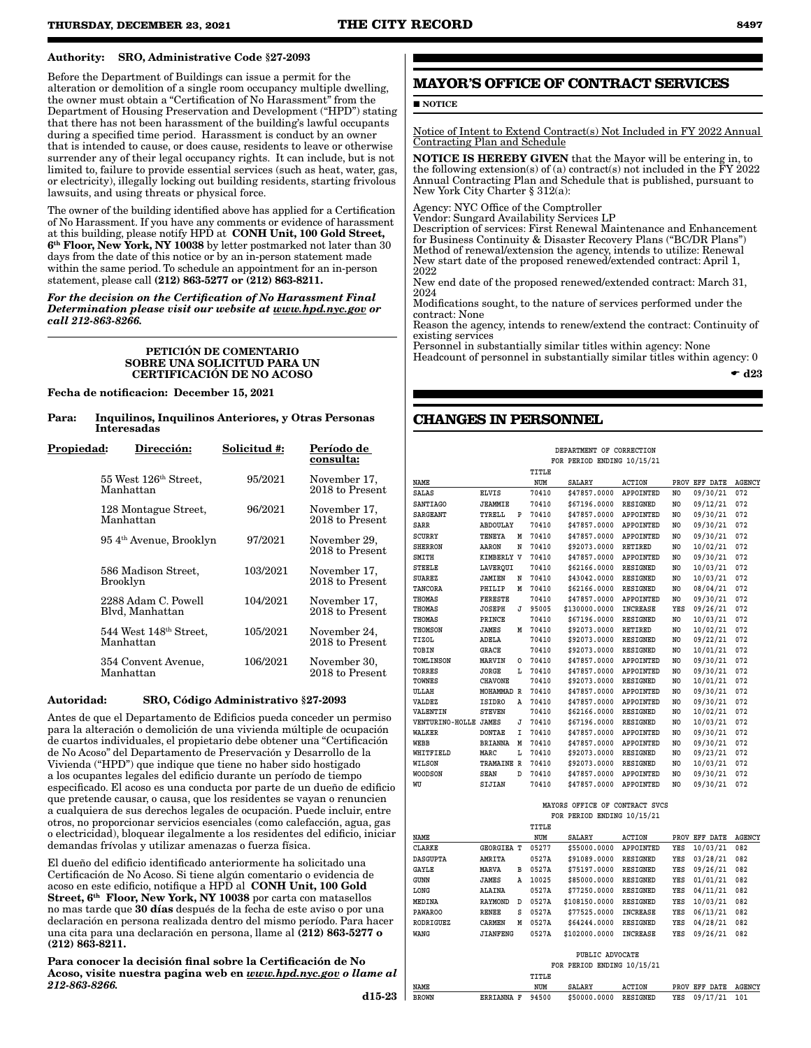# Authority: SRO, Administrative Code §27-2093

Before the Department of Buildings can issue a permit for the alteration or demolition of a single room occupancy multiple dwelling, the owner must obtain a "Certification of No Harassment" from the Department of Housing Preservation and Development ("HPD") stating that there has not been harassment of the building's lawful occupants during a specified time period. Harassment is conduct by an owner that is intended to cause, or does cause, residents to leave or otherwise surrender any of their legal occupancy rights. It can include, but is not limited to, failure to provide essential services (such as heat, water, gas, or electricity), illegally locking out building residents, starting frivolous lawsuits, and using threats or physical force.

The owner of the building identified above has applied for a Certification of No Harassment. If you have any comments or evidence of harassment at this building, please notify HPD at CONH Unit, 100 Gold Street, 6th Floor, New York, NY 10038 by letter postmarked not later than 30 days from the date of this notice or by an in-person statement made within the same period. To schedule an appointment for an in-person statement, please call (212) 863-5277 or (212) 863-8211.

*For the decision on the Certification of No Harassment Final Determination please visit our website at www.hpd.nyc.gov or call 212-863-8266.*

### PETICIÓN DE COMENTARIO SOBRE UNA SOLICITUD PARA UN CERTIFICACIÓN DE NO ACOSO

Fecha de notificacion: December 15, 2021

| Para: | Inquilinos, Inquilinos Anteriores, y Otras Personas |
|-------|-----------------------------------------------------|
|       | Interesadas                                         |

| <u>Propiedad:</u> | Dirección:                                      | Solicitud #: | Período de<br>consulta:         |
|-------------------|-------------------------------------------------|--------------|---------------------------------|
|                   | 55 West 126 <sup>th</sup> Street,<br>Manhattan  | 95/2021      | November 17,<br>2018 to Present |
|                   | 128 Montague Street,<br>Manhattan               | 96/2021      | November 17,<br>2018 to Present |
|                   | 954 <sup>th</sup> Avenue, Brooklyn              | 97/2021      | November 29,<br>2018 to Present |
|                   | 586 Madison Street.<br>Brooklyn                 | 103/2021     | November 17,<br>2018 to Present |
|                   | 2288 Adam C. Powell<br>Blyd, Manhattan          | 104/2021     | November 17,<br>2018 to Present |
|                   | 544 West 148 <sup>th</sup> Street,<br>Manhattan | 105/2021     | November 24,<br>2018 to Present |
|                   | 354 Convent Avenue,<br>Manhattan                | 106/2021     | November 30,<br>2018 to Present |

## Autoridad: SRO, Código Administrativo §27-2093

Antes de que el Departamento de Edificios pueda conceder un permiso para la alteración o demolición de una vivienda múltiple de ocupación de cuartos individuales, el propietario debe obtener una "Certificación de No Acoso" del Departamento de Preservación y Desarrollo de la Vivienda ("HPD") que indique que tiene no haber sido hostigado a los ocupantes legales del edificio durante un período de tiempo especificado. El acoso es una conducta por parte de un dueño de edificio que pretende causar, o causa, que los residentes se vayan o renuncien a cualquiera de sus derechos legales de ocupación. Puede incluir, entre otros, no proporcionar servicios esenciales (como calefacción, agua, gas o electricidad), bloquear ilegalmente a los residentes del edificio, iniciar demandas frívolas y utilizar amenazas o fuerza física.

El dueño del edificio identificado anteriormente ha solicitado una Certificación de No Acoso. Si tiene algún comentario o evidencia de acoso en este edificio, notifique a HPD al CONH Unit, 100 Gold Street, 6<sup>th</sup> Floor, New York, NY 10038 por carta con matasellos no mas tarde que 30 días después de la fecha de este aviso o por una declaración en persona realizada dentro del mismo período. Para hacer una cita para una declaración en persona, llame al (212) 863-5277 o (212) 863-8211.

Para conocer la decisión final sobre la Certificación de No Acoso, visite nuestra pagina web en *www.hpd.nyc.gov o llame al 212-863-8266.*

 $d15-23$ 

# **MAYOR'S OFFICE OF CONTRACT SERVICES**

# **NOTICE**

Notice of Intent to Extend Contract(s) Not Included in FY 2022 Annual Contracting Plan and Schedule

**NOTICE IS HEREBY GIVEN** that the Mayor will be entering in, to the following extension(s) of (a) contract(s) not included in the FY 2022 Annual Contracting Plan and Schedule that is published, pursuant to New York City Charter § 312(a):

Agency: NYC Office of the Comptroller

Vendor: Sungard Availability Services LP

Description of services: First Renewal Maintenance and Enhancement for Business Continuity & Disaster Recovery Plans ("BC/DR Plans") Method of renewal/extension the agency, intends to utilize: Renewal New start date of the proposed renewed/extended contract: April 1, 2022

New end date of the proposed renewed/extended contract: March 31, 2024

Modifications sought, to the nature of services performed under the contract: None

Reason the agency, intends to renew/extend the contract: Continuity of existing services

Personnel in substantially similar titles within agency: None Headcount of personnel in substantially similar titles within agency: 0

 $\bullet$  d23

# **CHANGES IN PERSONNEL**

|                       |                   |   |       | DEPARTMENT OF CORRECTION   |                  |                |               |               |
|-----------------------|-------------------|---|-------|----------------------------|------------------|----------------|---------------|---------------|
|                       |                   |   |       | FOR PERIOD ENDING 10/15/21 |                  |                |               |               |
|                       |                   |   | TITLE |                            |                  |                |               |               |
| <b>NAME</b>           |                   |   | NUM   | <b>SALARY</b>              | <b>ACTION</b>    |                | PROV EFF DATE | <b>AGENCY</b> |
| <b>SALAS</b>          | <b>ELVIS</b>      |   | 70410 | \$47857.0000               | APPOINTED        | N <sub>O</sub> | 09/30/21      | 072           |
| <b>SANTIAGO</b>       | <b>JEAMMIE</b>    |   | 70410 | \$67196.0000               | <b>RESIGNED</b>  | NO.            | 09/12/21      | 072           |
| <b>SARGEANT</b>       | TYRELL            | P | 70410 | \$47857.0000               | APPOINTED        | NO.            | 09/30/21      | 072           |
| <b>SARR</b>           | ABDOULAY          |   | 70410 | \$47857.0000               | APPOINTED        | NO.            | 09/30/21      | 072           |
| <b>SCURRY</b>         | <b>TENEYA</b>     | M | 70410 | \$47857.0000               | APPOINTED        | NO             | 09/30/21      | 072           |
| <b>SHERRON</b>        | <b>AARON</b>      | N | 70410 | \$92073.0000               | <b>RETIRED</b>   | NO.            | 10/02/21      | 072           |
| SMITH                 | <b>KIMBERLY V</b> |   | 70410 | \$47857.0000               | APPOINTED        | NO.            | 09/30/21      | 072           |
| <b>STEELE</b>         | LAVERQUI          |   | 70410 | \$62166.0000               | <b>RESIGNED</b>  | NO.            | 10/03/21      | 072           |
| <b>SUAREZ</b>         | <b>JAMIEN</b>     | N | 70410 | \$43042.0000               | <b>RESIGNED</b>  | N <sub>O</sub> | 10/03/21      | 072           |
| TANCORA               | PHILIP            | M | 70410 | \$62166.0000               | <b>RESIGNED</b>  | NO.            | 08/04/21      | 072           |
| <b>THOMAS</b>         | <b>FERESTE</b>    |   | 70410 | \$47857.0000               | APPOINTED        | NO.            | 09/30/21      | 072           |
| THOMAS                | <b>JOSEPH</b>     | J | 95005 | \$130000.0000              | <b>INCREASE</b>  | YES            | 09/26/21      | 072           |
| THOMAS                | PRINCE            |   | 70410 | \$67196.0000               | <b>RESIGNED</b>  | NO.            | 10/03/21      | 072           |
| THOMSON               | <b>JAMES</b>      | М | 70410 | \$92073.0000               | <b>RETIRED</b>   | NO.            | 10/02/21      | 072           |
| TIZOL                 | ADELA             |   | 70410 | \$92073.0000               | <b>RESIGNED</b>  | NO.            | 09/22/21      | 072           |
| TOBIN                 | <b>GRACE</b>      |   | 70410 | \$92073.0000               | <b>RESIGNED</b>  | NO.            | 10/01/21      | 072           |
| TOMLINSON             | MARVIN            | 0 | 70410 | \$47857.0000               | APPOINTED        | NO.            | 09/30/21      | 072           |
| <b>TORRES</b>         | JORGE             | L | 70410 | \$47857.0000               | <b>APPOINTED</b> | N <sub>O</sub> | 09/30/21      | 072           |
| TOWNES                | <b>CHAVONE</b>    |   | 70410 | \$92073.0000               | <b>RESIGNED</b>  | N <sub>O</sub> | 10/01/21      | 072           |
| ULLAH                 | MOHAMMAD R        |   | 70410 | \$47857.0000               | APPOINTED        | NO.            | 09/30/21      | 072           |
| <b>VALDEZ</b>         | ISIDRO            | Α | 70410 | \$47857.0000               | <b>APPOINTED</b> | NO.            | 09/30/21      | 072           |
| VALENTIN              | <b>STEVEN</b>     |   | 70410 | \$62166.0000               | <b>RESIGNED</b>  | NO.            | 10/02/21      | 072           |
| VENTURINO-HOLLE JAMES |                   | J | 70410 | \$67196.0000               | <b>RESIGNED</b>  | NO.            | 10/03/21      | 072           |
| WALKER                | <b>DONTAE</b>     | I | 70410 | \$47857.0000               | APPOINTED        | NO.            | 09/30/21      | 072           |
| <b>WEBB</b>           | <b>BRIANNA</b>    | M | 70410 | \$47857.0000               | APPOINTED        | NO.            | 09/30/21      | 072           |
| WHITFIELD             | MARC              | L | 70410 | \$92073.0000               | <b>RESIGNED</b>  | NO.            | 09/23/21      | 072           |
| WILSON                | TRAMAINE R        |   | 70410 | \$92073.0000               | <b>RESIGNED</b>  | NO.            | 10/03/21      | 072           |
| <b>WOODSON</b>        | <b>SEAN</b>       | D | 70410 | \$47857.0000               | APPOINTED        | NO.            | 09/30/21      | 072           |
| WU                    | SIJIAN            |   | 70410 | \$47857.0000               | APPOINTED        | N <sub>O</sub> | 09/30/21      | 072           |
|                       |                   |   |       |                            |                  |                |               |               |

#### **MAYORS OFFICE OF CONTRACT SVCS FOR PERIOD ENDING 10/15/21**

|                  |                 |   | TITLE |                 |                  |      |                 |               |
|------------------|-----------------|---|-------|-----------------|------------------|------|-----------------|---------------|
| NAME             |                 |   | NUM   | <b>SALARY</b>   | <b>ACTION</b>    | PROV | <b>EFF DATE</b> | <b>AGENCY</b> |
| <b>CLARKE</b>    | GEORGIEA        | т | 05277 | \$55000.0000    | <b>APPOINTED</b> | YES  | 10/03/21        | 082           |
| <b>DASGUPTA</b>  | AMRITA          |   | 0527A | \$91089.0000    | <b>RESIGNED</b>  | YES  | 03/28/21        | 082           |
| GAYLE            | MARVA           | в | 0527A | \$75197.0000    | <b>RESIGNED</b>  | YES  | 09/26/21        | 082           |
| GUNN             | <b>JAMES</b>    | Α | 10025 | \$85000.0000    | <b>RESIGNED</b>  | YES  | 01/01/21        | 082           |
| LONG             | <b>ALAINA</b>   |   | 0527A | \$77250.0000    | <b>RESIGNED</b>  | YES  | 04/11/21        | 082           |
| MEDINA           | <b>RAYMOND</b>  | D | 0527A | \$108150.0000   | <b>RESIGNED</b>  | YES  | 10/03/21        | 082           |
| <b>PAWAROO</b>   | <b>RENEE</b>    | s | 0527A | \$77525.0000    | <b>INCREASE</b>  | YES  | 06/13/21        | 082           |
| <b>RODRIGUEZ</b> | CARMEN          | М | 0527A | \$64244.0000    | <b>RESIGNED</b>  | YES  | 04/28/21        | 082           |
| WANG             | <b>JIANFENG</b> |   | 0527A | \$102000.0000   | <b>INCREASE</b>  | YES  | 09/26/21        | 082           |
|                  |                 |   |       | PUBLIC ADVOCATE |                  |      |                 |               |

|             |       | PUBLIC ADVOCATE |                            |                      |  |
|-------------|-------|-----------------|----------------------------|----------------------|--|
|             |       |                 | FOR PERIOD ENDING 10/15/21 |                      |  |
|             | TITLE |                 |                            |                      |  |
| <b>NAME</b> | NUM   | <b>SALARY</b>   | ACTION                     | PROV EFF DATE AGENCY |  |

**BROWN ERRIANNA F 94500 \$50000.0000 RESIGNED YES 09/17/21 101**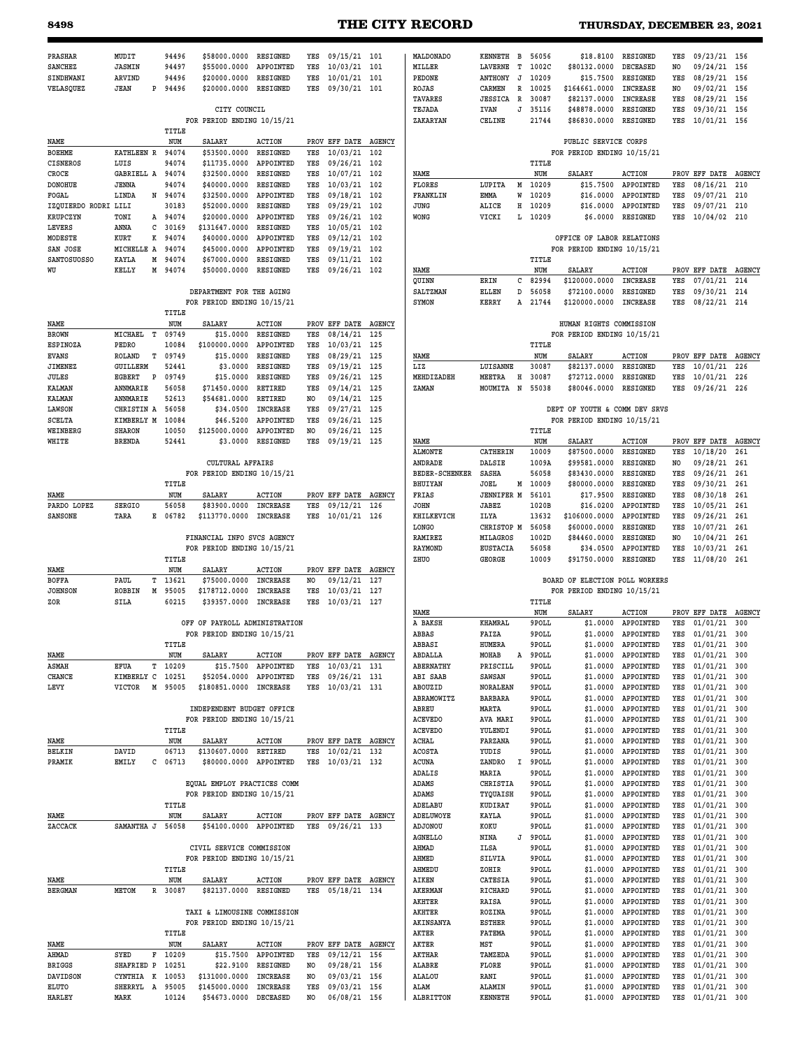# **8498 THE CITY RECORD THURSDAY, DECEMBER 23, 2021**

| PRASHAR                | MUDIT                 |        | 94496          | \$58000.0000                                            | RESIGNED                    | YES        | 09/15/21 101                         |     | MALDONADO                | KENNETH B                |        | 56056          | \$18,8100                                                    | <b>RESIGNED</b>                    | YES            | 09/23/21 156                     |            |
|------------------------|-----------------------|--------|----------------|---------------------------------------------------------|-----------------------------|------------|--------------------------------------|-----|--------------------------|--------------------------|--------|----------------|--------------------------------------------------------------|------------------------------------|----------------|----------------------------------|------------|
| <b>SANCHEZ</b>         | <b>JASMIN</b>         |        | 94497          | \$55000.0000                                            | APPOINTED                   | YES        | 10/03/21 101                         |     | MILLER                   | LAVERNE                  | т      | 1002C          | \$80132.0000                                                 | DECEASED                           | NO             | 09/24/21 156                     |            |
| SINDHWANI              | ARVIND                |        | 94496          | \$20000.0000                                            | <b>RESIGNED</b>             | YES        | $10/01/21$ 101                       |     | PEDONE                   | <b>ANTHONY</b>           | J      | 10209          | \$15.7500                                                    | <b>RESIGNED</b>                    | YES            | 08/29/21 156                     |            |
| VELASQUEZ              | <b>JEAN</b>           | P      | 94496          | \$20000.0000                                            | RESIGNED                    | YES        | 09/30/21 101                         |     | ROJAS                    | CARMEN                   | R      | 10025          | \$164661.0000                                                | <b>INCREASE</b>                    | NO.            | 09/02/21 156                     |            |
|                        |                       |        |                |                                                         |                             |            |                                      |     | <b>TAVARES</b>           | <b>JESSICA</b>           | R      | 30087          | \$82137.0000                                                 | INCREASE                           | YES            | 08/29/21                         | 156        |
|                        |                       |        |                | CITY COUNCIL                                            |                             |            |                                      |     | TEJADA                   | IVAN                     | J      | 35116          | \$48878.0000                                                 | <b>RESIGNED</b>                    | YES            | 09/30/21                         | 156        |
|                        |                       |        |                | FOR PERIOD ENDING 10/15/21                              |                             |            |                                      |     | ZAKARYAN                 | CELINE                   |        | 21744          | \$86830.0000                                                 | <b>RESIGNED</b>                    | YES            | 10/01/21 156                     |            |
|                        |                       |        | TITLE          |                                                         |                             |            |                                      |     |                          |                          |        |                |                                                              |                                    |                |                                  |            |
| NAME                   | KATHLEEN R            |        | NUM<br>94074   | SALARY<br>\$53500.0000                                  | <b>ACTION</b><br>RESIGNED   | YES        | PROV EFF DATE AGENCY<br>10/03/21 102 |     |                          |                          |        |                | PUBLIC SERVICE CORPS<br>FOR PERIOD ENDING 10/15/21           |                                    |                |                                  |            |
| BOEHME<br>CISNEROS     | LUIS                  |        | 94074          | \$11735.0000                                            | APPOINTED                   | YES        | 09/26/21 102                         |     |                          |                          |        | TITLE          |                                                              |                                    |                |                                  |            |
| CROCE                  | GABRIELL A            |        | 94074          | \$32500.0000                                            | RESIGNED                    | YES        | 10/07/21 102                         |     | NAME                     |                          |        | NUM            | SALARY                                                       | <b>ACTION</b>                      |                | PROV EFF DATE AGENCY             |            |
| <b>DONOHUE</b>         | <b>JENNA</b>          |        | 94074          | \$40000.0000                                            | <b>RESIGNED</b>             | YES        | 10/03/21                             | 102 | FLORES                   | LUPITA                   | М      | 10209          | \$15.7500                                                    | APPOINTED                          | YES            | 08/16/21                         | 210        |
| FOGAL                  | LINDA                 |        | N 94074        | \$32500.0000                                            | APPOINTED                   | YES        | 09/18/21 102                         |     | FRANKLIN                 | EMMA                     | W      | 10209          | \$16,0000                                                    | APPOINTED                          | YES            | 09/07/21                         | 210        |
| IZQUIERDO RODRI LILI   |                       |        | 30183          | \$52000.0000                                            | RESIGNED                    | YES        | 09/29/21                             | 102 | JUNG                     | ALICE                    | Η      | 10209          | \$16.0000                                                    | APPOINTED                          | YES            | 09/07/21                         | 210        |
| KRUPCZYN               | TONI                  | А      | 94074          | \$20000.0000                                            | APPOINTED                   | YES        | 09/26/21                             | 102 | WONG                     | VICKI                    | L      | 10209          | \$6.0000                                                     | RESIGNED                           | YES            | 10/04/02 210                     |            |
| LEVERS                 | ANNA                  | с      | 30169          | \$131647.0000                                           | RESIGNED                    | YES        | 10/05/21 102                         |     |                          |                          |        |                |                                                              |                                    |                |                                  |            |
| MODESTE                | KURT                  | K      | 94074          | \$40000.0000                                            | APPOINTED                   | YES        | 09/12/21                             | 102 |                          |                          |        |                | OFFICE OF LABOR RELATIONS                                    |                                    |                |                                  |            |
| SAN JOSE               | MICHELLE A            |        | 94074          | \$45000.0000                                            | APPOINTED                   | YES        | 09/19/21 102                         |     |                          |                          |        |                | FOR PERIOD ENDING 10/15/21                                   |                                    |                |                                  |            |
| SANTOSUOSSO            | <b>KAYLA</b>          | М      | 94074          | \$67000.0000                                            | <b>RESIGNED</b>             | YES        | 09/11/21 102                         |     |                          |                          |        | TITLE          |                                                              |                                    |                |                                  |            |
| WU                     | KELLY                 | М      | 94074          | \$50000.0000                                            | <b>RESIGNED</b>             | YES        | 09/26/21 102                         |     | NAME                     |                          |        | NUM            | <b>SALARY</b>                                                | <b>ACTION</b>                      |                | PROV EFF DATE AGENCY             |            |
|                        |                       |        |                | DEPARTMENT FOR THE AGING                                |                             |            |                                      |     | QUINN<br><b>SALTZMAN</b> | ERIN<br>ELLEN            | с<br>D | 82994<br>56058 | \$120000.0000<br>\$72100.0000                                | <b>INCREASE</b><br><b>RESIGNED</b> | YES<br>YES     | 07/01/21<br>09/30/21             | 214<br>214 |
|                        |                       |        |                | FOR PERIOD ENDING 10/15/21                              |                             |            |                                      |     | SYMON                    | KERRY                    | Α      | 21744          | \$120000.0000                                                | <b>INCREASE</b>                    | YES            | 08/22/21                         | 214        |
|                        |                       |        | TITLE          |                                                         |                             |            |                                      |     |                          |                          |        |                |                                                              |                                    |                |                                  |            |
| NAME                   |                       |        | NUM            | <b>SALARY</b>                                           | <b>ACTION</b>               |            | PROV EFF DATE AGENCY                 |     |                          |                          |        |                | HUMAN RIGHTS COMMISSION                                      |                                    |                |                                  |            |
| <b>BROWN</b>           | MICHAEL<br>т          |        | 09749          | \$15,0000                                               | RESIGNED                    | YES        | 08/14/21 125                         |     |                          |                          |        |                | FOR PERIOD ENDING 10/15/21                                   |                                    |                |                                  |            |
| <b>ESPINOZA</b>        | PEDRO                 |        | 10084          | \$100000.0000                                           | APPOINTED                   | YES        | 10/03/21 125                         |     |                          |                          |        | TITLE          |                                                              |                                    |                |                                  |            |
| <b>EVANS</b>           | ROLAND                | т      | 09749          | \$15.0000                                               | RESIGNED                    | YES        | 08/29/21 125                         |     | NAME                     |                          |        | NUM            | <b>SALARY</b>                                                | <b>ACTION</b>                      |                | PROV EFF DATE AGENCY             |            |
| JIMENEZ                | GUILLERM              |        | 52441          | \$3.0000                                                | RESIGNED                    | YES        | 09/19/21 125                         |     | LIZ                      | LUISANNE                 |        | 30087          | \$82137.0000                                                 | <b>RESIGNED</b>                    | YES            | 10/01/21                         | 226        |
| JULES                  | EGBERT<br>P           |        | 09749          | \$15.0000                                               | RESIGNED                    | YES        | 09/26/21 125                         |     | MEHDIZADEH               | MEETRA                   | Н      | 30087          | \$72712.0000                                                 | RESIGNED                           | YES            | 10/01/21                         | 226        |
| KALMAN                 | ANNMARIE              |        | 56058          | \$71450.0000                                            | RETIRED                     | YES        | 09/14/21 125                         |     | ZAMAN                    | MOUMITA                  | N      | 55038          | \$80046.0000                                                 | <b>RESIGNED</b>                    | YES            | 09/26/21                         | 226        |
| KALMAN                 | ANNMARIE              |        | 52613          | \$54681.0000                                            | RETIRED                     | NO         | 09/14/21 125                         |     |                          |                          |        |                |                                                              |                                    |                |                                  |            |
| LAWSON                 | CHRISTIN A            |        | 56058          | \$34.0500                                               | <b>INCREASE</b>             | YES        | 09/27/21 125                         |     |                          |                          |        |                | DEPT OF YOUTH & COMM DEV SRVS                                |                                    |                |                                  |            |
| SCELTA                 | KIMBERLY M            |        | 10084          | \$46.5200                                               | APPOINTED                   | YES        | 09/26/21 125                         |     |                          |                          |        |                | FOR PERIOD ENDING 10/15/21                                   |                                    |                |                                  |            |
| WEINBERG               | <b>SHARON</b>         |        | 10050          | \$125000.0000                                           | APPOINTED                   | NO         | 09/26/21 125                         |     |                          |                          |        | TITLE          |                                                              |                                    |                |                                  |            |
| WHITE                  | <b>BRENDA</b>         |        | 52441          | \$3.0000                                                | RESIGNED                    | YES        | 09/19/21 125                         |     | NAME<br><b>ALMONTE</b>   | CATHERIN                 |        | NUM<br>10009   | SALARY<br>\$87500.0000                                       | <b>ACTION</b><br>RESIGNED          | YES            | PROV EFF DATE AGENCY<br>10/18/20 | 261        |
|                        |                       |        |                | <b>CULTURAL AFFAIRS</b>                                 |                             |            |                                      |     | ANDRADE                  | DALSIE                   |        | 1009A          | \$99581.0000                                                 | <b>RESIGNED</b>                    | NO             | 09/28/21                         | 261        |
|                        |                       |        |                | FOR PERIOD ENDING 10/15/21                              |                             |            |                                      |     | <b>BEDER-SCHENKER</b>    | SASHA                    |        | 56058          | \$83430.0000                                                 | RESIGNED                           | YES            | 09/26/21                         | 261        |
|                        |                       |        | TITLE          |                                                         |                             |            |                                      |     | <b>BHUIYAN</b>           | JOEL                     | М      | 10009          | \$80000.0000                                                 | <b>RESIGNED</b>                    | YES            | 09/30/21                         | 261        |
| NAME                   |                       |        | NUM            | SALARY                                                  | <b>ACTION</b>               |            | PROV EFF DATE AGENCY                 |     | FRIAS                    | <b>JENNIFER M</b>        |        | 56101          | \$17.9500                                                    | RESIGNED                           | YES            | 08/30/18                         | 261        |
| PARDO LOPEZ            | SERGIO                |        | 56058          | \$83900.0000                                            | <b>INCREASE</b>             | YES        | 09/12/21 126                         |     | JOHN                     | <b>JABEZ</b>             |        | 1020B          | \$16.0200                                                    | APPOINTED                          | YES            | 10/05/21                         | 261        |
| SANSONE                | TARA                  | Е      | 06782          | \$113770.0000                                           | <b>INCREASE</b>             | YES        | 10/01/21 126                         |     | KHILKEVICH               | ILYA                     |        | 13632          | \$106000.0000                                                | APPOINTED                          | YES            | 09/26/21                         | 261        |
|                        |                       |        |                |                                                         |                             |            |                                      |     | <b>LONGO</b>             | CHRISTOP M               |        | 56058          | \$60000.0000                                                 | <b>RESIGNED</b>                    | YES            | 10/07/21                         | 261        |
|                        |                       |        |                | FINANCIAL INFO SVCS AGENCY                              |                             |            |                                      |     | RAMIREZ                  | MILAGROS                 |        | 1002D          | \$84460.0000                                                 | <b>RESIGNED</b>                    | N <sub>O</sub> | 10/04/21                         | 261        |
|                        |                       |        |                | FOR PERIOD ENDING 10/15/21                              |                             |            |                                      |     | <b>RAYMOND</b>           | <b>EUSTACIA</b>          |        | 56058          | \$34.0500                                                    | APPOINTED                          | YES            | 10/03/21                         | 261        |
|                        |                       |        | TITLE          |                                                         |                             |            |                                      |     | ZHUO                     | GEORGE                   |        | 10009          | \$91750.0000                                                 | RESIGNED                           | YES            | 11/08/20                         | 261        |
| NAME                   |                       |        | NUM            | <b>SALARY</b>                                           | <b>ACTION</b>               |            | PROV EFF DATE AGENCY                 |     |                          |                          |        |                |                                                              |                                    |                |                                  |            |
| <b>BOFFA</b>           | PAUL<br><b>ROBBIN</b> | т<br>М | 13621<br>95005 | \$75000.0000<br>\$178712.0000                           | INCREASE<br><b>INCREASE</b> | NO.<br>YES | 09/12/21 127<br>10/03/21 127         |     |                          |                          |        |                | BOARD OF ELECTION POLL WORKERS<br>FOR PERIOD ENDING 10/15/21 |                                    |                |                                  |            |
| <b>JOHNSON</b><br>ZOR  | SILA                  |        | 60215          | \$39357.0000                                            | <b>INCREASE</b>             | YES        | 10/03/21 127                         |     |                          |                          |        | TITLE          |                                                              |                                    |                |                                  |            |
|                        |                       |        |                |                                                         |                             |            |                                      |     | NAME                     |                          |        | NUM            | <b>SALARY</b>                                                | <b>ACTION</b>                      |                | PROV EFF DATE                    | AGENCY     |
|                        |                       |        |                | OFF OF PAYROLL ADMINISTRATION                           |                             |            |                                      |     | A BAKSH                  | KHAMRAL                  |        | 9POLL          | \$1,0000                                                     | APPOINTED                          | YES            | 01/01/21                         | 300        |
|                        |                       |        |                | FOR PERIOD ENDING 10/15/21                              |                             |            |                                      |     | ABBAS                    | FAIZA                    |        | 9POLL          | \$1,0000                                                     | APPOINTED                          | YES            | $01/01/21$ 300                   |            |
|                        |                       |        | TITLE          |                                                         |                             |            |                                      |     | <b>ABBASI</b>            | HUMERA                   |        | 9POLL          | \$1.0000                                                     | <b>APPOINTED</b>                   | YES            | 01/01/21                         | 300        |
| NAME                   |                       |        | NUM            | SALARY                                                  | <b>ACTION</b>               |            | PROV EFF DATE AGENCY                 |     | ABDALLA                  | MOHAB                    | Α      | 9POLL          | \$1.0000                                                     | APPOINTED                          | YES            | 01/01/21                         | 300        |
| <b>ASMAH</b>           | EFUA                  | т      | 10209          | \$15.7500                                               | APPOINTED                   | YES        | 10/03/21 131                         |     | ABERNATHY                | PRISCILL                 |        | 9POLL          | \$1.0000                                                     | APPOINTED                          | YES            | $01/01/21$ 300                   |            |
| CHANCE                 | KIMBERLY C            |        | 10251          | \$52054.0000                                            | APPOINTED                   | YES        | 09/26/21 131                         |     | <b>ABI SAAB</b>          | <b>SAWSAN</b>            |        | 9POLL          | \$1.0000                                                     | APPOINTED                          | YES            | $01/01/21$ 300                   |            |
| LEVY                   | <b>VICTOR</b>         |        | M 95005        | \$180851.0000 INCREASE                                  |                             | YES        | 10/03/21 131                         |     | ABOUZID                  | NORALEAN                 |        | 9POLL          | \$1.0000                                                     | APPOINTED                          | YES            | 01/01/21                         | 300        |
|                        |                       |        |                |                                                         |                             |            |                                      |     | ABRAMOWITZ               | <b>BARBARA</b>           |        | 9POLL          | \$1.0000                                                     | APPOINTED                          | YES            | 01/01/21                         | 300<br>300 |
|                        |                       |        |                | INDEPENDENT BUDGET OFFICE<br>FOR PERIOD ENDING 10/15/21 |                             |            |                                      |     | ABREU<br><b>ACEVEDO</b>  | MARTA<br>AVA MARI        |        | 9POLL<br>9POLL | \$1.0000<br>\$1.0000                                         | APPOINTED<br>APPOINTED             | YES<br>YES     | 01/01/21<br>01/01/21 300         |            |
|                        |                       |        | TITLE          |                                                         |                             |            |                                      |     | <b>ACEVEDO</b>           | YULENDI                  |        | 9POLL          | \$1.0000                                                     | APPOINTED                          | YES            | $01/01/21$ 300                   |            |
| NAME                   |                       |        | NUM            | SALARY                                                  | <b>ACTION</b>               |            | PROV EFF DATE AGENCY                 |     | ACHAL                    | FARZANA                  |        | 9POLL          | \$1.0000                                                     | APPOINTED                          | YES            | $01/01/21$ 300                   |            |
| BELKIN                 | DAVID                 |        | 06713          | \$130607.0000                                           | RETIRED                     | YES        | 10/02/21 132                         |     | <b>ACOSTA</b>            | YUDIS                    |        | 9POLL          | \$1.0000                                                     | APPOINTED                          | YES            | 01/01/21                         | 300        |
| PRAMIK                 | EMILY                 | с      | 06713          | \$80000.0000 APPOINTED                                  |                             | YES        | 10/03/21 132                         |     | ACUNA                    | ZANDRO                   | I      | 9POLL          | \$1,0000                                                     | APPOINTED                          | YES            | 01/01/21                         | 300        |
|                        |                       |        |                |                                                         |                             |            |                                      |     | ADALIS                   | MARIA                    |        | 9POLL          | \$1.0000                                                     | APPOINTED                          | YES            | 01/01/21                         | 300        |
|                        |                       |        |                | EQUAL EMPLOY PRACTICES COMM                             |                             |            |                                      |     | ADAMS                    | CHRISTIA                 |        | 9POLL          | \$1.0000                                                     | APPOINTED                          | YES            | $01/01/21$ 300                   |            |
|                        |                       |        |                | FOR PERIOD ENDING 10/15/21                              |                             |            |                                      |     | ADAMS                    | TYQUAISH                 |        | 9POLL          | \$1.0000                                                     | APPOINTED                          | YES            | 01/01/21                         | 300        |
|                        |                       |        | TITLE          |                                                         |                             |            |                                      |     | ADELABU                  | KUDIRAT                  |        | 9POLL          | \$1.0000                                                     | APPOINTED                          | YES            | $01/01/21$ 300                   |            |
| NAME                   |                       |        | NUM            | SALARY                                                  | <b>ACTION</b>               |            | PROV EFF DATE AGENCY                 |     | ADELUWOYE                | KAYLA                    |        | 9POLL          | \$1.0000                                                     | APPOINTED                          | YES            | 01/01/21                         | 300        |
| ZACCACK                | SAMANTHA J            |        | 56058          | \$54100.0000 APPOINTED                                  |                             | YES        | 09/26/21 133                         |     | ADJONOU                  | KOKU                     |        | 9POLL          | \$1.0000                                                     | APPOINTED                          | YES            | $01/01/21$ 300                   |            |
|                        |                       |        |                |                                                         |                             |            |                                      |     | <b>AGNELLO</b>           | NINA                     | J      | 9POLL          | \$1.0000                                                     | APPOINTED                          | YES            | $01/01/21$ 300                   |            |
|                        |                       |        |                | CIVIL SERVICE COMMISSION                                |                             |            |                                      |     | AHMAD                    | ILSA                     |        | 9POLL          | \$1.0000                                                     | APPOINTED                          | YES            | 01/01/21                         | 300        |
|                        |                       |        | TITLE          | FOR PERIOD ENDING 10/15/21                              |                             |            |                                      |     | AHMED<br>AHMEDU          | SILVIA<br>ZOHIR          |        | 9POLL<br>9POLL | \$1.0000<br>\$1.0000                                         | APPOINTED<br>APPOINTED             | YES<br>YES     | $01/01/21$ 300<br>01/01/21       | 300        |
| NAME                   |                       |        | NUM            | SALARY                                                  | <b>ACTION</b>               |            | PROV EFF DATE AGENCY                 |     | AIKEN                    | CATESIA                  |        | 9POLL          | \$1.0000                                                     | APPOINTED                          | YES            | $01/01/21$ 300                   |            |
| <b>BERGMAN</b>         | METOM                 | R      | 30087          | \$82137.0000 RESIGNED                                   |                             | YES        | 05/18/21 134                         |     | <b>AKERMAN</b>           | RICHARD                  |        | 9POLL          | \$1.0000                                                     | APPOINTED                          | YES            | $01/01/21$ 300                   |            |
|                        |                       |        |                |                                                         |                             |            |                                      |     | AKHTER                   | RAISA                    |        | 9POLL          | \$1.0000                                                     | APPOINTED                          | YES            | 01/01/21                         | 300        |
|                        |                       |        |                | TAXI & LIMOUSINE COMMISSION                             |                             |            |                                      |     | AKHTER                   | ROZINA                   |        | 9POLL          | \$1.0000                                                     | APPOINTED                          | YES            | $01/01/21$ 300                   |            |
|                        |                       |        |                | FOR PERIOD ENDING 10/15/21                              |                             |            |                                      |     | AKINSANYA                | <b>ESTHER</b>            |        | 9POLL          | \$1.0000                                                     | APPOINTED                          | YES            | $01/01/21$ 300                   |            |
|                        |                       |        | TITLE          |                                                         |                             |            |                                      |     | AKTER                    | FATEMA                   |        | 9POLL          | \$1.0000                                                     | APPOINTED                          | YES            | 01/01/21                         | 300        |
| NAME                   |                       |        | NUM            | SALARY                                                  | <b>ACTION</b>               |            | PROV EFF DATE AGENCY                 |     | AKTER                    | MST                      |        | 9POLL          | \$1.0000                                                     | APPOINTED                          | YES            | 01/01/21                         | 300        |
| AHMAD                  | SYED                  | F      | 10209          | \$15.7500                                               | APPOINTED                   | YES        | 09/12/21 156                         |     | AKTHAR                   | TAMZEDA                  |        | 9POLL          | \$1.0000                                                     | APPOINTED                          | YES            | 01/01/21                         | 300        |
| <b>BRIGGS</b>          |                       |        |                |                                                         | RESIGNED                    | NO.        | 09/28/21 156                         |     | ALABRE                   | FLORE                    |        | 9POLL          | \$1.0000                                                     | APPOINTED                          | YES            | 01/01/21                         | 300        |
|                        | SHAFRIED P            |        | 10251          | \$22.9100                                               |                             |            |                                      |     |                          |                          |        |                |                                                              |                                    |                |                                  |            |
| DAVIDSON               | CYNTHIA K             |        | 10053          | \$131000.0000                                           | <b>INCREASE</b>             | NO         | 09/03/21 156                         |     | <b>ALALOU</b>            | RANI                     |        | 9POLL          | \$1.0000                                                     | APPOINTED                          | YES            | 01/01/21                         | 300        |
| ELUTO<br><b>HARLEY</b> | SHERRYL A<br>MARK     |        | 95005<br>10124 | \$145000.0000<br>\$54673.0000 DECEASED                  | INCREASE                    | YES<br>NO  | 09/03/21 156<br>06/08/21 156         |     | ALAM<br>ALBRITTON        | ALAMIN<br><b>KENNETH</b> |        | 9POLL<br>9POLL | \$1.0000<br>\$1.0000                                         | APPOINTED<br>APPOINTED             | YES<br>YES     | 01/01/21<br>01/01/21 300         | 300        |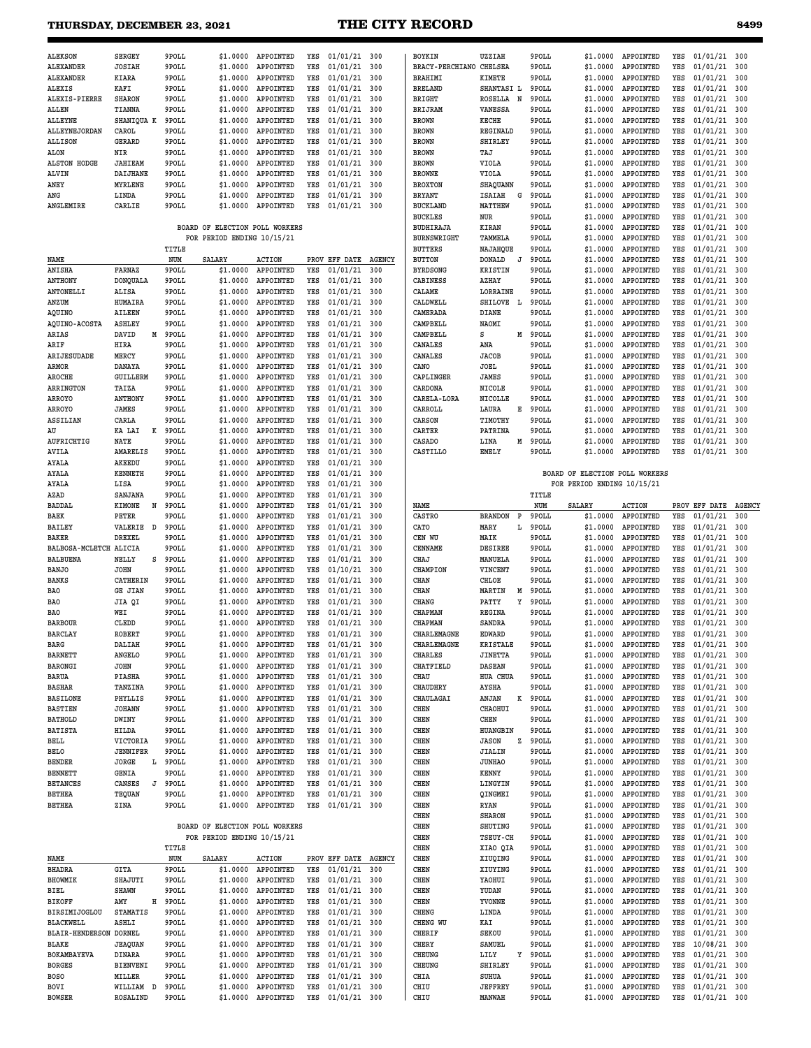# **THURSDAY, DECEMBER 23, 2021 THE CITY RECORD 8499**

| <b>ALEKSON</b>      | <b>SERGEY</b>  | 9POLL | \$1,0000 | <b>APPOINTED</b> | YES | 01/01/21 | 300 |  |
|---------------------|----------------|-------|----------|------------------|-----|----------|-----|--|
| ALEXANDER           | <b>JOSIAH</b>  | 9POLL | \$1,0000 | APPOINTED        | YES | 01/01/21 | 300 |  |
| <b>ALEXANDER</b>    | KIARA          | 9POLL | \$1,0000 | <b>APPOINTED</b> | YES | 01/01/21 | 300 |  |
| ALEXIS              | KAFI           | 9POLL | \$1,0000 | APPOINTED        | YES | 01/01/21 | 300 |  |
| ALEXIS-PIERRE       | <b>SHARON</b>  | 9POLL | \$1,0000 | APPOINTED        | YES | 01/01/21 | 300 |  |
| <b>ALLEN</b>        | <b>TIANNA</b>  | 9POLL | \$1,0000 | APPOINTED        | YES | 01/01/21 | 300 |  |
| <b>ALLEYNE</b>      | SHANIQUA K     | 9POLL | \$1,0000 | <b>APPOINTED</b> | YES | 01/01/21 | 300 |  |
| ALLEYNEJORDAN       | CAROL          | 9POLL | \$1,0000 | APPOINTED        | YES | 01/01/21 | 300 |  |
| <b>ALLISON</b>      | GERARD         | 9POLL | \$1,0000 | APPOINTED        | YES | 01/01/21 | 300 |  |
| <b>ALON</b>         | NIR            | 9POLL | \$1,0000 | APPOINTED        | YES | 01/01/21 | 300 |  |
| <b>ALSTON HODGE</b> | <b>JAHIEAM</b> | 9POLL | \$1,0000 | APPOINTED        | YES | 01/01/21 | 300 |  |
| ALVIN               | DAIJHANE       | 9POLL | \$1,0000 | APPOINTED        | YES | 01/01/21 | 300 |  |
| ANEY                | MYRLENE        | 9POLL | \$1,0000 | APPOINTED        | YES | 01/01/21 | 300 |  |
| ANG                 | LINDA          | 9POLL | \$1,0000 | APPOINTED        | YES | 01/01/21 | 300 |  |
| <b>ANGLEMIRE</b>    | CARLIE         | 9POLL | \$1,0000 | <b>APPOINTED</b> | YES | 01/01/21 | 300 |  |

#### **BOARD OF ELECTION POLL WORKERS FOR PERIOD ENDING 10/15/21**

|                        |                 |   | TITLE |          | 11112110110110 |     |               |               |
|------------------------|-----------------|---|-------|----------|----------------|-----|---------------|---------------|
| NAME                   |                 |   | NUM   | SALARY   | <b>ACTION</b>  |     | PROV EFF DATE | <b>AGENCY</b> |
| ANISHA                 | FARNAZ          |   | 9POLL | \$1.0000 | APPOINTED      | YES | 01/01/21      | 300           |
| <b>ANTHONY</b>         | <b>DONQUALA</b> |   | 9POLL | \$1.0000 | APPOINTED      | YES | 01/01/21      | 300           |
| <b>ANTONELLI</b>       | ALISA           |   | 9POLL | \$1.0000 | APPOINTED      | YES | 01/01/21      | 300           |
| ANZUM                  | HUMAIRA         |   | 9POLL | \$1.0000 | APPOINTED      | YES | 01/01/21      | 300           |
| AQUINO                 | <b>AILEEN</b>   |   | 9POLL | \$1.0000 | APPOINTED      | YES | 01/01/21      | 300           |
| <b>AQUINO-ACOSTA</b>   | <b>ASHLEY</b>   |   | 9POLL | \$1.0000 | APPOINTED      | YES | 01/01/21      | 300           |
| ARIAS                  | DAVID           | М | 9POLL | \$1.0000 | APPOINTED      | YES | 01/01/21      | 300           |
| ARIF                   | HIRA            |   | 9POLL | \$1.0000 | APPOINTED      | YES | 01/01/21      | 300           |
| ARIJESUDADE            | MERCY           |   | 9POLL | \$1.0000 | APPOINTED      | YES | 01/01/21      | 300           |
| ARMOR                  | DANAYA          |   | 9POLL | \$1.0000 | APPOINTED      | YES | 01/01/21      | 300           |
| <b>AROCHE</b>          | <b>GUILLERM</b> |   | 9POLL | \$1.0000 | APPOINTED      | YES | 01/01/21      | 300           |
| <b>ARRINGTON</b>       | TAIZA           |   | 9POLL | \$1.0000 | APPOINTED      | YES | 01/01/21      | 300           |
| ARROYO                 | <b>ANTHONY</b>  |   | 9POLL | \$1.0000 | APPOINTED      | YES | 01/01/21      | 300           |
| <b>ARROYO</b>          | JAMES           |   | 9POLL | \$1.0000 | APPOINTED      | YES | 01/01/21      | 300           |
| ASSILIAN               | CARLA           |   | 9POLL | \$1.0000 | APPOINTED      | YES | 01/01/21      | 300           |
| AU                     | KA LAI          | K | 9POLL | \$1.0000 | APPOINTED      | YES | 01/01/21      | 300           |
| AUFRICHTIG             | <b>NATE</b>     |   | 9POLL | \$1.0000 | APPOINTED      | YES | 01/01/21      | 300           |
| <b>AVILA</b>           | <b>AMARELIS</b> |   | 9POLL | \$1,0000 | APPOINTED      | YES | 01/01/21      | 300           |
| AYALA                  | AKEEDU          |   | 9POLL | \$1.0000 | APPOINTED      | YES | 01/01/21      | 300           |
| AYALA                  | <b>KENNETH</b>  |   | 9POLL | \$1.0000 | APPOINTED      | YES | 01/01/21      | 300           |
| AYALA                  | LISA            |   | 9POLL | \$1.0000 | APPOINTED      | YES | 01/01/21      | 300           |
| AZAD                   | SANJANA         |   | 9POLL | \$1.0000 | APPOINTED      | YES | 01/01/21      | 300           |
| BADDAL                 | <b>KIMONE</b>   | N | 9POLL | \$1.0000 | APPOINTED      | YES | 01/01/21      | 300           |
| BAEK                   | PETER           |   | 9POLL | \$1.0000 | APPOINTED      | YES | 01/01/21      | 300           |
| <b>BAILEY</b>          | VALERIE         | D | 9POLL | \$1.0000 | APPOINTED      | YES | 01/01/21      | 300           |
| BAKER                  | DREXEL          |   | 9POLL | \$1.0000 | APPOINTED      | YES | 01/01/21      | 300           |
| BALBOSA-MCLETCH ALICIA |                 |   | 9POLL | \$1.0000 | APPOINTED      | YES | 01/01/21      | 300           |
| <b>BALBUENA</b>        | NELLY           | S | 9POLL | \$1.0000 | APPOINTED      | YES | 01/01/21      | 300           |
| <b>BANJO</b>           | <b>JOHN</b>     |   | 9POLL | \$1,0000 | APPOINTED      | YES | 01/10/21      | 300           |
| <b>BANKS</b>           | CATHERIN        |   | 9POLL | \$1.0000 | APPOINTED      | YES | 01/01/21      | 300           |
| <b>BAO</b>             | <b>GE JIAN</b>  |   | 9POLL | \$1.0000 | APPOINTED      | YES | 01/01/21      | 300           |
| <b>BAO</b>             | JIA QI          |   | 9POLL | \$1.0000 | APPOINTED      | YES | 01/01/21      | 300           |
| <b>BAO</b>             | WEI             |   | 9POLL | \$1.0000 | APPOINTED      | YES | 01/01/21      | 300           |
| <b>BARBOUR</b>         | CLEDD           |   | 9POLL | \$1.0000 | APPOINTED      | YES | 01/01/21      | 300           |
| BARCLAY                | <b>ROBERT</b>   |   | 9POLL | \$1.0000 | APPOINTED      | YES | 01/01/21      | 300           |
| BARG                   | <b>DALIAH</b>   |   | 9POLL | \$1.0000 | APPOINTED      | YES | 01/01/21      | 300           |
| <b>BARNETT</b>         | ANGELO          |   | 9POLL | \$1.0000 | APPOINTED      | YES | 01/01/21      | 300           |
| <b>BARONGI</b>         | <b>JOHN</b>     |   | 9POLL | \$1.0000 | APPOINTED      | YES | 01/01/21      | 300           |
| BARUA                  | PIASHA          |   | 9POLL | \$1.0000 | APPOINTED      | YES | 01/01/21      | 300           |
| <b>BASHAR</b>          | TANZINA         |   | 9POLL | \$1.0000 | APPOINTED      | YES | 01/01/21      | 300           |
| <b>BASILONE</b>        | PHYLLIS         |   | 9POLL | \$1.0000 | APPOINTED      | YES | 01/01/21      | 300           |
| <b>BASTIEN</b>         | <b>JOHANN</b>   |   | 9POLL | \$1.0000 | APPOINTED      | YES | 01/01/21      | 300           |
| <b>BATHOLD</b>         | DWINY           |   | 9POLL | \$1.0000 | APPOINTED      | YES | 01/01/21      | 300           |
| <b>BATISTA</b>         | HILDA           |   | 9POLL | \$1.0000 | APPOINTED      | YES | 01/01/21      | 300           |
| BELL                   | VICTORIA        |   | 9POLL | \$1.0000 | APPOINTED      | YES | 01/01/21      | 300           |
| <b>BELO</b>            | JENNIFER        |   | 9POLL | \$1.0000 | APPOINTED      | YES | 01/01/21      | 300           |
| BENDER                 | JORGE           | L | 9POLL | \$1.0000 | APPOINTED      | YES | 01/01/21      | 300           |
| <b>BENNETT</b>         | GENIA           |   | 9POLL | \$1.0000 | APPOINTED      | YES | 01/01/21      | 300           |
| <b>BETANCES</b>        | CANSES          | J | 9POLL | \$1.0000 | APPOINTED      | YES | 01/01/21      | 300           |
| <b>BETHEA</b>          | TEQUAN          |   | 9POLL | \$1.0000 | APPOINTED      | YES | 01/01/21      | 300           |
| <b>BETHEA</b>          | ZINA            |   | 9POLL | \$1.0000 | APPOINTED      | YES | 01/01/21      | 300           |

#### **BOARD OF ELECTION POLL WORKERS FOR PERIOD ENDING 10/15/21**

|                        |                 |   | TITLE |               |               |      |                 |               |
|------------------------|-----------------|---|-------|---------------|---------------|------|-----------------|---------------|
| NAME                   |                 |   | NUM   | <b>SALARY</b> | <b>ACTION</b> | PROV | <b>EFF DATE</b> | <b>AGENCY</b> |
| BHADRA                 | GITA            |   | 9POLL | \$1,0000      | APPOINTED     | YES  | 01/01/21        | 300           |
| BHOWMIK                | SHAJUTI         |   | 9POLL | \$1,0000      | APPOINTED     | YES  | 01/01/21        | 300           |
| BIEL                   | <b>SHAWN</b>    |   | 9POLL | \$1,0000      | APPOINTED     | YES  | 01/01/21        | 300           |
| <b>BIKOFF</b>          | AMY             | н | 9POLL | \$1,0000      | APPOINTED     | YES  | 01/01/21        | 300           |
| <b>BIRSIMIJOGLOU</b>   | <b>STAMATIS</b> |   | 9POLL | \$1,0000      | APPOINTED     | YES  | 01/01/21        | 300           |
| <b>BLACKWELL</b>       | ASHLI           |   | 9POLL | \$1,0000      | APPOINTED     | YES  | 01/01/21        | 300           |
| <b>BLAIR-HENDERSON</b> | DORNEL          |   | 9POLL | \$1,0000      | APPOINTED     | YES  | 01/01/21        | 300           |
| BLAKE                  | <b>JEAOUAN</b>  |   | 9POLL | \$1,0000      | APPOINTED     | YES  | 01/01/21        | 300           |
| <b>BOKAMBAYEVA</b>     | <b>DINARA</b>   |   | 9POLL | \$1,0000      | APPOINTED     | YES  | 01/01/21        | 300           |
| <b>BORGES</b>          | <b>BIENVENI</b> |   | 9POLL | \$1,0000      | APPOINTED     | YES  | 01/01/21        | 300           |
| <b>BOSO</b>            | MILLER          |   | 9POLL | \$1,0000      | APPOINTED     | YES  | 01/01/21        | 300           |
| <b>BOVI</b>            | WILLIAM         | D | 9POLL | \$1,0000      | APPOINTED     | YES  | 01/01/21        | 300           |
| <b>BOWSER</b>          | ROSALIND        |   | 9POLL | \$1,0000      | APPOINTED     | YES  | 01/01/21        | 300           |

| BOYKIN                         | <b>UZZIAH</b>   |   | 9POLL | \$1.0000 | APPOINTED        | YES | 01/01/21 | 300 |
|--------------------------------|-----------------|---|-------|----------|------------------|-----|----------|-----|
| <b>BRACY-PERCHIANO CHELSEA</b> |                 |   | 9POLL | \$1.0000 | APPOINTED        | YES | 01/01/21 | 300 |
| BRAHIMI                        | <b>KIMETE</b>   |   | 9POLL | \$1.0000 | <b>APPOINTED</b> | YES | 01/01/21 | 300 |
| <b>BRELAND</b>                 | SHANTASI L      |   | 9POLL | \$1,0000 | <b>APPOINTED</b> | YES | 01/01/21 | 300 |
| BRIGHT                         | <b>ROSELLA</b>  | N | 9POLL | \$1.0000 | APPOINTED        | YES | 01/01/21 | 300 |
| <b>BRIJRAM</b>                 | <b>VANESSA</b>  |   | 9POLL | \$1.0000 | APPOINTED        | YES | 01/01/21 | 300 |
| BROWN                          | <b>KECHE</b>    |   | 9POLL | \$1.0000 | APPOINTED        | YES | 01/01/21 | 300 |
| <b>BROWN</b>                   | REGINALD        |   | 9POLL | \$1.0000 | APPOINTED        | YES | 01/01/21 | 300 |
| BROWN                          | <b>SHIRLEY</b>  |   | 9POLL | \$1.0000 | APPOINTED        | YES | 01/01/21 | 300 |
| BROWN                          | TAJ             |   | 9POLL | \$1,0000 | APPOINTED        | YES | 01/01/21 | 300 |
| BROWN                          | VIOLA           |   | 9POLL | \$1.0000 | APPOINTED        | YES | 01/01/21 | 300 |
| <b>BROWNE</b>                  | VIOLA           |   | 9POLL | \$1.0000 | APPOINTED        | YES | 01/01/21 | 300 |
| <b>BROXTON</b>                 | SHAQUANN        |   | 9POLL | \$1.0000 | APPOINTED        | YES | 01/01/21 | 300 |
| <b>BRYANT</b>                  | <b>ISAIAH</b>   | G | 9POLL | \$1.0000 | APPOINTED        | YES | 01/01/21 | 300 |
| <b>BUCKLAND</b>                | MATTHEW         |   | 9POLL | \$1,0000 | APPOINTED        | YES | 01/01/21 | 300 |
| <b>BUCKLES</b>                 | <b>NUR</b>      |   | 9POLL | \$1.0000 | APPOINTED        | YES | 01/01/21 | 300 |
| <b>BUDHIRAJA</b>               | KIRAN           |   | 9POLL | \$1.0000 | APPOINTED        | YES | 01/01/21 | 300 |
| BURNSWRIGHT                    | TAMMELA         |   | 9POLL | \$1.0000 | APPOINTED        | YES | 01/01/21 | 300 |
| BUTTERS                        | NAJAHQUE        |   | 9POLL | \$1.0000 | APPOINTED        | YES | 01/01/21 | 300 |
| <b>BUTTON</b>                  | <b>DONALD</b>   | J | 9POLL | \$1.0000 | APPOINTED        | YES | 01/01/21 | 300 |
| <b>BYRDSONG</b>                | <b>KRISTIN</b>  |   | 9POLL | \$1.0000 | APPOINTED        | YES | 01/01/21 | 300 |
| <b>CABINESS</b>                | <b>AZHAY</b>    |   | 9POLL | \$1,0000 | APPOINTED        | YES | 01/01/21 | 300 |
| CALAME                         | <b>LORRAINE</b> |   | 9POLL | \$1.0000 | APPOINTED        | YES | 01/01/21 | 300 |
| CALDWELL                       | <b>SHILOVE</b>  | L | 9POLL | \$1.0000 | APPOINTED        | YES | 01/01/21 | 300 |
| CAMERADA                       | <b>DIANE</b>    |   | 9POLL | \$1,0000 | APPOINTED        | YES | 01/01/21 | 300 |
| CAMPBELL                       | NAOMI           |   | 9POLL | \$1.0000 | APPOINTED        | YES | 01/01/21 | 300 |
| CAMPBELL                       | S               | М | 9POLL | \$1.0000 | APPOINTED        | YES | 01/01/21 | 300 |
| <b>CANALES</b>                 | ANA             |   | 9POLL | \$1.0000 | APPOINTED        | YES | 01/01/21 | 300 |
| <b>CANALES</b>                 | <b>JACOB</b>    |   | 9POLL | \$1,0000 | APPOINTED        | YES | 01/01/21 | 300 |
| CANO                           | <b>JOEL</b>     |   | 9POLL | \$1.0000 | APPOINTED        | YES | 01/01/21 | 300 |
| CAPLINGER                      | <b>JAMES</b>    |   | 9POLL | \$1.0000 | APPOINTED        | YES | 01/01/21 | 300 |
| CARDONA                        | <b>NICOLE</b>   |   | 9POLL | \$1,0000 | APPOINTED        | YES | 01/01/21 | 300 |
| <b>CARELA-LORA</b>             | NICOLLE         |   | 9POLL | \$1,0000 | APPOINTED        | YES | 01/01/21 | 300 |
| CARROLL                        | LAURA           | E | 9POLL | \$1.0000 | APPOINTED        | YES | 01/01/21 | 300 |
| <b>CARSON</b>                  | TIMOTHY         |   | 9POLL | \$1.0000 | APPOINTED        | YES | 01/01/21 | 300 |
| CARTER                         | PATRINA         |   | 9POLL | \$1.0000 | APPOINTED        | YES | 01/01/21 | 300 |
| <b>CASADO</b>                  | LINA            | М | 9POLL | \$1.0000 | APPOINTED        | YES | 01/01/21 | 300 |
| <b>CASTILLO</b>                | <b>EMELY</b>    |   | 9POLL | \$1.0000 | APPOINTED        | YES | 01/01/21 | 300 |
|                                |                 |   |       |          |                  |     |          |     |

#### **BOARD OF ELECTION POLL WORKERS FOR PERIOD ENDING 10/15/21**

 **TITLE**

| NAME               |                 |   | NUM   | SALARY   | <b>ACTION</b> |     | PROV EFF DATE | AGENCY |
|--------------------|-----------------|---|-------|----------|---------------|-----|---------------|--------|
| <b>CASTRO</b>      | <b>BRANDON</b>  | P | 9POLL | \$1.0000 | APPOINTED     | YES | 01/01/21      | 300    |
| CATO               | MARY            | L | 9POLL | \$1.0000 | APPOINTED     | YES | 01/01/21      | 300    |
| CEN WU             | MAIK            |   | 9POLL | \$1.0000 | APPOINTED     | YES | 01/01/21      | 300    |
| CENNAME            | <b>DESIREE</b>  |   | 9POLL | \$1.0000 | APPOINTED     | YES | 01/01/21      | 300    |
| CHAJ               | MANUELA         |   | 9POLL | \$1.0000 | APPOINTED     | YES | 01/01/21      | 300    |
| <b>CHAMPION</b>    | VINCENT         |   | 9POLL | \$1.0000 | APPOINTED     | YES | 01/01/21      | 300    |
| <b>CHAN</b>        | CHLOE           |   | 9POLL | \$1.0000 | APPOINTED     | YES | 01/01/21      | 300    |
| <b>CHAN</b>        | MARTIN          | М | 9POLL | \$1.0000 | APPOINTED     | YES | 01/01/21      | 300    |
| <b>CHANG</b>       | PATTY           | Y | 9POLL | \$1.0000 | APPOINTED     | YES | 01/01/21      | 300    |
| <b>CHAPMAN</b>     | <b>REGINA</b>   |   | 9POLL | \$1.0000 | APPOINTED     | YES | 01/01/21      | 300    |
| <b>CHAPMAN</b>     | <b>SANDRA</b>   |   | 9POLL | \$1.0000 | APPOINTED     | YES | 01/01/21      | 300    |
| <b>CHARLEMAGNE</b> | <b>EDWARD</b>   |   | 9POLL | \$1.0000 | APPOINTED     | YES | 01/01/21      | 300    |
| CHARLEMAGNE        | <b>KRISTALE</b> |   | 9POLL | \$1.0000 | APPOINTED     | YES | 01/01/21      | 300    |
| <b>CHARLES</b>     | <b>JINETTA</b>  |   | 9POLL | \$1.0000 | APPOINTED     | YES | 01/01/21      | 300    |
| <b>CHATFIELD</b>   | <b>DASEAN</b>   |   | 9POLL | \$1.0000 | APPOINTED     | YES | 01/01/21      | 300    |
| CHAU               | <b>HUA CHUA</b> |   | 9POLL | \$1.0000 | APPOINTED     | YES | 01/01/21      | 300    |
| <b>CHAUDHRY</b>    | <b>AYSHA</b>    |   | 9POLL | \$1.0000 | APPOINTED     | YES | 01/01/21      | 300    |
| <b>CHAULAGAI</b>   | ANJAN           | K | 9POLL | \$1.0000 | APPOINTED     | YES | 01/01/21      | 300    |
| <b>CHEN</b>        | CHAOHUI         |   | 9POLL | \$1.0000 | APPOINTED     | YES | 01/01/21      | 300    |
| <b>CHEN</b>        | <b>CHEN</b>     |   | 9POLL | \$1.0000 | APPOINTED     | YES | 01/01/21      | 300    |
| <b>CHEN</b>        | <b>HUANGBIN</b> |   | 9POLL | \$1.0000 | APPOINTED     | YES | 01/01/21      | 300    |
| <b>CHEN</b>        | <b>JASON</b>    | z | 9POLL | \$1.0000 | APPOINTED     | YES | 01/01/21      | 300    |
| <b>CHEN</b>        | <b>JIALIN</b>   |   | 9POLL | \$1.0000 | APPOINTED     | YES | 01/01/21      | 300    |
| <b>CHEN</b>        | <b>JUNHAO</b>   |   | 9POLL | \$1.0000 | APPOINTED     | YES | 01/01/21      | 300    |
| <b>CHEN</b>        | <b>KENNY</b>    |   | 9POLL | \$1.0000 | APPOINTED     | YES | 01/01/21      | 300    |
| <b>CHEN</b>        | LINGYIN         |   | 9POLL | \$1.0000 | APPOINTED     | YES | 01/01/21      | 300    |
| <b>CHEN</b>        | QINGMEI         |   | 9POLL | \$1.0000 | APPOINTED     | YES | 01/01/21      | 300    |
| <b>CHEN</b>        | <b>RYAN</b>     |   | 9POLL | \$1.0000 | APPOINTED     | YES | 01/01/21      | 300    |
| <b>CHEN</b>        | <b>SHARON</b>   |   | 9POLL | \$1.0000 | APPOINTED     | YES | 01/01/21      | 300    |
| <b>CHEN</b>        | SHUTING         |   | 9POLL | \$1.0000 | APPOINTED     | YES | 01/01/21      | 300    |
| <b>CHEN</b>        | TSEUY-CH        |   | 9POLL | \$1.0000 | APPOINTED     | YES | 01/01/21      | 300    |
| <b>CHEN</b>        | XIAO QIA        |   | 9POLL | \$1.0000 | APPOINTED     | YES | 01/01/21      | 300    |
| CHEN               | XIUQING         |   | 9POLL | \$1.0000 | APPOINTED     | YES | 01/01/21      | 300    |
| <b>CHEN</b>        | XIUYING         |   | 9POLL | \$1.0000 | APPOINTED     | YES | 01/01/21      | 300    |
| <b>CHEN</b>        | YAOHUI          |   | 9POLL | \$1.0000 | APPOINTED     | YES | 01/01/21      | 300    |
| <b>CHEN</b>        | YUDAN           |   | 9POLL | \$1.0000 | APPOINTED     | YES | 01/01/21      | 300    |
| <b>CHEN</b>        | YVONNE          |   | 9POLL | \$1.0000 | APPOINTED     | YES | 01/01/21      | 300    |
| CHENG              | LINDA           |   | 9POLL | \$1.0000 | APPOINTED     | YES | 01/01/21      | 300    |
| CHENG WU           | KAI             |   | 9POLL | \$1.0000 | APPOINTED     | YES | 01/01/21      | 300    |
| CHERIF             | SEKOU           |   | 9POLL | \$1.0000 | APPOINTED     | YES | 01/01/21      | 300    |
| CHERY              | <b>SAMUEL</b>   |   | 9POLL | \$1.0000 | APPOINTED     | YES | 10/08/21      | 300    |
| CHEUNG             | LILY            | Υ | 9POLL | \$1.0000 | APPOINTED     | YES | 01/01/21      | 300    |
| CHEUNG             | <b>SHIRLEY</b>  |   | 9POLL | \$1.0000 | APPOINTED     | YES | 01/01/21      | 300    |
| CHIA               | <b>SUHUA</b>    |   | 9POLL | \$1.0000 | APPOINTED     | YES | 01/01/21      | 300    |
| CHIU               | <b>JEFFREY</b>  |   | 9POLL | \$1.0000 | APPOINTED     | YES | 01/01/21      | 300    |
| CHIU               | MANWAH          |   | 9POLL | \$1.0000 | APPOINTED     | YES | 01/01/21      | 300    |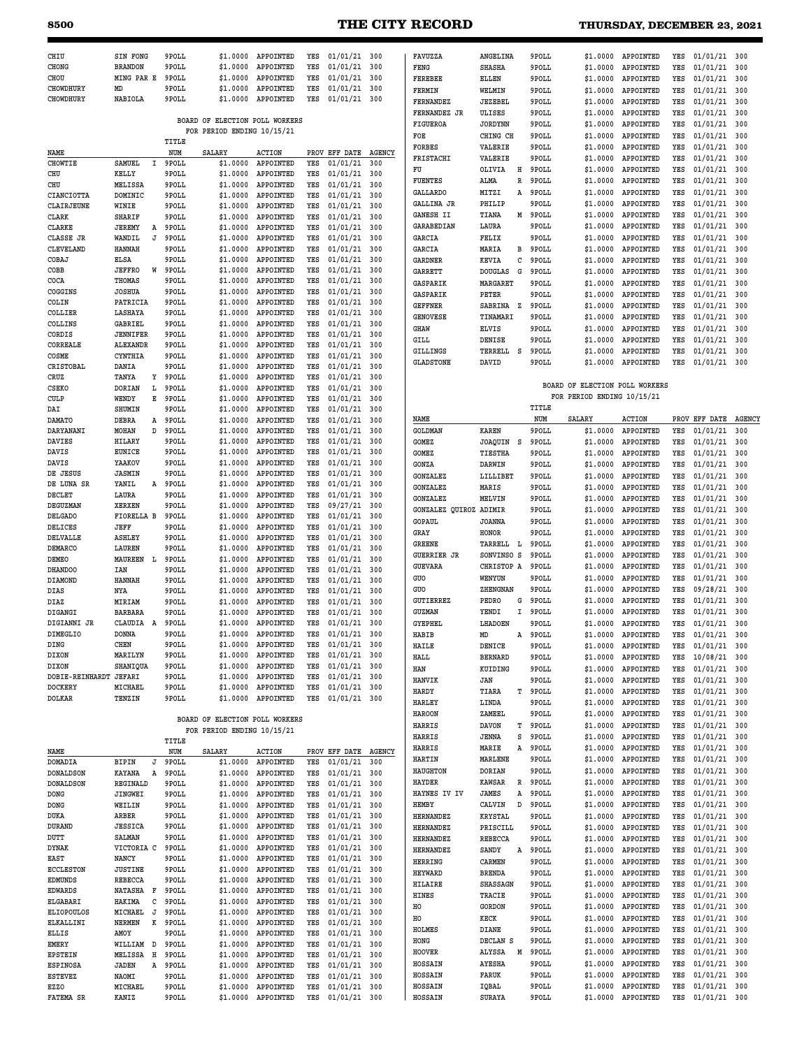# **8500 THE CITY RECORD THURSDAY, DECEMBER 23, 2021**

| <b>THURSDAY, DECEMBER 23, 202</b> |  |  |  |
|-----------------------------------|--|--|--|
|-----------------------------------|--|--|--|

**HOSSAIN SURAYA 9POLL \$1.0000 APPOINTED YES 01/01/21 300**

| CHIU              | <b>SIN FONG</b> |   | 9POLL | \$1.0000                       | APPOINTED     | YES  | 01/01/21 300    |               | FAVUZZA            | ANGELINA            | 9POLL | \$1,0000                       | APPOINTED     | YES | 01/01/21 300         |     |
|-------------------|-----------------|---|-------|--------------------------------|---------------|------|-----------------|---------------|--------------------|---------------------|-------|--------------------------------|---------------|-----|----------------------|-----|
| CHONG             | <b>BRANDON</b>  |   | 9POLL | \$1,0000                       | APPOINTED     | YES  | 01/01/21        | 300           | FENG               | <b>SHASHA</b>       | 9POLL | \$1,0000                       | APPOINTED     | YES | 01/01/21             | 300 |
| CHOU              | MING PAR E      |   | 9POLL | \$1.0000                       | APPOINTED     | YES  | 01/01/21        | 300           | <b>FEREBEE</b>     | ELLEN               | 9POLL | \$1,0000                       | APPOINTED     | YES | 01/01/21             | 300 |
| <b>CHOWDHURY</b>  | MD              |   | 9POLL | \$1,0000                       | APPOINTED     | YES  | 01/01/21        | 300           | FERMIN             | WELMIN              | 9POLL | \$1.0000                       | APPOINTED     | YES | 01/01/21             | 300 |
| <b>CHOWDHURY</b>  | NABIOLA         |   | 9POLL | \$1.0000                       | APPOINTED     | YES  | 01/01/21        | 300           | <b>FERNANDEZ</b>   | <b>JEZEBEL</b>      | 9POLL | \$1.0000                       | APPOINTED     | YES | 01/01/21             | 300 |
|                   |                 |   |       |                                |               |      |                 |               | FERNANDEZ JR       | ULISES              | 9POLL | \$1.0000                       | APPOINTED     | YES | 01/01/21             | 300 |
|                   |                 |   |       | BOARD OF ELECTION POLL WORKERS |               |      |                 |               | FIGUEROA           | <b>JORDYNN</b>      | 9POLL | \$1.0000                       | APPOINTED     | YES | 01/01/21             | 300 |
|                   |                 |   |       | FOR PERIOD ENDING 10/15/21     |               |      |                 |               | FOE                | CHING CH            | 9POLL | \$1,0000                       | APPOINTED     | YES | 01/01/21             | 300 |
|                   |                 |   | TITLE |                                |               |      |                 |               | <b>FORBES</b>      | VALERIE             | 9POLL | \$1.0000                       | APPOINTED     | YES | 01/01/21             | 300 |
| NAME              |                 |   | NUM   | <b>SALARY</b>                  | <b>ACTION</b> | PROV | EFF DATE        | <b>AGENCY</b> |                    |                     |       |                                |               |     |                      |     |
| <b>CHOWTIE</b>    | SAMUEL          | I | 9POLL | \$1.0000                       | APPOINTED     | YES  | 01/01/21        | 300           | FRISTACHI          | VALERIE             | 9POLL | \$1.0000                       | APPOINTED     | YES | 01/01/21             | 300 |
| CHU               | KELLY           |   | 9POLL | \$1.0000                       | APPOINTED     | YES  | 01/01/21        | 300           | FU                 | OLIVIA<br>н         | 9POLL | \$1.0000                       | APPOINTED     | YES | 01/01/21             | 300 |
| CHU               | MELISSA         |   | 9POLL | \$1.0000                       | APPOINTED     | YES  | 01/01/21        | 300           | <b>FUENTES</b>     | ALMA<br>R           | 9POLL | \$1.0000                       | APPOINTED     | YES | 01/01/21             | 300 |
| CIANCIOTTA        | DOMINIC         |   | 9POLL | \$1,0000                       | APPOINTED     | YES  | 01/01/21        | 300           | <b>GALLARDO</b>    | MITZI<br>Α          | 9POLL | \$1.0000                       | APPOINTED     | YES | 01/01/21             | 300 |
| CLAIRJEUNE        | WINIE           |   | 9POLL | \$1.0000                       | APPOINTED     | YES  | 01/01/21        | 300           | <b>GALLINA JR</b>  | PHILIP              | 9POLL | \$1,0000                       | APPOINTED     | YES | 01/01/21             | 300 |
| CLARK             | <b>SHARIF</b>   |   | 9POLL | \$1.0000                       | APPOINTED     | YES  | 01/01/21        | 300           | <b>GANESH II</b>   | TIANA<br>М          | 9POLL | \$1.0000                       | APPOINTED     | YES | 01/01/21             | 300 |
|                   |                 |   |       |                                |               |      |                 |               | <b>GARABEDIAN</b>  | LAURA               | 9POLL | \$1.0000                       | APPOINTED     | YES | 01/01/21             | 300 |
| <b>CLARKE</b>     | <b>JEREMY</b>   | Α | 9POLL | \$1.0000                       | APPOINTED     | YES  | 01/01/21        | 300           |                    |                     |       |                                |               |     |                      |     |
| CLASSE JR         | WANDIL          | J | 9POLL | \$1.0000                       | APPOINTED     | YES  | 01/01/21        | 300           | <b>GARCIA</b>      | FELIX               | 9POLL | \$1.0000                       | APPOINTED     | YES | 01/01/21             | 300 |
| CLEVELAND         | <b>HANNAH</b>   |   | 9POLL | \$1.0000                       | APPOINTED     | YES  | 01/01/21        | 300           | GARCIA             | MARIA<br>в          | 9POLL | \$1.0000                       | APPOINTED     | YES | 01/01/21             | 300 |
| COBAJ             | ELSA            |   | 9POLL | \$1.0000                       | APPOINTED     | YES  | 01/01/21        | 300           | <b>GARDNER</b>     | KEVIA<br>c          | 9POLL | \$1.0000                       | APPOINTED     | YES | 01/01/21             | 300 |
| COBB              | <b>JEFFRO</b>   | W | 9POLL | \$1.0000                       | APPOINTED     | YES  | 01/01/21        | 300           | <b>GARRETT</b>     | <b>DOUGLAS</b><br>G | 9POLL | \$1.0000                       | APPOINTED     | YES | 01/01/21             | 300 |
| COCA              | THOMAS          |   | 9POLL | \$1.0000                       | APPOINTED     | YES  | 01/01/21        | 300           | GASPARIK           | MARGARET            | 9POLL | \$1,0000                       | APPOINTED     | YES | 01/01/21             | 300 |
| COGGINS           | <b>JOSHUA</b>   |   | 9POLL | \$1.0000                       | APPOINTED     | YES  | 01/01/21        | 300           | GASPARIK           | PETER               | 9POLL | \$1.0000                       | APPOINTED     | YES | 01/01/21             | 300 |
| COLIN             | PATRICIA        |   | 9POLL | \$1.0000                       | APPOINTED     | YES  | 01/01/21        | 300           | <b>GEFFNER</b>     | SABRINA<br><b>z</b> | 9POLL | \$1.0000                       | APPOINTED     | YES | 01/01/21             | 300 |
| COLLIER           | LASHAYA         |   | 9POLL | \$1,0000                       | APPOINTED     | YES  | 01/01/21        | 300           |                    |                     |       |                                |               |     |                      |     |
| COLLINS           | <b>GABRIEL</b>  |   | 9POLL | \$1.0000                       | APPOINTED     | YES  | 01/01/21        | 300           | <b>GENOVESE</b>    | TINAMARI            | 9POLL | \$1,0000                       | APPOINTED     | YES | 01/01/21             | 300 |
| CORDIS            | <b>JENNIFER</b> |   | 9POLL | \$1.0000                       | APPOINTED     | YES  | 01/01/21        | 300           | GHAW               | <b>ELVIS</b>        | 9POLL | \$1,0000                       | APPOINTED     | YES | 01/01/21             | 300 |
| CORREALE          | <b>ALEXANDR</b> |   | 9POLL | \$1,0000                       | APPOINTED     | YES  | 01/01/21        | 300           | GILL               | DENISE              | 9POLL | \$1.0000                       | APPOINTED     | YES | 01/01/21             | 300 |
|                   |                 |   |       |                                |               |      |                 |               | <b>GILLINGS</b>    | TERRELL<br>- S      | 9POLL | \$1.0000                       | APPOINTED     | YES | 01/01/21             | 300 |
| COSME             | CYNTHIA         |   | 9POLL | \$1.0000                       | APPOINTED     | YES  | 01/01/21        | 300           | <b>GLADSTONE</b>   | DAVID               | 9POLL | \$1.0000                       | APPOINTED     | YES | 01/01/21             | 300 |
| CRISTOBAL         | DANIA           |   | 9POLL | \$1,0000                       | APPOINTED     | YES  | 01/01/21        | 300           |                    |                     |       |                                |               |     |                      |     |
| CRUZ              | TANYA           | Y | 9POLL | \$1.0000                       | APPOINTED     | YES  | 01/01/21        | 300           |                    |                     |       |                                |               |     |                      |     |
| CSEKO             | <b>DORIAN</b>   | L | 9POLL | \$1.0000                       | APPOINTED     | YES  | 01/01/21        | 300           |                    |                     |       | BOARD OF ELECTION POLL WORKERS |               |     |                      |     |
| <b>CULP</b>       | WENDY           | Е | 9POLL | \$1.0000                       | APPOINTED     | YES  | 01/01/21        | 300           |                    |                     |       | FOR PERIOD ENDING 10/15/21     |               |     |                      |     |
| DAI               | SHUMIN          |   | 9POLL | \$1.0000                       | APPOINTED     | YES  | 01/01/21        | 300           |                    |                     | TITLE |                                |               |     |                      |     |
| <b>DAMATO</b>     | DEBRA           | Α | 9POLL | \$1.0000                       | APPOINTED     | YES  | 01/01/21        | 300           | NAME               |                     | NUM   | <b>SALARY</b>                  | <b>ACTION</b> |     | PROV EFF DATE AGENCY |     |
| DARYANANI         | MOHAN           | D | 9POLL | \$1.0000                       | APPOINTED     | YES  | 01/01/21        | 300           | GOLDMAN            | <b>KAREN</b>        | 9POLL | \$1,0000                       | APPOINTED     | YES | 01/01/21             | 300 |
| DAVIES            | HILARY          |   | 9POLL | \$1.0000                       | APPOINTED     | YES  | 01/01/21        | 300           | GOMEZ              | s<br>JOAQUIN        | 9POLL | \$1.0000                       | APPOINTED     | YES | 01/01/21             | 300 |
| DAVIS             | <b>EUNICE</b>   |   | 9POLL | \$1.0000                       | APPOINTED     | YES  | 01/01/21        | 300           | GOMEZ              | TIESTHA             | 9POLL | \$1,0000                       | APPOINTED     | YES | 01/01/21             | 300 |
| DAVIS             | YAAKOV          |   | 9POLL | \$1,0000                       | APPOINTED     | YES  | 01/01/21        | 300           | GONZA              |                     | 9POLL |                                | APPOINTED     | YES |                      |     |
| DE JESUS          | <b>JASMIN</b>   |   | 9POLL | \$1.0000                       | APPOINTED     | YES  | 01/01/21        | 300           |                    | DARWIN              |       | \$1.0000                       |               |     | 01/01/21             | 300 |
|                   |                 |   |       |                                |               |      |                 |               | <b>GONZALEZ</b>    | LILLIBET            | 9POLL | \$1.0000                       | APPOINTED     | YES | 01/01/21             | 300 |
| DE LUNA SR        | YANIL           | Α | 9POLL | \$1.0000                       | APPOINTED     | YES  | 01/01/21        | 300           | GONZALEZ           | MARIS               | 9POLL | \$1.0000                       | APPOINTED     | YES | 01/01/21             | 300 |
| DECLET            | LAURA           |   | 9POLL | \$1.0000                       | APPOINTED     | YES  | 01/01/21        | 300           | <b>GONZALEZ</b>    | MELVIN              | 9POLL | \$1.0000                       | APPOINTED     | YES | 01/01/21             | 300 |
| DEGUZMAN          | <b>XERXEN</b>   |   | 9POLL | \$1.0000                       | APPOINTED     | YES  | 09/27/21        | 300           | GONZALEZ<br>QUIROZ | ADIMIR              | 9POLL | \$1.0000                       | APPOINTED     | YES | 01/01/21             | 300 |
| DELGADO           | FIORELLA B      |   | 9POLL | \$1.0000                       | APPOINTED     | YES  | 01/01/21        | 300           | <b>GOPAUL</b>      | <b>JOANNA</b>       | 9POLL | \$1.0000                       | APPOINTED     | YES | 01/01/21             | 300 |
| DELICES           | JEFF            |   | 9POLL | \$1.0000                       | APPOINTED     | YES  | 01/01/21        | 300           | GRAY               | HONOR               | 9POLL | \$1,0000                       | APPOINTED     | YES | 01/01/21             | 300 |
| DELVALLE          | <b>ASHLEY</b>   |   | 9POLL | \$1.0000                       | APPOINTED     | YES  | 01/01/21        | 300           |                    |                     |       |                                |               |     |                      |     |
| DEMARCO           | LAUREN          |   | 9POLL | \$1.0000                       | APPOINTED     | YES  | 01/01/21        | 300           | <b>GREENE</b>      | TARRELL<br>L        | 9POLL | \$1.0000                       | APPOINTED     | YES | 01/01/21             | 300 |
| DEMEO             | <b>MAUREEN</b>  | L | 9POLL | \$1.0000                       | APPOINTED     | YES  | 01/01/21        | 300           | <b>GUERRIER JR</b> | SONVINSO<br>S       | 9POLL | \$1.0000                       | APPOINTED     | YES | 01/01/21             | 300 |
| <b>DHANDOO</b>    | IAN             |   | 9POLL | \$1.0000                       | APPOINTED     | YES  | 01/01/21        | 300           | <b>GUEVARA</b>     | CHRISTOP A          | 9POLL | \$1.0000                       | APPOINTED     | YES | 01/01/21             | 300 |
| DIAMOND           | <b>HANNAH</b>   |   | 9POLL | \$1.0000                       | APPOINTED     | YES  | 01/01/21        | 300           | GUO                | WENYUN              | 9POLL | \$1.0000                       | APPOINTED     | YES | 01/01/21             | 300 |
| DIAS              | NYA             |   | 9POLL | \$1.0000                       | APPOINTED     | YES  | 01/01/21        | 300           | GUO                | ZHENGNAN            | 9POLL | \$1.0000                       | APPOINTED     | YES | 09/28/21             | 300 |
| DIAZ              | MIRIAM          |   | 9POLL | \$1.0000                       | APPOINTED     | YES  | 01/01/21        | 300           | GUTIERREZ          | PEDRO<br>G          | 9POLL | \$1,0000                       | APPOINTED     | YES | 01/01/21             | 300 |
|                   |                 |   |       |                                | APPOINTED     |      |                 |               | <b>GUZMAN</b>      | YENDI<br>T.         | 9POLL | \$1,0000                       | APPOINTED     | YES | 01/01/21             | 300 |
| DIGANGI           | <b>BARBARA</b>  |   | 9POLL | \$1.0000                       |               | YES  | 01/01/21        | 300           |                    |                     |       |                                |               |     |                      |     |
| DIGIANNI JR       | CLAUDIA         | A | 9POLL | \$1,0000                       | APPOINTED     | YES  | 01/01/21        | 300           | <b>GYEPHEL</b>     | LHADOEN             | 9POLL | \$1,0000                       | APPOINTED     | YES | 01/01/21             | 300 |
| DIMEGLIO          | <b>DONNA</b>    |   | 9POLL | \$1.0000                       | APPOINTED     | YES  | 01/01/21        | 300           | <b>HABIB</b>       | MD<br>Α             | 9POLL | \$1,0000                       | APPOINTED     | YES | 01/01/21             | 300 |
| DING              | CHEN            |   | 9POLL | \$1,0000                       | APPOINTED     | YES  | 01/01/21 300    |               | HAILE              | DENICE              | 9POLL | \$1.0000                       | APPOINTED     | YES | $01/01/21$ 300       |     |
| DIXON             | MARILYN         |   | 9POLL | \$1.0000                       | APPOINTED     | YES  | 01/01/21 300    |               | HALL               | <b>BERNARD</b>      | 9POLL | \$1.0000                       | APPOINTED     | YES | 10/08/21             | 300 |
| DIXON             | SHANIQUA        |   | 9POLL | \$1.0000                       | APPOINTED     | YES  | 01/01/21 300    |               | HAN                | KUIDING             | 9POLL | \$1.0000                       | APPOINTED     | YES | 01/01/21             | 300 |
| DOBIE-REINHARDT   | <b>JEFARI</b>   |   | 9POLL | \$1.0000                       | APPOINTED     | YES  | 01/01/21        | 300           | HANVIK             | JAN                 | 9POLL | \$1.0000                       | APPOINTED     | YES | 01/01/21             | 300 |
| DOCKERY           | MICHAEL         |   | 9POLL | \$1.0000                       | APPOINTED     | YES  | 01/01/21 300    |               | HARDY              | TIARA<br>т          | 9POLL | \$1.0000                       | APPOINTED     | YES | 01/01/21             | 300 |
| DOLKAR            | TENZIN          |   | 9POLL | \$1.0000                       | APPOINTED     | YES  | 01/01/21 300    |               |                    |                     |       |                                |               |     |                      |     |
|                   |                 |   |       |                                |               |      |                 |               | <b>HARLEY</b>      | LINDA               | 9POLL | \$1.0000                       | APPOINTED     | YES | 01/01/21             | 300 |
|                   |                 |   |       | BOARD OF ELECTION POLL WORKERS |               |      |                 |               | <b>HAROON</b>      | ZAMEEL              | 9POLL | \$1.0000                       | APPOINTED     | YES | 01/01/21             | 300 |
|                   |                 |   |       | FOR PERIOD ENDING 10/15/21     |               |      |                 |               | HARRIS             | <b>DAVON</b><br>T   | 9POLL | \$1.0000                       | APPOINTED     | YES | 01/01/21             | 300 |
|                   |                 |   | TITLE |                                |               |      |                 |               | HARRIS             | S<br><b>JENNA</b>   | 9POLL | \$1.0000                       | APPOINTED     | YES | 01/01/21             | 300 |
| NAME              |                 |   | NUM   | SALARY                         | ACTION        | PROV | EFF DATE AGENCY |               | HARRIS             | Α<br>MARIE          | 9POLL | \$1.0000                       | APPOINTED     | YES | 01/01/21             | 300 |
| DOMADIA           | <b>BIPIN</b>    | J | 9POLL | \$1.0000                       | APPOINTED     | YES  | $01/01/21$ 300  |               | HARTIN             | MARLENE             | 9POLL | \$1.0000                       | APPOINTED     | YES | 01/01/21             | 300 |
|                   |                 |   |       |                                |               |      |                 |               | <b>HAUGHTON</b>    | DORIAN              | 9POLL | \$1.0000                       | APPOINTED     | YES | 01/01/21             | 300 |
| <b>DONALDSON</b>  | KAYANA          | Α | 9POLL | \$1.0000                       | APPOINTED     | YES  | 01/01/21 300    |               |                    |                     |       |                                |               |     | 01/01/21             |     |
| <b>DONALDSON</b>  | REGINALD        |   | 9POLL | \$1,0000                       | APPOINTED     | YES  | 01/01/21        | 300           | <b>HAYDER</b>      | <b>KAWSAR</b><br>R  | 9POLL | \$1.0000                       | APPOINTED     | YES |                      | 300 |
| <b>DONG</b>       | JINGWEI         |   | 9POLL | \$1.0000                       | APPOINTED     | YES  | 01/01/21 300    |               | HAYNES IV IV       | Α<br>JAMES          | 9POLL | \$1.0000                       | APPOINTED     | YES | 01/01/21             | 300 |
| <b>DONG</b>       | WEILIN          |   | 9POLL | \$1.0000                       | APPOINTED     | YES  | 01/01/21 300    |               | HEMBY              | CALVIN<br>D         | 9POLL | \$1.0000                       | APPOINTED     | YES | 01/01/21             | 300 |
| DUKA              | ARBER           |   | 9POLL | \$1.0000                       | APPOINTED     | YES  | 01/01/21 300    |               | <b>HERNANDEZ</b>   | <b>KRYSTAL</b>      | 9POLL | \$1.0000                       | APPOINTED     | YES | 01/01/21             | 300 |
| DURAND            | <b>JESSICA</b>  |   | 9POLL | \$1.0000                       | APPOINTED     | YES  | 01/01/21 300    |               | <b>HERNANDEZ</b>   | PRISCILL            | 9POLL | \$1.0000                       | APPOINTED     | YES | 01/01/21             | 300 |
| DUTT              | <b>SALMAN</b>   |   | 9POLL | \$1.0000                       | APPOINTED     | YES  | 01/01/21 300    |               | <b>HERNANDEZ</b>   | REBECCA             | 9POLL | \$1.0000                       | APPOINTED     | YES | 01/01/21             | 300 |
| <b>DYNAK</b>      | VICTORIA C      |   | 9POLL | \$1.0000                       | APPOINTED     | YES  | 01/01/21        | 300           | <b>HERNANDEZ</b>   | SANDY<br>Α          | 9POLL | \$1.0000                       | APPOINTED     | YES | 01/01/21             | 300 |
| EAST              | NANCY           |   | 9POLL | \$1,0000                       | APPOINTED     | YES  | 01/01/21 300    |               |                    |                     |       |                                |               |     |                      |     |
| <b>ECCLESTON</b>  | <b>JUSTINE</b>  |   | 9POLL | \$1.0000                       | APPOINTED     | YES  | 01/01/21 300    |               | <b>HERRING</b>     | CARMEN              | 9POLL | \$1.0000                       | APPOINTED     | YES | 01/01/21             | 300 |
| <b>EDMUNDS</b>    | REBECCA         |   | 9POLL | \$1.0000                       | APPOINTED     | YES  | 01/01/21 300    |               | <b>HEYWARD</b>     | <b>BRENDA</b>       | 9POLL | \$1.0000                       | APPOINTED     | YES | 01/01/21             | 300 |
|                   |                 |   |       |                                |               |      |                 |               | HILAIRE            | SHASSAGN            | 9POLL | \$1.0000                       | APPOINTED     | YES | 01/01/21             | 300 |
| <b>EDWARDS</b>    | NATASHA F       |   | 9POLL | \$1.0000                       | APPOINTED     | YES  | 01/01/21 300    |               | HINES              | TRACIE              | 9POLL | \$1.0000                       | APPOINTED     | YES | 01/01/21             | 300 |
| ELGABARI          | HAKIMA          | c | 9POLL | \$1.0000                       | APPOINTED     | YES  | 01/01/21 300    |               | HO                 | GORDON              | 9POLL | \$1.0000                       | APPOINTED     | YES | 01/01/21             | 300 |
| <b>ELIOPOULOS</b> | MICHAEL         | J | 9POLL | \$1.0000                       | APPOINTED     | YES  | 01/01/21 300    |               | HO                 | KECK                | 9POLL | \$1.0000                       | APPOINTED     | YES | 01/01/21             | 300 |
| ELKALLINI         | NERMEN          | к | 9POLL | \$1.0000                       | APPOINTED     | YES  | 01/01/21        | 300           | HOLMES             | DIANE               | 9POLL | \$1.0000                       | APPOINTED     | YES | 01/01/21             | 300 |
| ELLIS             |                 |   | 9POLL | \$1.0000                       | APPOINTED     | YES  | 01/01/21 300    |               | HONG               |                     | 9POLL | \$1.0000                       | APPOINTED     |     |                      |     |
|                   | <b>AMOY</b>     |   |       |                                |               |      |                 |               |                    |                     |       |                                |               |     |                      | 300 |
| EMERY             | WILLIAM         | D | 9POLL | \$1.0000                       | APPOINTED     | YES  | 01/01/21 300    |               |                    | DECLAN S            |       |                                |               | YES | 01/01/21             |     |
| <b>EPSTEIN</b>    | MELISSA H       |   | 9POLL | \$1.0000                       | APPOINTED     | YES  | 01/01/21 300    |               | HOOVER             | ALYSSA<br>M         | 9POLL | \$1.0000                       | APPOINTED     | YES | 01/01/21             | 300 |
| <b>ESPINOSA</b>   | JADEN           | Α | 9POLL | \$1.0000                       | APPOINTED     | YES  | 01/01/21 300    |               | HOSSAIN            | <b>AYESHA</b>       | 9POLL | \$1.0000                       | APPOINTED     | YES | 01/01/21             | 300 |
| <b>ESTEVEZ</b>    | NAOMI           |   | 9POLL | \$1.0000                       | APPOINTED     | YES  | 01/01/21 300    |               | HOSSAIN            | FARUK               | 9POLL | \$1.0000                       | APPOINTED     | YES | 01/01/21             | 300 |

**FATEMA SR KANIZ 9POLL \$1.0000 APPOINTED YES 01/01/21 300**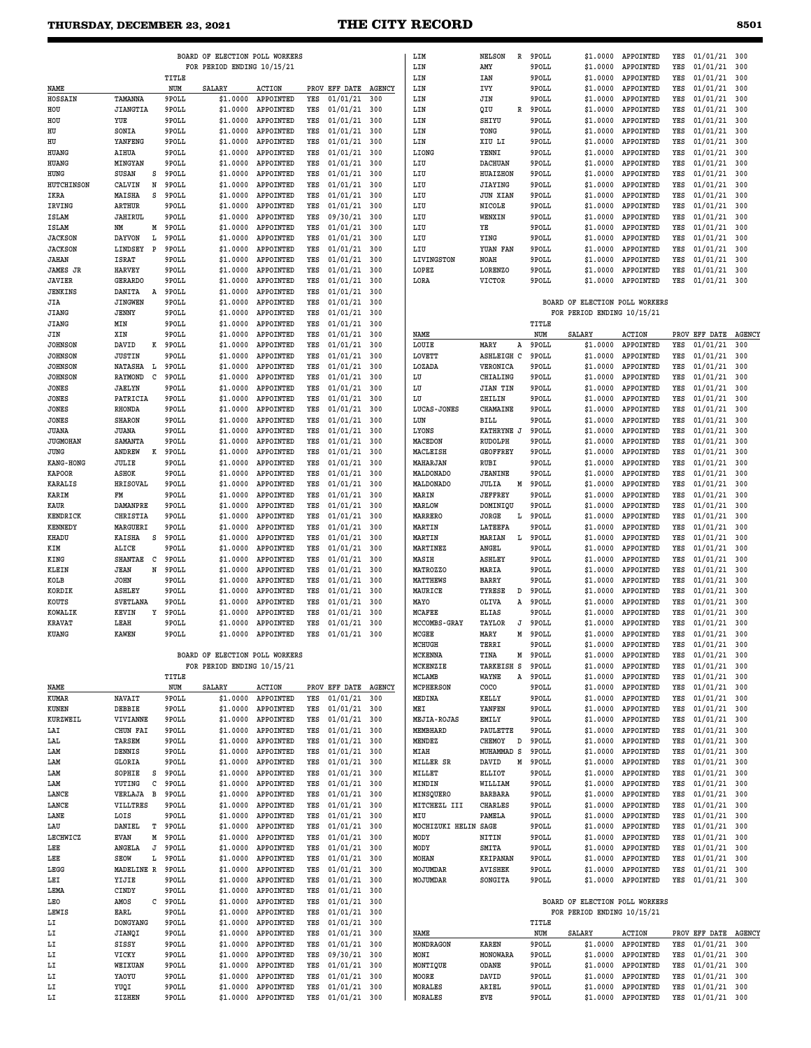|                              |                                |        |                | BOARD OF ELECTION POLL WORKERS |                                          |            |                      |               | LIM                        |
|------------------------------|--------------------------------|--------|----------------|--------------------------------|------------------------------------------|------------|----------------------|---------------|----------------------------|
|                              |                                |        | TITLE          | FOR PERIOD ENDING 10/15/21     |                                          |            |                      |               | LIN<br>LIN                 |
| NAME                         |                                |        | NUM            | <b>SALARY</b>                  | <b>ACTION</b>                            |            | PROV EFF DATE        | <b>AGENCY</b> | LIN                        |
| HOSSAIN                      | TAMANNA                        |        | 9POLL          | \$1.0000                       | APPOINTED                                | YES        | 01/01/21             | 300           | LIN                        |
| HOU                          | <b>JIANGTIA</b>                |        | 9POLL          | \$1.0000                       | APPOINTED                                | YES        | 01/01/21             | 300           | LIN                        |
| HOU                          | YUE                            |        | 9POLL          | \$1.0000                       | APPOINTED                                | YES        | 01/01/21             | 300           | LIN                        |
| HU<br>HU                     | SONIA<br>YANFENG               |        | 9POLL<br>9POLL | \$1.0000<br>\$1.0000           | APPOINTED<br>APPOINTED                   | YES<br>YES | 01/01/21<br>01/01/21 | 300<br>300    | LIN<br>LIN                 |
| HUANG                        | AIHUA                          |        | 9POLL          | \$1.0000                       | APPOINTED                                | YES        | 01/01/21             | 300           | LIONG                      |
| HUANG                        | <b>MINGYAN</b>                 |        | 9POLL          | \$1.0000                       | APPOINTED                                | YES        | 01/01/21             | 300           | LIU                        |
| HUNG                         | <b>SUSAN</b>                   | s      | 9POLL          | \$1.0000                       | APPOINTED                                | YES        | 01/01/21             | 300           | LIU                        |
| HUTCHINSON                   | CALVIN                         | N      | 9POLL          | \$1.0000                       | APPOINTED                                | YES        | 01/01/21             | 300           | LIU                        |
| IKRA                         | MAISHA                         | s      | 9POLL          | \$1.0000                       | APPOINTED                                | YES        | 01/01/21             | 300           | LIU                        |
| IRVING                       | ARTHUR                         |        | 9POLL          | \$1.0000                       | APPOINTED                                | YES        | 01/01/21             | 300           | LIU                        |
| ISLAM<br><b>ISLAM</b>        | JAHIRUL<br>NM                  | М      | 9POLL<br>9POLL | \$1.0000<br>\$1,0000           | APPOINTED<br>APPOINTED                   | YES<br>YES | 09/30/21<br>01/01/21 | 300<br>300    | LIU<br>LIU                 |
| <b>JACKSON</b>               | <b>DAYVON</b>                  | L      | 9POLL          | \$1.0000                       | APPOINTED                                | YES        | 01/01/21             | 300           | LIU                        |
| <b>JACKSON</b>               | LINDSEY                        | P      | 9POLL          | \$1.0000                       | APPOINTED                                | YES        | 01/01/21             | 300           | LIU                        |
| <b>JAHAN</b>                 | <b>ISRAT</b>                   |        | 9POLL          | \$1.0000                       | APPOINTED                                | YES        | 01/01/21             | 300           | LIVINGSTON                 |
| <b>JAMES JR</b>              | <b>HARVEY</b>                  |        | 9POLL          | \$1.0000                       | APPOINTED                                | YES        | 01/01/21             | 300           | LOPEZ                      |
| <b>JAVIER</b>                | <b>GERARDO</b>                 |        | 9POLL          | \$1,0000                       | APPOINTED                                | YES        | 01/01/21             | 300           | LORA                       |
| JENKINS                      | DANITA                         | A      | 9POLL          | \$1.0000                       | APPOINTED                                | YES        | 01/01/21             | 300           |                            |
| JIA<br><b>JIANG</b>          | <b>JINGWEN</b><br><b>JENNY</b> |        | 9POLL<br>9POLL | \$1.0000<br>\$1.0000           | APPOINTED<br>APPOINTED                   | YES<br>YES | 01/01/21<br>01/01/21 | 300<br>300    |                            |
| <b>JIANG</b>                 | MIN                            |        | 9POLL          | \$1,0000                       | APPOINTED                                | YES        | 01/01/21             | 300           |                            |
| JIN                          | XIN                            |        | 9POLL          | \$1.0000                       | APPOINTED                                | YES        | 01/01/21             | 300           | NAME                       |
| <b>JOHNSON</b>               | DAVID                          | к      | 9POLL          | \$1,0000                       | APPOINTED                                | YES        | 01/01/21             | 300           | LOUIE                      |
| <b>JOHNSON</b>               | <b>JUSTIN</b>                  |        | 9POLL          | \$1.0000                       | APPOINTED                                | YES        | 01/01/21             | 300           | LOVETT                     |
| <b>JOHNSON</b>               | <b>NATASHA</b>                 | L      | 9POLL          | \$1.0000                       | APPOINTED                                | YES        | 01/01/21             | 300           | LOZADA                     |
| <b>JOHNSON</b>               | <b>RAYMOND</b>                 | c      | 9POLL          | \$1.0000                       | APPOINTED                                | YES        | 01/01/21             | 300           | LU                         |
| <b>JONES</b>                 | <b>JAELYN</b>                  |        | 9POLL          | \$1.0000                       | APPOINTED                                | YES        | 01/01/21             | 300           | LU                         |
| <b>JONES</b><br><b>JONES</b> | PATRICIA<br>RHONDA             |        | 9POLL<br>9POLL | \$1.0000<br>\$1.0000           | APPOINTED<br>APPOINTED                   | YES<br>YES | 01/01/21<br>01/01/21 | 300<br>300    | LU<br>LUCAS-JONES          |
| <b>JONES</b>                 | <b>SHARON</b>                  |        | 9POLL          | \$1.0000                       | APPOINTED                                | YES        | 01/01/21             | 300           | LUN                        |
| <b>JUANA</b>                 | JUANA                          |        | 9POLL          | \$1.0000                       | APPOINTED                                | YES        | 01/01/21             | 300           | LYONS                      |
| <b>JUGMOHAN</b>              | SAMANTA                        |        | 9POLL          | \$1.0000                       | APPOINTED                                | YES        | 01/01/21             | 300           | <b>MACEDON</b>             |
| JUNG                         | ANDREW                         | к      | 9POLL          | \$1.0000                       | APPOINTED                                | YES        | 01/01/21             | 300           | MACLEISH                   |
| KANG-HONG                    | JULIE                          |        | 9POLL          | \$1.0000                       | APPOINTED                                | YES        | 01/01/21             | 300           | MAHARJAN                   |
| <b>KAPOOR</b>                | <b>ASHOK</b>                   |        | 9POLL          | \$1,0000                       | APPOINTED                                | YES        | 01/01/21             | 300           | <b>MALDONADO</b>           |
| <b>KARALIS</b>               | <b>HRISOVAL</b>                |        | 9POLL          | \$1.0000                       | APPOINTED                                | YES        | 01/01/21             | 300           | MALDONADO                  |
| KARIM<br><b>KAUR</b>         | FM<br><b>DAMANPRE</b>          |        | 9POLL<br>9POLL | \$1.0000<br>\$1.0000           | APPOINTED<br>APPOINTED                   | YES<br>YES | 01/01/21<br>01/01/21 | 300<br>300    | MARIN<br>MARLOW            |
| KENDRICK                     | CHRISTIA                       |        | 9POLL          | \$1.0000                       | APPOINTED                                | YES        | 01/01/21             | 300           | <b>MARRERO</b>             |
| <b>KENNEDY</b>               | MARGUERI                       |        | 9POLL          | \$1.0000                       | APPOINTED                                | YES        | 01/01/21             | 300           | MARTIN                     |
| KHADU                        | <b>KAISHA</b>                  | S      | 9POLL          | \$1.0000                       | APPOINTED                                | YES        | 01/01/21             | 300           | MARTIN                     |
| KIM                          | ALICE                          |        | 9POLL          | \$1.0000                       | APPOINTED                                | YES        | 01/01/21             | 300           | MARTINEZ                   |
| KING                         | <b>SHANTAE</b>                 | c      | 9POLL          | \$1.0000                       | APPOINTED                                | YES        | 01/01/21             | 300           | MASIH                      |
| KLEIN                        | JEAN                           | N      | 9POLL          | \$1.0000                       | APPOINTED                                | YES        | 01/01/21             | 300           | MATROZZO                   |
| KOLB<br>KORDIK               | <b>JOHN</b><br><b>ASHLEY</b>   |        | 9POLL<br>9POLL | \$1.0000<br>\$1.0000           | APPOINTED<br>APPOINTED                   | YES<br>YES | 01/01/21<br>01/01/21 | 300<br>300    | <b>MATTHEWS</b><br>MAURICE |
| KOUTS                        | <b>SVETLANA</b>                |        | 9POLL          | \$1.0000                       | APPOINTED                                | YES        | 01/01/21             | 300           | MAYO                       |
| <b>KOWALIK</b>               | <b>KRVTN</b>                   | Υ      | 9POLL          | \$1.0000                       | APPOINTED                                | YES        | 01/01/21             | 300           | <b>MCAFEE</b>              |
| <b>KRAVAT</b>                | LEAH                           |        | 9POLL          | \$1.0000                       | APPOINTED                                | YES        | 01/01/21             | 300           | MCCOMBS-GRAY               |
| KUANG                        | <b>KAWEN</b>                   |        | 9POLL          | \$1.0000                       | APPOINTED                                | YES        | 01/01/21             | 300           | MCGEE                      |
|                              |                                |        |                |                                |                                          |            |                      |               | MCHUGH                     |
|                              |                                |        |                | BOARD OF ELECTION POLL WORKERS |                                          |            |                      |               | MCKENNA                    |
|                              |                                |        |                | FOR PERIOD ENDING 10/15/21     |                                          |            |                      |               | MCKENZIE                   |
| NAME                         |                                |        | TITLE<br>NUM   | SALARY                         | ACTION                                   |            | PROV EFF DATE AGENCY |               | MCLAMB<br><b>MCPHERSON</b> |
| KUMAR                        | NAVAIT                         |        | 9POLL          |                                | \$1.0000 APPOINTED                       | YES        | 01/01/21             | 300           | MEDINA                     |
| KUNEN                        | DEBBIE                         |        | 9POLL          |                                | \$1.0000 APPOINTED                       | YES        | 01/01/21             | 300           | MEI                        |
| KURZWEIL                     | VIVIANNE                       |        | 9POLL          |                                | \$1.0000 APPOINTED                       | YES        | 01/01/21             | 300           | <b>MEJIA-ROJAS</b>         |
| LAI                          | CHUN FAI                       |        | 9POLL          |                                | \$1.0000 APPOINTED                       | YES        | 01/01/21             | 300           | MEMBHARD                   |
| LAL                          | TARSEM                         |        | 9POLL          |                                | \$1.0000 APPOINTED                       | YES        | 01/01/21             | 300           | MENDEZ                     |
| LAM                          | DENNIS                         |        | 9POLL          |                                | \$1.0000 APPOINTED                       | YES        | 01/01/21             | 300           | MIAH                       |
| LAM<br>LAM                   | GLORIA<br>SOPHIE               |        | 9POLL<br>9POLL |                                | \$1.0000 APPOINTED                       | YES<br>YES | 01/01/21             | 300<br>300    | MILLER SR<br>MILLET        |
| LAM                          | YUTING                         | s<br>с | 9POLL          |                                | \$1.0000 APPOINTED<br>\$1.0000 APPOINTED | YES        | 01/01/21<br>01/01/21 | 300           | MINDIN                     |
| LANCE                        | VERLAJA                        | в      | 9POLL          |                                | \$1.0000 APPOINTED                       | YES        | 01/01/21             | 300           | MINSQUERO                  |
| LANCE                        | VILLTRES                       |        | 9POLL          |                                | \$1.0000 APPOINTED                       | YES        | 01/01/21             | 300           | MITCHEZL III               |
| LANE                         | LOIS                           |        | 9POLL          |                                | \$1.0000 APPOINTED                       | YES        | 01/01/21             | 300           | MIU                        |
| LAU                          | DANIEL                         | т      | 9POLL          |                                | \$1.0000 APPOINTED                       | YES        | 01/01/21             | 300           | MOCHIZUKI HE               |
| LECHWICZ                     | <b>EVAN</b>                    | м      | 9POLL          |                                | \$1.0000 APPOINTED                       | YES        | 01/01/21             | 300           | MODY                       |
| LEE                          | ANGELA                         | J      | 9POLL          |                                | \$1.0000 APPOINTED                       | YES        | 01/01/21             | 300           | MODY                       |
| LEE<br>LEGG                  | SEOW<br>MADELINE R             | L      | 9POLL<br>9POLL |                                | \$1.0000 APPOINTED<br>\$1.0000 APPOINTED | YES<br>YES | 01/01/21<br>01/01/21 | 300<br>300    | MOHAN<br>MOJUMDAR          |
| LEI                          | YIJIE                          |        | 9POLL          |                                | \$1.0000 APPOINTED                       | YES        | 01/01/21             | 300           | MOJUMDAR                   |
| LEMA                         | CINDY                          |        | 9POLL          |                                | \$1.0000 APPOINTED                       | YES        | 01/01/21             | 300           |                            |
| LEO                          | AMOS                           | C      | 9POLL          |                                | \$1.0000 APPOINTED                       | YES        | 01/01/21             | 300           |                            |
| LEWIS                        | EARL                           |        | 9POLL          |                                | \$1.0000 APPOINTED                       | YES        | 01/01/21             | 300           |                            |
| LI                           | DONGYANG                       |        | 9POLL          |                                | \$1.0000 APPOINTED                       | YES        | 01/01/21             | 300           |                            |
| LI                           | JIANQI                         |        | 9POLL          |                                | \$1.0000 APPOINTED                       | YES        | 01/01/21             | 300           | NAME                       |
| LI                           | SISSY                          |        | 9POLL          |                                | \$1.0000 APPOINTED                       | YES        | 01/01/21             | 300           | MONDRAGON                  |
| LI<br>LI                     | VICKY<br>WEIXUAN               |        | 9POLL<br>9POLL |                                | \$1.0000 APPOINTED<br>\$1.0000 APPOINTED | YES<br>YES | 09/30/21<br>01/01/21 | 300<br>300    | MONI<br>MONTIQUE           |
| LI                           | YAOYU                          |        | 9POLL          |                                | \$1.0000 APPOINTED                       | YES        | 01/01/21             | 300           | MOORE                      |
| LI                           | YUQI                           |        | 9POLL          | \$1.0000                       | APPOINTED                                | YES        | 01/01/21             | 300           | MORALES                    |
| LI                           | ZIZHEN                         |        | 9POLL          | \$1.0000                       | APPOINTED                                | YES        | 01/01/21             | 300           | <b>MORALES</b>             |
|                              |                                |        |                |                                |                                          |            |                      |               |                            |

| LIM                  | <b>NELSON</b>     | R | 9POLL   | \$1.0000                       | APPOINTED              | YES | 01/01/21      | 300           |
|----------------------|-------------------|---|---------|--------------------------------|------------------------|-----|---------------|---------------|
| LIN                  | AMY               |   | 9POLL   | \$1.0000                       | APPOINTED              | YES | 01/01/21      | 300           |
| LIN                  | IAN               |   | 9POLL   | \$1.0000                       | <b>APPOINTED</b>       | YES | 01/01/21      | 300           |
| LIN                  | IVY               |   | 9POLL   | \$1,0000                       | APPOINTED              | YES | 01/01/21      | 300           |
| LIN                  | JIN               |   | 9POLL   | \$1.0000                       | <b>APPOINTED</b>       | YES | 01/01/21      | 300           |
| LIN                  | QIU               | R | 9POLL   | \$1.0000                       | APPOINTED              | YES | 01/01/21      | 300           |
| LIN                  | SHIYU             |   | 9POLL   | \$1.0000                       | APPOINTED              | YES | 01/01/21      | 300           |
| LIN                  | TONG              |   | 9POLL   | \$1.0000                       | APPOINTED              | YES | 01/01/21      | 300           |
|                      |                   |   | 9POLL   |                                | APPOINTED              |     | 01/01/21      |               |
| LIN                  | XIU LI            |   |         | \$1.0000                       |                        | YES |               | 300           |
| LIONG                | YENNI             |   | 9POLL   | \$1.0000                       | <b>APPOINTED</b>       | YES | 01/01/21      | 300           |
| LIU                  | <b>DACHUAN</b>    |   | 9POLL   | \$1.0000                       | <b>APPOINTED</b>       | YES | 01/01/21      | 300           |
| LIU                  | HUAIZHON          |   | 9POLL   | \$1.0000                       | APPOINTED              | YES | 01/01/21      | 300           |
| LIU                  | <b>JIAYING</b>    |   | 9POLL   | \$1.0000                       | APPOINTED              | YES | 01/01/21      | 300           |
| LIU                  | <b>JUN XIAN</b>   |   | 9POLL   | \$1.0000                       | APPOINTED              | YES | 01/01/21      | 300           |
| LIU                  | NICOLE            |   | 9POLL   | \$1.0000                       | <b>APPOINTED</b>       | YES | 01/01/21      | 300           |
| LIU                  | WENXIN            |   | 9POLL   | \$1.0000                       | <b>APPOINTED</b>       | YES | 01/01/21      | 300           |
| LIU                  | YE                |   | 9POLL   | \$1.0000                       | APPOINTED              | YES | 01/01/21      | 300           |
|                      | YING              |   | 9POLL   |                                |                        |     | 01/01/21      | 300           |
| LIU                  |                   |   |         | \$1.0000                       | APPOINTED              | YES |               |               |
| LIU                  | YUAN FAN          |   | 9POLL   | \$1.0000                       | APPOINTED              | YES | 01/01/21      | 300           |
| LIVINGSTON           | <b>NOAH</b>       |   | 9POLL   | \$1.0000                       | <b>APPOINTED</b>       | YES | 01/01/21      | 300           |
| LOPEZ                | LORENZO           |   | 9POLL   | \$1.0000                       | APPOINTED              | YES | 01/01/21      | 300           |
| LORA                 | <b>VICTOR</b>     |   | 9POLL   | \$1.0000                       | APPOINTED              | YES | 01/01/21      | 300           |
|                      |                   |   |         |                                |                        |     |               |               |
|                      |                   |   |         | BOARD OF ELECTION POLL WORKERS |                        |     |               |               |
|                      |                   |   |         | FOR PERIOD ENDING 10/15/21     |                        |     |               |               |
|                      |                   |   | TITLE   |                                |                        |     |               |               |
|                      |                   |   |         |                                |                        |     |               |               |
| NAME                 |                   |   | NUM     | SALARY                         | <b>ACTION</b>          |     | PROV EFF DATE | <b>AGENCY</b> |
| LOUIE                | MARY              | A | 9POLL   | \$1.0000                       | APPOINTED              | YES | 01/01/21      | 300           |
| LOVETT               | <b>ASHLEIGH C</b> |   | 9POLL   | \$1,0000                       | APPOINTED              | YES | 01/01/21      | 300           |
| LOZADA               | VERONICA          |   | 9POLL   | \$1.0000                       | <b>APPOINTED</b>       | YES | 01/01/21      | 300           |
| LU                   | CHIALING          |   | 9POLL   | \$1,0000                       | APPOINTED              | YES | 01/01/21      | 300           |
| LU                   | <b>JIAN TIN</b>   |   | 9POLL   | \$1.0000                       | APPOINTED              | YES | 01/01/21      | 300           |
| LU                   | ZHILIN            |   | 9POLL   | \$1.0000                       | APPOINTED              | YES | 01/01/21      | 300           |
| <b>LUCAS-JONES</b>   | CHAMAINE          |   | 9POLL   | \$1.0000                       | APPOINTED              | YES | 01/01/21      | 300           |
| LUN                  | BILL              |   | 9POLL   | \$1.0000                       | APPOINTED              | YES | 01/01/21      | 300           |
|                      |                   |   |         |                                |                        |     |               | 300           |
| LYONS                | KATHRYNE J        |   | 9POLL   | \$1.0000                       | <b>APPOINTED</b>       | YES | 01/01/21      |               |
| MACEDON              | <b>RUDOLPH</b>    |   | 9POLL   | \$1.0000                       | APPOINTED              | YES | 01/01/21      | 300           |
| MACLEISH             | <b>GEOFFREY</b>   |   | 9POLL   | \$1.0000                       | APPOINTED              | YES | 01/01/21      | 300           |
| MAHARJAN             | RUBI              |   | 9POLL   | \$1.0000                       | APPOINTED              | YES | 01/01/21      | 300           |
| MALDONADO            | <b>JEANINE</b>    |   | 9POLL   | \$1.0000                       | APPOINTED              | YES | 01/01/21      | 300           |
| MALDONADO            | JULIA             | М | 9POLL   | \$1.0000                       | <b>APPOINTED</b>       | YES | 01/01/21      | 300           |
| MARIN                | <b>JEFFREY</b>    |   | 9POLL   | \$1.0000                       | APPOINTED              | YES | 01/01/21      | 300           |
| MARLOW               | DOMINIQU          |   | 9POLL   | \$1.0000                       | APPOINTED              | YES | 01/01/21      | 300           |
| MARRERO              | JORGE             | L | 9POLL   | \$1.0000                       | APPOINTED              | YES | 01/01/21      | 300           |
| <b>MARTIN</b>        | LATEEFA           |   | 9POLL   | \$1.0000                       | APPOINTED              | YES | 01/01/21      | 300           |
|                      |                   | L |         |                                |                        |     | 01/01/21      | 300           |
| <b>MARTIN</b>        | MARIAN            |   | 9POLL   | \$1.0000                       | <b>APPOINTED</b>       | YES |               |               |
| MARTINEZ             | ANGEL             |   | 9POLL   | \$1.0000                       | APPOINTED              | YES | 01/01/21      | 300           |
| MASIH                | ASHLEY            |   | 9POLL   | \$1.0000                       | APPOINTED              | YES | 01/01/21      | 300           |
| MATROZZO             | MARIA             |   | 9POLL   | \$1.0000                       | APPOINTED              | YES | 01/01/21      | 300           |
| <b>MATTHEWS</b>      | <b>BARRY</b>      |   | 9POLL   | \$1.0000                       | APPOINTED              | YES | 01/01/21      | 300           |
| MAURICE              | TYRESE            | D | 9POLL   | \$1.0000                       | APPOINTED              | YES | 01/01/21      | 300           |
| MAYO                 | OLIVA             | Α | 9POLL   | \$1.0000                       | <b>APPOINTED</b>       | YES | 01/01/21      | 300           |
| <b>MCAFEE</b>        | ELIAS             |   | 9POLL   | \$1.0000                       | APPOINTED              | YES | 01/01/21      | 300           |
| MCCOMBS-GRAY         | TAYLOR            | J | 9POLL   | \$1.0000                       | <b>APPOINTED</b>       | YES | 01/01/21      | 300           |
| <b>MCGEE</b>         | MARY              | M | 9POLL   | \$1.0000                       | APPOINTED              | YES |               | 300           |
|                      |                   |   |         |                                |                        |     | 01/01/21      |               |
| MCHUGH               | TERRI             |   | 9POLL   | \$1.0000                       | APPOINTED              | YES | 01/01/21      | 300           |
| MCKENNA              | TINA              | м | 9POLL   |                                | \$1.0000 APPOINTED     | YES | 01/01/21      | 300           |
| MCKENZIE             | TARKEISH S        |   | 9POLL   |                                | \$1.0000 APPOINTED     |     | YES 01/01/21  | 300           |
| MCLAMB               | WAYNE             |   | A 9POLL |                                | \$1.0000 APPOINTED YES |     | 01/01/21      | 300           |
| <b>MCPHERSON</b>     | COCO              |   | 9POLL   |                                | \$1.0000 APPOINTED     |     | YES 01/01/21  | 300           |
| MEDINA               | KELLY             |   | 9POLL   |                                | \$1.0000 APPOINTED     |     | YES 01/01/21  | 300           |
| MEI                  | YANFEN            |   | 9POLL   | \$1.0000                       | APPOINTED              | YES | 01/01/21      | 300           |
| <b>MEJIA-ROJAS</b>   | EMILY             |   | 9POLL   |                                | \$1.0000 APPOINTED     |     | YES 01/01/21  | 300           |
| MEMBHARD             | PAULETTE          |   | 9POLL   |                                | \$1.0000 APPOINTED     |     | YES 01/01/21  | 300           |
|                      |                   |   |         |                                |                        |     |               |               |
| MENDEZ               | CHEMOY            |   | D 9POLL |                                | \$1.0000 APPOINTED     | YES | 01/01/21      | 300           |
| MIAH                 | MUHAMMAD S 9POLL  |   |         |                                | \$1.0000 APPOINTED     |     | YES 01/01/21  | 300           |
| MILLER SR            | DAVID             | М | 9POLL   |                                | \$1.0000 APPOINTED     |     | YES 01/01/21  | 300           |
| MILLET               | ELLIOT            |   | 9POLL   |                                | \$1.0000 APPOINTED     | YES | 01/01/21      | 300           |
| MINDIN               | WILLIAM           |   | 9POLL   |                                | \$1.0000 APPOINTED     |     | YES 01/01/21  | 300           |
| MINSQUERO            | BARBARA           |   | 9POLL   |                                | \$1.0000 APPOINTED     | YES | 01/01/21      | 300           |
| MITCHEZL III         | CHARLES           |   | 9POLL   |                                | \$1.0000 APPOINTED     | YES | 01/01/21      | 300           |
| MIU                  |                   |   |         |                                | \$1.0000 APPOINTED     |     | YES 01/01/21  | 300           |
|                      | PAMELA            |   | 9POLL   |                                |                        |     |               |               |
| MOCHIZUKI HELIN SAGE |                   |   | 9POLL   |                                | \$1.0000 APPOINTED     | YES | 01/01/21      | 300           |
| MODY                 | NITIN             |   | 9POLL   |                                | \$1.0000 APPOINTED     | YES | 01/01/21      | 300           |
| MODY                 | SMITA             |   | 9POLL   |                                | \$1.0000 APPOINTED     |     | YES 01/01/21  | 300           |
| MOHAN                | KRIPANAN          |   | 9POLL   |                                | \$1.0000 APPOINTED     | YES | 01/01/21      | 300           |
| MOJUMDAR             | <b>AVISHEK</b>    |   | 9POLL   |                                | \$1.0000 APPOINTED     |     | YES 01/01/21  | 300           |
| MOJUMDAR             | SONGITA           |   | 9POLL   |                                | \$1.0000 APPOINTED     |     | YES 01/01/21  | 300           |
|                      |                   |   |         |                                |                        |     |               |               |
|                      |                   |   |         | BOARD OF ELECTION POLL WORKERS |                        |     |               |               |
|                      |                   |   |         | FOR PERIOD ENDING 10/15/21     |                        |     |               |               |
|                      |                   |   |         |                                |                        |     |               |               |

|           |                 |       | **** * <i>******* *******</i> *** *** |               |     |               |               |
|-----------|-----------------|-------|---------------------------------------|---------------|-----|---------------|---------------|
|           |                 | TITLE |                                       |               |     |               |               |
| NAME      |                 | NUM   | <b>SALARY</b>                         | <b>ACTION</b> |     | PROV EFF DATE | <b>AGENCY</b> |
| MONDRAGON | <b>KAREN</b>    | 9POLL | \$1,0000                              | APPOINTED     | YES | 01/01/21 300  |               |
| MONI      | <b>MONOWARA</b> | 9POLL | \$1,0000                              | APPOINTED     | YES | 01/01/21 300  |               |
| MONTIOUE  | <b>ODANE</b>    | 9POLL | \$1,0000                              | APPOINTED     | YES | 01/01/21 300  |               |
| MOORE     | DAVID           | 9POLL | \$1.0000                              | APPOINTED     | YES | 01/01/21 300  |               |
| MORALES   | ARIEL           | 9POLL | \$1,0000                              | APPOINTED     | YES | 01/01/21 300  |               |
| MORALES   | <b>EVE</b>      | 9POLL | \$1,0000                              | APPOINTED     | YES | 01/01/21 300  |               |